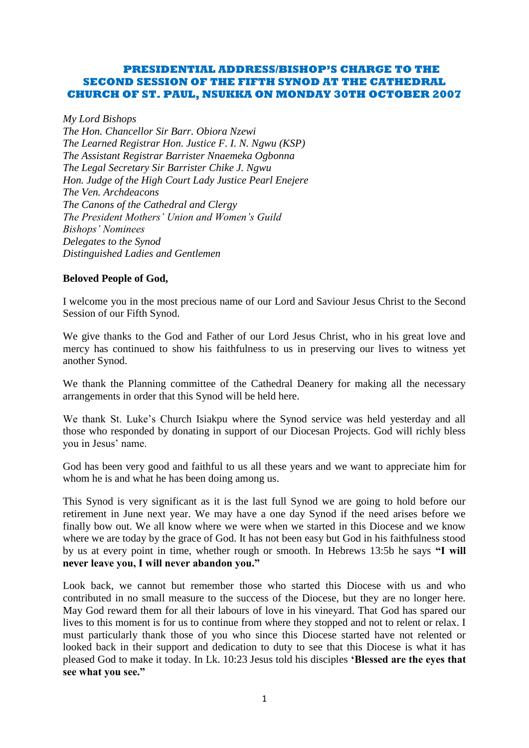## **PRESIDENTIAL ADDRESS/BISHOP'S CHARGE TO THE SECOND SESSION OF THE FIFTH SYNOD AT THE CATHEDRAL CHURCH OF ST. PAUL, NSUKKA ON MONDAY 30TH OCTOBER 2007**

*My Lord Bishops*

*The Hon. Chancellor Sir Barr. Obiora Nzewi The Learned Registrar Hon. Justice F. I. N. Ngwu (KSP) The Assistant Registrar Barrister Nnaemeka Ogbonna The Legal Secretary Sir Barrister Chike J. Ngwu Hon. Judge of the High Court Lady Justice Pearl Enejere The Ven. Archdeacons The Canons of the Cathedral and Clergy The President Mothers' Union and Women's Guild Bishops' Nominees Delegates to the Synod Distinguished Ladies and Gentlemen*

### **Beloved People of God,**

I welcome you in the most precious name of our Lord and Saviour Jesus Christ to the Second Session of our Fifth Synod.

We give thanks to the God and Father of our Lord Jesus Christ, who in his great love and mercy has continued to show his faithfulness to us in preserving our lives to witness yet another Synod.

We thank the Planning committee of the Cathedral Deanery for making all the necessary arrangements in order that this Synod will be held here.

We thank St. Luke's Church Isiakpu where the Synod service was held yesterday and all those who responded by donating in support of our Diocesan Projects. God will richly bless you in Jesus' name.

God has been very good and faithful to us all these years and we want to appreciate him for whom he is and what he has been doing among us.

This Synod is very significant as it is the last full Synod we are going to hold before our retirement in June next year. We may have a one day Synod if the need arises before we finally bow out. We all know where we were when we started in this Diocese and we know where we are today by the grace of God. It has not been easy but God in his faithfulness stood by us at every point in time, whether rough or smooth. In Hebrews 13:5b he says **"I will never leave you, I will never abandon you."**

Look back, we cannot but remember those who started this Diocese with us and who contributed in no small measure to the success of the Diocese, but they are no longer here. May God reward them for all their labours of love in his vineyard. That God has spared our lives to this moment is for us to continue from where they stopped and not to relent or relax. I must particularly thank those of you who since this Diocese started have not relented or looked back in their support and dedication to duty to see that this Diocese is what it has pleased God to make it today. In Lk. 10:23 Jesus told his disciples **"Blessed are the eyes that see what you see."**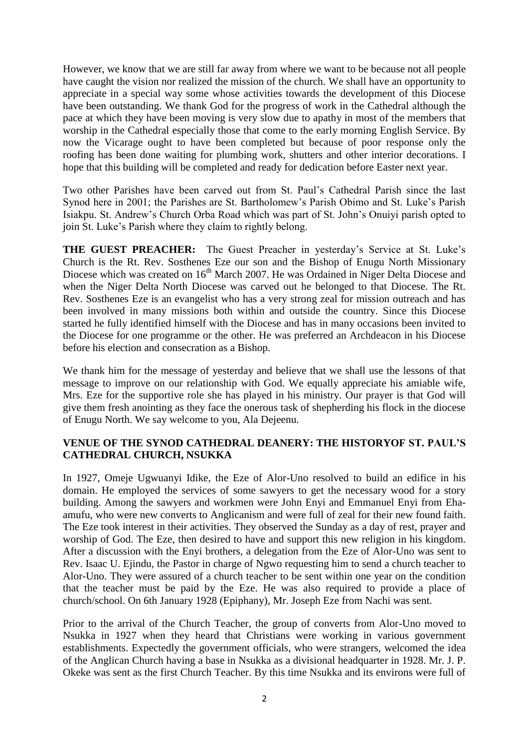However, we know that we are still far away from where we want to be because not all people have caught the vision nor realized the mission of the church. We shall have an opportunity to appreciate in a special way some whose activities towards the development of this Diocese have been outstanding. We thank God for the progress of work in the Cathedral although the pace at which they have been moving is very slow due to apathy in most of the members that worship in the Cathedral especially those that come to the early morning English Service. By now the Vicarage ought to have been completed but because of poor response only the roofing has been done waiting for plumbing work, shutters and other interior decorations. I hope that this building will be completed and ready for dedication before Easter next year.

Two other Parishes have been carved out from St. Paul"s Cathedral Parish since the last Synod here in 2001; the Parishes are St. Bartholomew"s Parish Obimo and St. Luke"s Parish Isiakpu. St. Andrew"s Church Orba Road which was part of St. John"s Onuiyi parish opted to join St. Luke"s Parish where they claim to rightly belong.

THE GUEST PREACHER: The Guest Preacher in yesterday's Service at St. Luke's Church is the Rt. Rev. Sosthenes Eze our son and the Bishop of Enugu North Missionary Diocese which was created on 16<sup>th</sup> March 2007. He was Ordained in Niger Delta Diocese and when the Niger Delta North Diocese was carved out he belonged to that Diocese. The Rt. Rev. Sosthenes Eze is an evangelist who has a very strong zeal for mission outreach and has been involved in many missions both within and outside the country. Since this Diocese started he fully identified himself with the Diocese and has in many occasions been invited to the Diocese for one programme or the other. He was preferred an Archdeacon in his Diocese before his election and consecration as a Bishop.

We thank him for the message of yesterday and believe that we shall use the lessons of that message to improve on our relationship with God. We equally appreciate his amiable wife, Mrs. Eze for the supportive role she has played in his ministry. Our prayer is that God will give them fresh anointing as they face the onerous task of shepherding his flock in the diocese of Enugu North. We say welcome to you, Ala Dejeenu.

# **VENUE OF THE SYNOD CATHEDRAL DEANERY: THE HISTORYOF ST. PAUL"S CATHEDRAL CHURCH, NSUKKA**

In 1927, Omeje Ugwuanyi Idike, the Eze of Alor-Uno resolved to build an edifice in his domain. He employed the services of some sawyers to get the necessary wood for a story building. Among the sawyers and workmen were John Enyi and Emmanuel Enyi from Ehaamufu, who were new converts to Anglicanism and were full of zeal for their new found faith. The Eze took interest in their activities. They observed the Sunday as a day of rest, prayer and worship of God. The Eze, then desired to have and support this new religion in his kingdom. After a discussion with the Enyi brothers, a delegation from the Eze of Alor-Uno was sent to Rev. Isaac U. Ejindu, the Pastor in charge of Ngwo requesting him to send a church teacher to Alor-Uno. They were assured of a church teacher to be sent within one year on the condition that the teacher must be paid by the Eze. He was also required to provide a place of church/school. On 6th January 1928 (Epiphany), Mr. Joseph Eze from Nachi was sent.

Prior to the arrival of the Church Teacher, the group of converts from Alor-Uno moved to Nsukka in 1927 when they heard that Christians were working in various government establishments. Expectedly the government officials, who were strangers, welcomed the idea of the Anglican Church having a base in Nsukka as a divisional headquarter in 1928. Mr. J. P. Okeke was sent as the first Church Teacher. By this time Nsukka and its environs were full of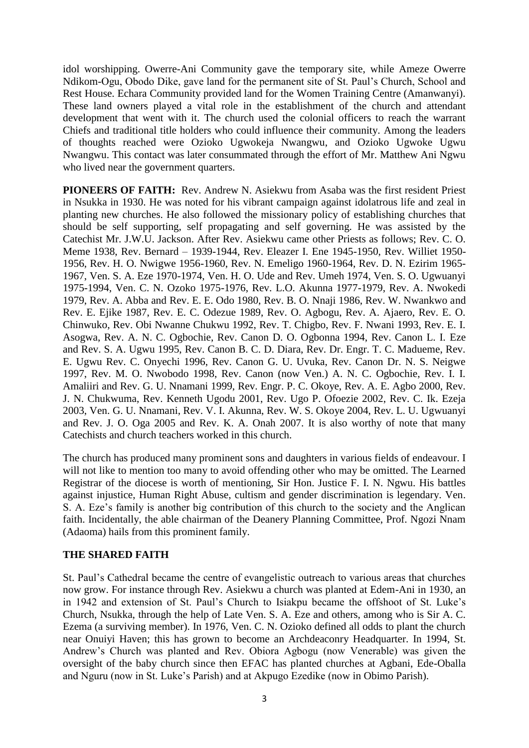idol worshipping. Owerre-Ani Community gave the temporary site, while Ameze Owerre Ndikom-Ogu, Obodo Dike, gave land for the permanent site of St. Paul"s Church, School and Rest House. Echara Community provided land for the Women Training Centre (Amanwanyi). These land owners played a vital role in the establishment of the church and attendant development that went with it. The church used the colonial officers to reach the warrant Chiefs and traditional title holders who could influence their community. Among the leaders of thoughts reached were Ozioko Ugwokeja Nwangwu, and Ozioko Ugwoke Ugwu Nwangwu. This contact was later consummated through the effort of Mr. Matthew Ani Ngwu who lived near the government quarters.

**PIONEERS OF FAITH:** Rev. Andrew N. Asiekwu from Asaba was the first resident Priest in Nsukka in 1930. He was noted for his vibrant campaign against idolatrous life and zeal in planting new churches. He also followed the missionary policy of establishing churches that should be self supporting, self propagating and self governing. He was assisted by the Catechist Mr. J.W.U. Jackson. After Rev. Asiekwu came other Priests as follows; Rev. C. O. Meme 1938, Rev. Bernard – 1939-1944, Rev. Eleazer I. Ene 1945-1950, Rev. Williet 1950- 1956, Rev. H. O. Nwigwe 1956-1960, Rev. N. Emeligo 1960-1964, Rev. D. N. Ezirim 1965- 1967, Ven. S. A. Eze 1970-1974, Ven. H. O. Ude and Rev. Umeh 1974, Ven. S. O. Ugwuanyi 1975-1994, Ven. C. N. Ozoko 1975-1976, Rev. L.O. Akunna 1977-1979, Rev. A. Nwokedi 1979, Rev. A. Abba and Rev. E. E. Odo 1980, Rev. B. O. Nnaji 1986, Rev. W. Nwankwo and Rev. E. Ejike 1987, Rev. E. C. Odezue 1989, Rev. O. Agbogu, Rev. A. Ajaero, Rev. E. O. Chinwuko, Rev. Obi Nwanne Chukwu 1992, Rev. T. Chigbo, Rev. F. Nwani 1993, Rev. E. I. Asogwa, Rev. A. N. C. Ogbochie, Rev. Canon D. O. Ogbonna 1994, Rev. Canon L. I. Eze and Rev. S. A. Ugwu 1995, Rev. Canon B. C. D. Diara, Rev. Dr. Engr. T. C. Madueme, Rev. E. Ugwu Rev. C. Onyechi 1996, Rev. Canon G. U. Uvuka, Rev. Canon Dr. N. S. Neigwe 1997, Rev. M. O. Nwobodo 1998, Rev. Canon (now Ven.) A. N. C. Ogbochie, Rev. I. I. Amaliiri and Rev. G. U. Nnamani 1999, Rev. Engr. P. C. Okoye, Rev. A. E. Agbo 2000, Rev. J. N. Chukwuma, Rev. Kenneth Ugodu 2001, Rev. Ugo P. Ofoezie 2002, Rev. C. Ik. Ezeja 2003, Ven. G. U. Nnamani, Rev. V. I. Akunna, Rev. W. S. Okoye 2004, Rev. L. U. Ugwuanyi and Rev. J. O. Oga 2005 and Rev. K. A. Onah 2007. It is also worthy of note that many Catechists and church teachers worked in this church.

The church has produced many prominent sons and daughters in various fields of endeavour. I will not like to mention too many to avoid offending other who may be omitted. The Learned Registrar of the diocese is worth of mentioning, Sir Hon. Justice F. I. N. Ngwu. His battles against injustice, Human Right Abuse, cultism and gender discrimination is legendary. Ven. S. A. Eze's family is another big contribution of this church to the society and the Anglican faith. Incidentally, the able chairman of the Deanery Planning Committee, Prof. Ngozi Nnam (Adaoma) hails from this prominent family.

### **THE SHARED FAITH**

St. Paul"s Cathedral became the centre of evangelistic outreach to various areas that churches now grow. For instance through Rev. Asiekwu a church was planted at Edem-Ani in 1930, an in 1942 and extension of St. Paul"s Church to Isiakpu became the offshoot of St. Luke"s Church, Nsukka, through the help of Late Ven. S. A. Eze and others, among who is Sir A. C. Ezema (a surviving member). In 1976, Ven. C. N. Ozioko defined all odds to plant the church near Onuiyi Haven; this has grown to become an Archdeaconry Headquarter. In 1994, St. Andrew"s Church was planted and Rev. Obiora Agbogu (now Venerable) was given the oversight of the baby church since then EFAC has planted churches at Agbani, Ede-Oballa and Nguru (now in St. Luke"s Parish) and at Akpugo Ezedike (now in Obimo Parish).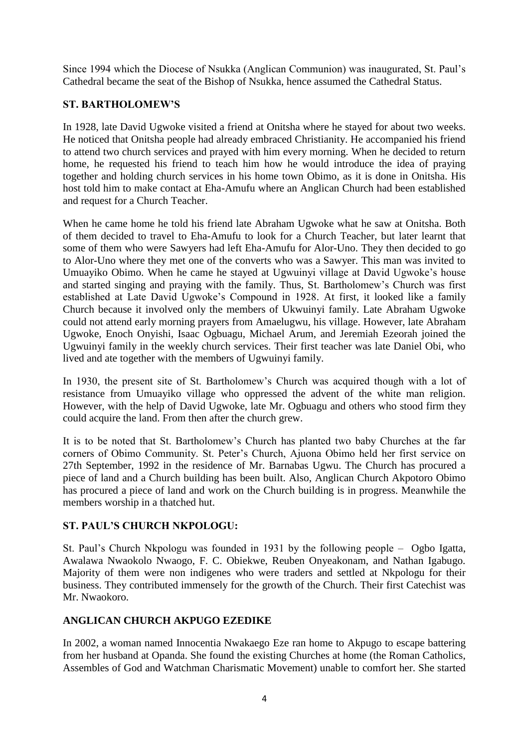Since 1994 which the Diocese of Nsukka (Anglican Communion) was inaugurated, St. Paul"s Cathedral became the seat of the Bishop of Nsukka, hence assumed the Cathedral Status.

# **ST. BARTHOLOMEW"S**

In 1928, late David Ugwoke visited a friend at Onitsha where he stayed for about two weeks. He noticed that Onitsha people had already embraced Christianity. He accompanied his friend to attend two church services and prayed with him every morning. When he decided to return home, he requested his friend to teach him how he would introduce the idea of praying together and holding church services in his home town Obimo, as it is done in Onitsha. His host told him to make contact at Eha-Amufu where an Anglican Church had been established and request for a Church Teacher.

When he came home he told his friend late Abraham Ugwoke what he saw at Onitsha. Both of them decided to travel to Eha-Amufu to look for a Church Teacher, but later learnt that some of them who were Sawyers had left Eha-Amufu for Alor-Uno. They then decided to go to Alor-Uno where they met one of the converts who was a Sawyer. This man was invited to Umuayiko Obimo. When he came he stayed at Ugwuinyi village at David Ugwoke"s house and started singing and praying with the family. Thus, St. Bartholomew"s Church was first established at Late David Ugwoke"s Compound in 1928. At first, it looked like a family Church because it involved only the members of Ukwuinyi family. Late Abraham Ugwoke could not attend early morning prayers from Amaelugwu, his village. However, late Abraham Ugwoke, Enoch Onyishi, Isaac Ogbuagu, Michael Arum, and Jeremiah Ezeorah joined the Ugwuinyi family in the weekly church services. Their first teacher was late Daniel Obi, who lived and ate together with the members of Ugwuinyi family.

In 1930, the present site of St. Bartholomew"s Church was acquired though with a lot of resistance from Umuayiko village who oppressed the advent of the white man religion. However, with the help of David Ugwoke, late Mr. Ogbuagu and others who stood firm they could acquire the land. From then after the church grew.

It is to be noted that St. Bartholomew"s Church has planted two baby Churches at the far corners of Obimo Community. St. Peter"s Church, Ajuona Obimo held her first service on 27th September, 1992 in the residence of Mr. Barnabas Ugwu. The Church has procured a piece of land and a Church building has been built. Also, Anglican Church Akpotoro Obimo has procured a piece of land and work on the Church building is in progress. Meanwhile the members worship in a thatched hut.

# **ST. PAUL"S CHURCH NKPOLOGU:**

St. Paul"s Church Nkpologu was founded in 1931 by the following people – Ogbo Igatta, Awalawa Nwaokolo Nwaogo, F. C. Obiekwe, Reuben Onyeakonam, and Nathan Igabugo. Majority of them were non indigenes who were traders and settled at Nkpologu for their business. They contributed immensely for the growth of the Church. Their first Catechist was Mr. Nwaokoro.

# **ANGLICAN CHURCH AKPUGO EZEDIKE**

In 2002, a woman named Innocentia Nwakaego Eze ran home to Akpugo to escape battering from her husband at Opanda. She found the existing Churches at home (the Roman Catholics, Assembles of God and Watchman Charismatic Movement) unable to comfort her. She started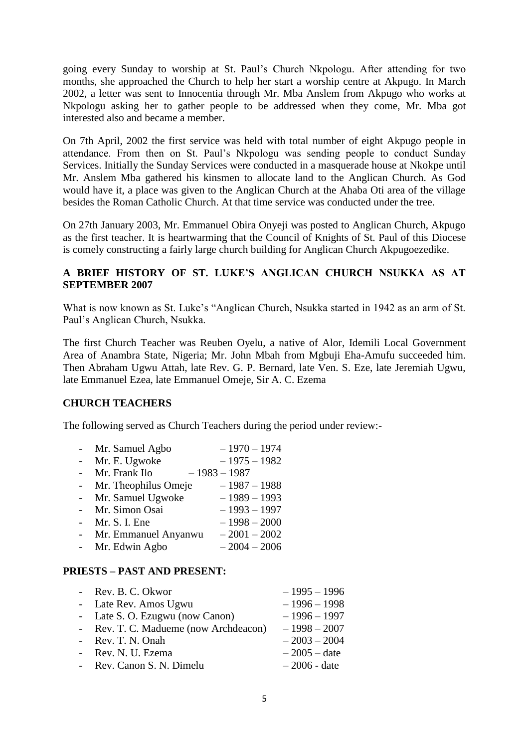going every Sunday to worship at St. Paul"s Church Nkpologu. After attending for two months, she approached the Church to help her start a worship centre at Akpugo. In March 2002, a letter was sent to Innocentia through Mr. Mba Anslem from Akpugo who works at Nkpologu asking her to gather people to be addressed when they come, Mr. Mba got interested also and became a member.

On 7th April, 2002 the first service was held with total number of eight Akpugo people in attendance. From then on St. Paul"s Nkpologu was sending people to conduct Sunday Services. Initially the Sunday Services were conducted in a masquerade house at Nkokpe until Mr. Anslem Mba gathered his kinsmen to allocate land to the Anglican Church. As God would have it, a place was given to the Anglican Church at the Ahaba Oti area of the village besides the Roman Catholic Church. At that time service was conducted under the tree.

On 27th January 2003, Mr. Emmanuel Obira Onyeji was posted to Anglican Church, Akpugo as the first teacher. It is heartwarming that the Council of Knights of St. Paul of this Diocese is comely constructing a fairly large church building for Anglican Church Akpugoezedike.

## **A BRIEF HISTORY OF ST. LUKE"S ANGLICAN CHURCH NSUKKA AS AT SEPTEMBER 2007**

What is now known as St. Luke"s "Anglican Church, Nsukka started in 1942 as an arm of St. Paul"s Anglican Church, Nsukka.

The first Church Teacher was Reuben Oyelu, a native of Alor, Idemili Local Government Area of Anambra State, Nigeria; Mr. John Mbah from Mgbuji Eha-Amufu succeeded him. Then Abraham Ugwu Attah, late Rev. G. P. Bernard, late Ven. S. Eze, late Jeremiah Ugwu, late Emmanuel Ezea, late Emmanuel Omeje, Sir A. C. Ezema

### **CHURCH TEACHERS**

The following served as Church Teachers during the period under review:-

| Mr. Samuel Agbo      | $-1970 - 1974$ |
|----------------------|----------------|
| Mr. E. Ugwoke        | $-1975 - 1982$ |
| Mr. Frank Ilo        | $-1983 - 1987$ |
| Mr. Theophilus Omeje | $-1987 - 1988$ |
| Mr. Samuel Ugwoke    | $-1989-1993$   |
| Mr. Simon Osai       | $-1993 - 1997$ |
| Mr. S. I. Ene        | $-1998 - 2000$ |
| Mr. Emmanuel Anyanwu | $-2001 - 2002$ |
| Mr. Edwin Agbo       | $-2004 - 2006$ |

### **PRIESTS – PAST AND PRESENT:**

| - Rev. B. C. Okwor                    | $-1995-1996$   |
|---------------------------------------|----------------|
| - Late Rev. Amos Ugwu                 | $-1996-1998$   |
| - Late S. O. Ezugwu (now Canon)       | $-1996 - 1997$ |
| - Rev. T. C. Madueme (now Archdeacon) | $-1998 - 2007$ |
| - Rev. T. N. Onah                     | $-2003 - 2004$ |
| - Rev. N. U. Ezema                    | $-2005 - date$ |
| - Rev. Canon S. N. Dimelu             | $-2006$ - date |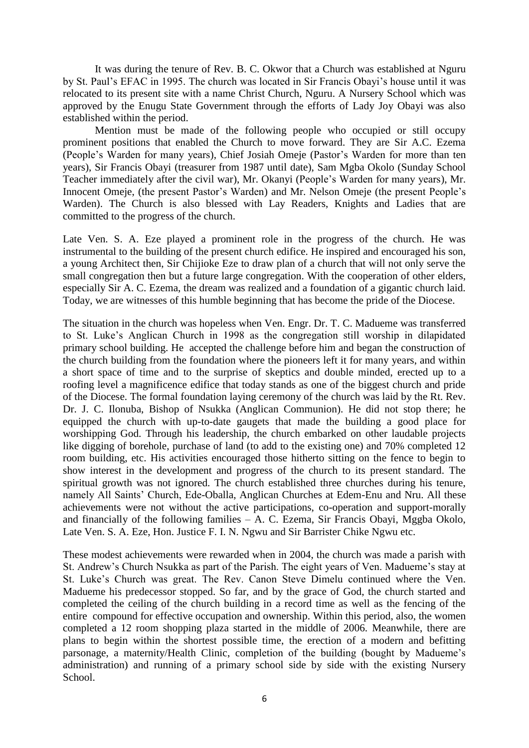It was during the tenure of Rev. B. C. Okwor that a Church was established at Nguru by St. Paul"s EFAC in 1995. The church was located in Sir Francis Obayi"s house until it was relocated to its present site with a name Christ Church, Nguru. A Nursery School which was approved by the Enugu State Government through the efforts of Lady Joy Obayi was also established within the period.

Mention must be made of the following people who occupied or still occupy prominent positions that enabled the Church to move forward. They are Sir A.C. Ezema (People"s Warden for many years), Chief Josiah Omeje (Pastor"s Warden for more than ten years), Sir Francis Obayi (treasurer from 1987 until date), Sam Mgba Okolo (Sunday School Teacher immediately after the civil war), Mr. Okanyi (People"s Warden for many years), Mr. Innocent Omeje, (the present Pastor's Warden) and Mr. Nelson Omeje (the present People's Warden). The Church is also blessed with Lay Readers, Knights and Ladies that are committed to the progress of the church.

Late Ven. S. A. Eze played a prominent role in the progress of the church. He was instrumental to the building of the present church edifice. He inspired and encouraged his son, a young Architect then, Sir Chijioke Eze to draw plan of a church that will not only serve the small congregation then but a future large congregation. With the cooperation of other elders, especially Sir A. C. Ezema, the dream was realized and a foundation of a gigantic church laid. Today, we are witnesses of this humble beginning that has become the pride of the Diocese.

The situation in the church was hopeless when Ven. Engr. Dr. T. C. Madueme was transferred to St. Luke"s Anglican Church in 1998 as the congregation still worship in dilapidated primary school building. He accepted the challenge before him and began the construction of the church building from the foundation where the pioneers left it for many years, and within a short space of time and to the surprise of skeptics and double minded, erected up to a roofing level a magnificence edifice that today stands as one of the biggest church and pride of the Diocese. The formal foundation laying ceremony of the church was laid by the Rt. Rev. Dr. J. C. Ilonuba, Bishop of Nsukka (Anglican Communion). He did not stop there; he equipped the church with up-to-date gaugets that made the building a good place for worshipping God. Through his leadership, the church embarked on other laudable projects like digging of borehole, purchase of land (to add to the existing one) and 70% completed 12 room building, etc. His activities encouraged those hitherto sitting on the fence to begin to show interest in the development and progress of the church to its present standard. The spiritual growth was not ignored. The church established three churches during his tenure, namely All Saints' Church, Ede-Oballa, Anglican Churches at Edem-Enu and Nru. All these achievements were not without the active participations, co-operation and support-morally and financially of the following families – A. C. Ezema, Sir Francis Obayi, Mggba Okolo, Late Ven. S. A. Eze, Hon. Justice F. I. N. Ngwu and Sir Barrister Chike Ngwu etc.

These modest achievements were rewarded when in 2004, the church was made a parish with St. Andrew"s Church Nsukka as part of the Parish. The eight years of Ven. Madueme"s stay at St. Luke"s Church was great. The Rev. Canon Steve Dimelu continued where the Ven. Madueme his predecessor stopped. So far, and by the grace of God, the church started and completed the ceiling of the church building in a record time as well as the fencing of the entire compound for effective occupation and ownership. Within this period, also, the women completed a 12 room shopping plaza started in the middle of 2006. Meanwhile, there are plans to begin within the shortest possible time, the erection of a modern and befitting parsonage, a maternity/Health Clinic, completion of the building (bought by Madueme"s administration) and running of a primary school side by side with the existing Nursery School.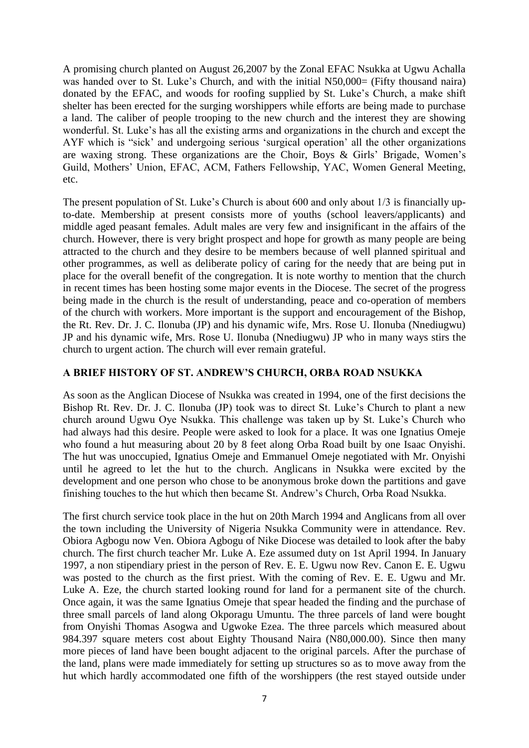A promising church planted on August 26,2007 by the Zonal EFAC Nsukka at Ugwu Achalla was handed over to St. Luke's Church, and with the initial N50,000= (Fifty thousand naira) donated by the EFAC, and woods for roofing supplied by St. Luke"s Church, a make shift shelter has been erected for the surging worshippers while efforts are being made to purchase a land. The caliber of people trooping to the new church and the interest they are showing wonderful. St. Luke"s has all the existing arms and organizations in the church and except the AYF which is "sick" and undergoing serious "surgical operation" all the other organizations are waxing strong. These organizations are the Choir, Boys & Girls" Brigade, Women"s Guild, Mothers" Union, EFAC, ACM, Fathers Fellowship, YAC, Women General Meeting, etc.

The present population of St. Luke's Church is about 600 and only about 1/3 is financially upto-date. Membership at present consists more of youths (school leavers/applicants) and middle aged peasant females. Adult males are very few and insignificant in the affairs of the church. However, there is very bright prospect and hope for growth as many people are being attracted to the church and they desire to be members because of well planned spiritual and other programmes, as well as deliberate policy of caring for the needy that are being put in place for the overall benefit of the congregation. It is note worthy to mention that the church in recent times has been hosting some major events in the Diocese. The secret of the progress being made in the church is the result of understanding, peace and co-operation of members of the church with workers. More important is the support and encouragement of the Bishop, the Rt. Rev. Dr. J. C. Ilonuba (JP) and his dynamic wife, Mrs. Rose U. Ilonuba (Nnediugwu) JP and his dynamic wife, Mrs. Rose U. Ilonuba (Nnediugwu) JP who in many ways stirs the church to urgent action. The church will ever remain grateful.

## **A BRIEF HISTORY OF ST. ANDREW"S CHURCH, ORBA ROAD NSUKKA**

As soon as the Anglican Diocese of Nsukka was created in 1994, one of the first decisions the Bishop Rt. Rev. Dr. J. C. Ilonuba (JP) took was to direct St. Luke's Church to plant a new church around Ugwu Oye Nsukka. This challenge was taken up by St. Luke"s Church who had always had this desire. People were asked to look for a place. It was one Ignatius Omeje who found a hut measuring about 20 by 8 feet along Orba Road built by one Isaac Onyishi. The hut was unoccupied, Ignatius Omeje and Emmanuel Omeje negotiated with Mr. Onyishi until he agreed to let the hut to the church. Anglicans in Nsukka were excited by the development and one person who chose to be anonymous broke down the partitions and gave finishing touches to the hut which then became St. Andrew"s Church, Orba Road Nsukka.

The first church service took place in the hut on 20th March 1994 and Anglicans from all over the town including the University of Nigeria Nsukka Community were in attendance. Rev. Obiora Agbogu now Ven. Obiora Agbogu of Nike Diocese was detailed to look after the baby church. The first church teacher Mr. Luke A. Eze assumed duty on 1st April 1994. In January 1997, a non stipendiary priest in the person of Rev. E. E. Ugwu now Rev. Canon E. E. Ugwu was posted to the church as the first priest. With the coming of Rev. E. E. Ugwu and Mr. Luke A. Eze, the church started looking round for land for a permanent site of the church. Once again, it was the same Ignatius Omeje that spear headed the finding and the purchase of three small parcels of land along Okporagu Umuntu. The three parcels of land were bought from Onyishi Thomas Asogwa and Ugwoke Ezea. The three parcels which measured about 984.397 square meters cost about Eighty Thousand Naira (N80,000.00). Since then many more pieces of land have been bought adjacent to the original parcels. After the purchase of the land, plans were made immediately for setting up structures so as to move away from the hut which hardly accommodated one fifth of the worshippers (the rest stayed outside under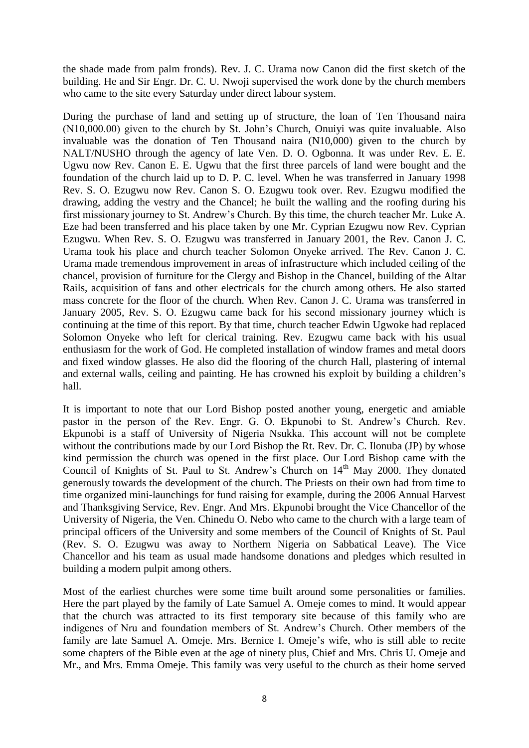the shade made from palm fronds). Rev. J. C. Urama now Canon did the first sketch of the building. He and Sir Engr. Dr. C. U. Nwoji supervised the work done by the church members who came to the site every Saturday under direct labour system.

During the purchase of land and setting up of structure, the loan of Ten Thousand naira (N10,000.00) given to the church by St. John"s Church, Onuiyi was quite invaluable. Also invaluable was the donation of Ten Thousand naira (N10,000) given to the church by NALT/NUSHO through the agency of late Ven. D. O. Ogbonna. It was under Rev. E. E. Ugwu now Rev. Canon E. E. Ugwu that the first three parcels of land were bought and the foundation of the church laid up to D. P. C. level. When he was transferred in January 1998 Rev. S. O. Ezugwu now Rev. Canon S. O. Ezugwu took over. Rev. Ezugwu modified the drawing, adding the vestry and the Chancel; he built the walling and the roofing during his first missionary journey to St. Andrew"s Church. By this time, the church teacher Mr. Luke A. Eze had been transferred and his place taken by one Mr. Cyprian Ezugwu now Rev. Cyprian Ezugwu. When Rev. S. O. Ezugwu was transferred in January 2001, the Rev. Canon J. C. Urama took his place and church teacher Solomon Onyeke arrived. The Rev. Canon J. C. Urama made tremendous improvement in areas of infrastructure which included ceiling of the chancel, provision of furniture for the Clergy and Bishop in the Chancel, building of the Altar Rails, acquisition of fans and other electricals for the church among others. He also started mass concrete for the floor of the church. When Rev. Canon J. C. Urama was transferred in January 2005, Rev. S. O. Ezugwu came back for his second missionary journey which is continuing at the time of this report. By that time, church teacher Edwin Ugwoke had replaced Solomon Onyeke who left for clerical training. Rev. Ezugwu came back with his usual enthusiasm for the work of God. He completed installation of window frames and metal doors and fixed window glasses. He also did the flooring of the church Hall, plastering of internal and external walls, ceiling and painting. He has crowned his exploit by building a children"s hall.

It is important to note that our Lord Bishop posted another young, energetic and amiable pastor in the person of the Rev. Engr. G. O. Ekpunobi to St. Andrew"s Church. Rev. Ekpunobi is a staff of University of Nigeria Nsukka. This account will not be complete without the contributions made by our Lord Bishop the Rt. Rev. Dr. C. Ilonuba (JP) by whose kind permission the church was opened in the first place. Our Lord Bishop came with the Council of Knights of St. Paul to St. Andrew's Church on 14<sup>th</sup> May 2000. They donated generously towards the development of the church. The Priests on their own had from time to time organized mini-launchings for fund raising for example, during the 2006 Annual Harvest and Thanksgiving Service, Rev. Engr. And Mrs. Ekpunobi brought the Vice Chancellor of the University of Nigeria, the Ven. Chinedu O. Nebo who came to the church with a large team of principal officers of the University and some members of the Council of Knights of St. Paul (Rev. S. O. Ezugwu was away to Northern Nigeria on Sabbatical Leave). The Vice Chancellor and his team as usual made handsome donations and pledges which resulted in building a modern pulpit among others.

Most of the earliest churches were some time built around some personalities or families. Here the part played by the family of Late Samuel A. Omeje comes to mind. It would appear that the church was attracted to its first temporary site because of this family who are indigenes of Nru and foundation members of St. Andrew"s Church. Other members of the family are late Samuel A. Omeje. Mrs. Bernice I. Omeje's wife, who is still able to recite some chapters of the Bible even at the age of ninety plus, Chief and Mrs. Chris U. Omeje and Mr., and Mrs. Emma Omeje. This family was very useful to the church as their home served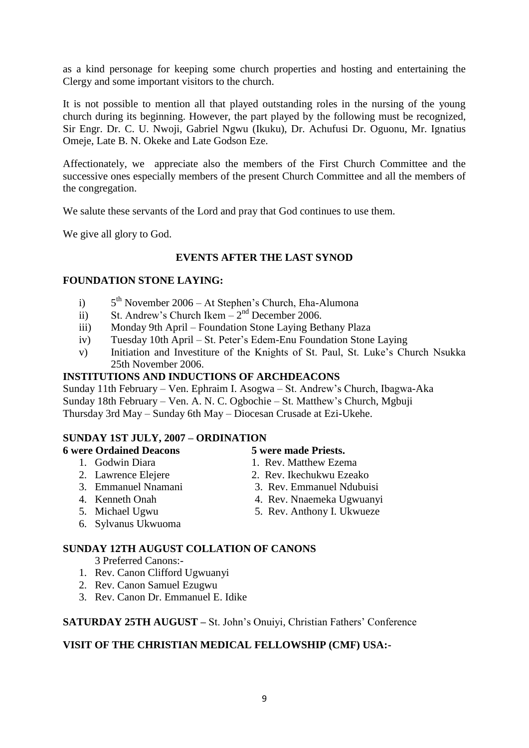as a kind personage for keeping some church properties and hosting and entertaining the Clergy and some important visitors to the church.

It is not possible to mention all that played outstanding roles in the nursing of the young church during its beginning. However, the part played by the following must be recognized, Sir Engr. Dr. C. U. Nwoji, Gabriel Ngwu (Ikuku), Dr. Achufusi Dr. Oguonu, Mr. Ignatius Omeje, Late B. N. Okeke and Late Godson Eze.

Affectionately, we appreciate also the members of the First Church Committee and the successive ones especially members of the present Church Committee and all the members of the congregation.

We salute these servants of the Lord and pray that God continues to use them.

We give all glory to God.

### **EVENTS AFTER THE LAST SYNOD**

### **FOUNDATION STONE LAYING:**

- $i)$  $5<sup>th</sup>$  November 2006 – At Stephen's Church, Eha-Alumona
- ii) St. Andrew's Church Ikem  $-2<sup>nd</sup>$  December 2006.
- iii) Monday 9th April Foundation Stone Laying Bethany Plaza
- iv) Tuesday 10th April St. Peter"s Edem-Enu Foundation Stone Laying
- v) Initiation and Investiture of the Knights of St. Paul, St. Luke"s Church Nsukka 25th November 2006.

#### **INSTITUTIONS AND INDUCTIONS OF ARCHDEACONS**

Sunday 11th February – Ven. Ephraim I. Asogwa – St. Andrew"s Church, Ibagwa-Aka Sunday 18th February – Ven. A. N. C. Ogbochie – St. Matthew"s Church, Mgbuji Thursday 3rd May – Sunday 6th May – Diocesan Crusade at Ezi-Ukehe.

### **SUNDAY 1ST JULY, 2007 – ORDINATION**

- **6 were Ordained Deacons 5 were made Priests.**
	- 1. Godwin Diara 1. Rev. Matthew Ezema
	- 2. Lawrence Elejere 2. Rev. Ikechukwu Ezeako
	- 3. Emmanuel Nnamani 3. Rev. Emmanuel Ndubuisi
	-
	-
	- 6. Sylvanus Ukwuoma

### **SUNDAY 12TH AUGUST COLLATION OF CANONS**

3 Preferred Canons:-

- 1. Rev. Canon Clifford Ugwuanyi
- 2. Rev. Canon Samuel Ezugwu
- 3. Rev. Canon Dr. Emmanuel E. Idike

## **SATURDAY 25TH AUGUST –** St. John's Onuiyi, Christian Fathers' Conference

### **VISIT OF THE CHRISTIAN MEDICAL FELLOWSHIP (CMF) USA:-**

- 
- 
- 
- 
- 4. Kenneth Onah 4. Rev. Nnaemeka Ugwuanyi
- 5. Michael Ugwu 5. Rev. Anthony I. Ukwueze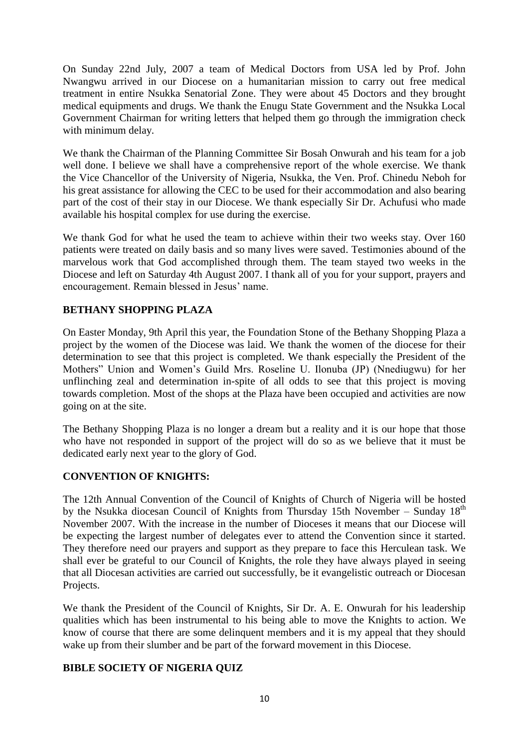On Sunday 22nd July, 2007 a team of Medical Doctors from USA led by Prof. John Nwangwu arrived in our Diocese on a humanitarian mission to carry out free medical treatment in entire Nsukka Senatorial Zone. They were about 45 Doctors and they brought medical equipments and drugs. We thank the Enugu State Government and the Nsukka Local Government Chairman for writing letters that helped them go through the immigration check with minimum delay.

We thank the Chairman of the Planning Committee Sir Bosah Onwurah and his team for a job well done. I believe we shall have a comprehensive report of the whole exercise. We thank the Vice Chancellor of the University of Nigeria, Nsukka, the Ven. Prof. Chinedu Neboh for his great assistance for allowing the CEC to be used for their accommodation and also bearing part of the cost of their stay in our Diocese. We thank especially Sir Dr. Achufusi who made available his hospital complex for use during the exercise.

We thank God for what he used the team to achieve within their two weeks stay. Over 160 patients were treated on daily basis and so many lives were saved. Testimonies abound of the marvelous work that God accomplished through them. The team stayed two weeks in the Diocese and left on Saturday 4th August 2007. I thank all of you for your support, prayers and encouragement. Remain blessed in Jesus' name.

# **BETHANY SHOPPING PLAZA**

On Easter Monday, 9th April this year, the Foundation Stone of the Bethany Shopping Plaza a project by the women of the Diocese was laid. We thank the women of the diocese for their determination to see that this project is completed. We thank especially the President of the Mothers" Union and Women"s Guild Mrs. Roseline U. Ilonuba (JP) (Nnediugwu) for her unflinching zeal and determination in-spite of all odds to see that this project is moving towards completion. Most of the shops at the Plaza have been occupied and activities are now going on at the site.

The Bethany Shopping Plaza is no longer a dream but a reality and it is our hope that those who have not responded in support of the project will do so as we believe that it must be dedicated early next year to the glory of God.

# **CONVENTION OF KNIGHTS:**

The 12th Annual Convention of the Council of Knights of Church of Nigeria will be hosted by the Nsukka diocesan Council of Knights from Thursday 15th November – Sunday  $18<sup>th</sup>$ November 2007. With the increase in the number of Dioceses it means that our Diocese will be expecting the largest number of delegates ever to attend the Convention since it started. They therefore need our prayers and support as they prepare to face this Herculean task. We shall ever be grateful to our Council of Knights, the role they have always played in seeing that all Diocesan activities are carried out successfully, be it evangelistic outreach or Diocesan Projects.

We thank the President of the Council of Knights, Sir Dr. A. E. Onwurah for his leadership qualities which has been instrumental to his being able to move the Knights to action. We know of course that there are some delinquent members and it is my appeal that they should wake up from their slumber and be part of the forward movement in this Diocese.

# **BIBLE SOCIETY OF NIGERIA QUIZ**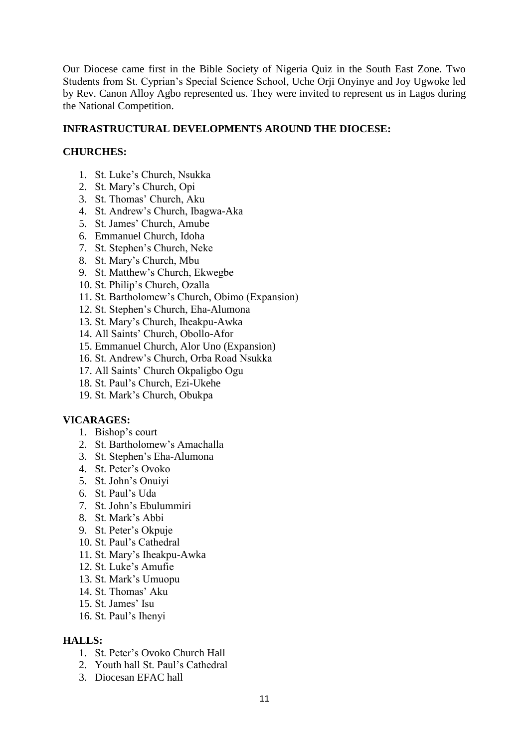Our Diocese came first in the Bible Society of Nigeria Quiz in the South East Zone. Two Students from St. Cyprian"s Special Science School, Uche Orji Onyinye and Joy Ugwoke led by Rev. Canon Alloy Agbo represented us. They were invited to represent us in Lagos during the National Competition.

# **INFRASTRUCTURAL DEVELOPMENTS AROUND THE DIOCESE:**

## **CHURCHES:**

- 1. St. Luke"s Church, Nsukka
- 2. St. Mary"s Church, Opi
- 3. St. Thomas" Church, Aku
- 4. St. Andrew"s Church, Ibagwa-Aka
- 5. St. James" Church, Amube
- 6. Emmanuel Church, Idoha
- 7. St. Stephen"s Church, Neke
- 8. St. Mary"s Church, Mbu
- 9. St. Matthew"s Church, Ekwegbe
- 10. St. Philip"s Church, Ozalla
- 11. St. Bartholomew"s Church, Obimo (Expansion)
- 12. St. Stephen"s Church, Eha-Alumona
- 13. St. Mary"s Church, Iheakpu-Awka
- 14. All Saints" Church, Obollo-Afor
- 15. Emmanuel Church, Alor Uno (Expansion)
- 16. St. Andrew"s Church, Orba Road Nsukka
- 17. All Saints" Church Okpaligbo Ogu
- 18. St. Paul"s Church, Ezi-Ukehe
- 19. St. Mark"s Church, Obukpa

# **VICARAGES:**

- 1. Bishop"s court
- 2. St. Bartholomew"s Amachalla
- 3. St. Stephen"s Eha-Alumona
- 4. St. Peter"s Ovoko
- 5. St. John"s Onuiyi
- 6. St. Paul"s Uda
- 7. St. John"s Ebulummiri
- 8. St. Mark"s Abbi
- 9. St. Peter"s Okpuje
- 10. St. Paul"s Cathedral
- 11. St. Mary"s Iheakpu-Awka
- 12. St. Luke"s Amufie
- 13. St. Mark"s Umuopu
- 14. St. Thomas" Aku
- 15. St. James' Isu
- 16. St. Paul"s Ihenyi

## **HALLS:**

- 1. St. Peter"s Ovoko Church Hall
- 2. Youth hall St. Paul"s Cathedral
- 3. Diocesan EFAC hall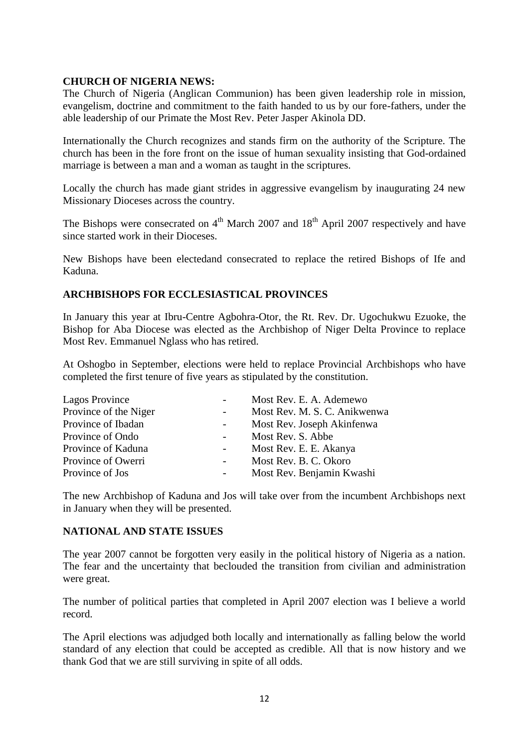### **CHURCH OF NIGERIA NEWS:**

The Church of Nigeria (Anglican Communion) has been given leadership role in mission, evangelism, doctrine and commitment to the faith handed to us by our fore-fathers, under the able leadership of our Primate the Most Rev. Peter Jasper Akinola DD.

Internationally the Church recognizes and stands firm on the authority of the Scripture. The church has been in the fore front on the issue of human sexuality insisting that God-ordained marriage is between a man and a woman as taught in the scriptures.

Locally the church has made giant strides in aggressive evangelism by inaugurating 24 new Missionary Dioceses across the country.

The Bishops were consecrated on  $4<sup>th</sup>$  March 2007 and  $18<sup>th</sup>$  April 2007 respectively and have since started work in their Dioceses.

New Bishops have been electedand consecrated to replace the retired Bishops of Ife and Kaduna.

# **ARCHBISHOPS FOR ECCLESIASTICAL PROVINCES**

In January this year at Ibru-Centre Agbohra-Otor, the Rt. Rev. Dr. Ugochukwu Ezuoke, the Bishop for Aba Diocese was elected as the Archbishop of Niger Delta Province to replace Most Rev. Emmanuel Nglass who has retired.

At Oshogbo in September, elections were held to replace Provincial Archbishops who have completed the first tenure of five years as stipulated by the constitution.

|                     | Most Rev. E. A. Ademewo      |
|---------------------|------------------------------|
| $\sim 10^{-1}$      | Most Rev. M. S. C. Anikwenwa |
| $\sim 100$          | Most Rev. Joseph Akinfenwa   |
|                     | Most Rev. S. Abbe            |
| $\omega_{\rm{max}}$ | Most Rev. E. E. Akanya       |
| $\omega_{\rm{max}}$ | Most Rev. B. C. Okoro        |
| $\omega_{\rm{max}}$ | Most Rev. Benjamin Kwashi    |
|                     |                              |

The new Archbishop of Kaduna and Jos will take over from the incumbent Archbishops next in January when they will be presented.

### **NATIONAL AND STATE ISSUES**

The year 2007 cannot be forgotten very easily in the political history of Nigeria as a nation. The fear and the uncertainty that beclouded the transition from civilian and administration were great.

The number of political parties that completed in April 2007 election was I believe a world record.

The April elections was adjudged both locally and internationally as falling below the world standard of any election that could be accepted as credible. All that is now history and we thank God that we are still surviving in spite of all odds.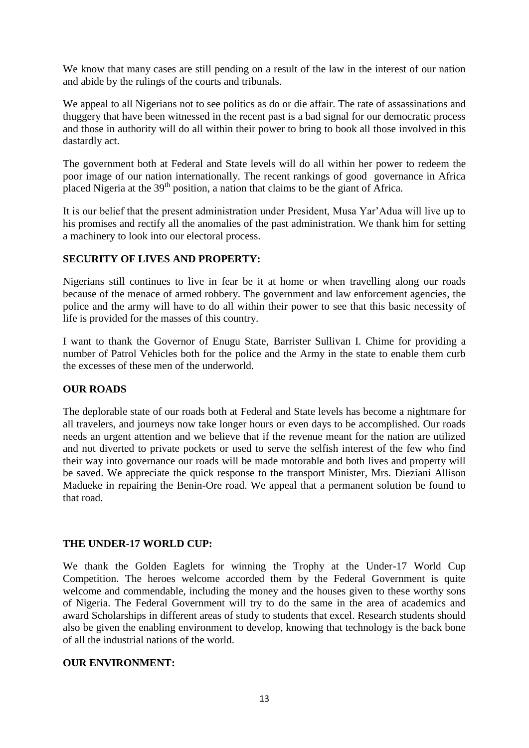We know that many cases are still pending on a result of the law in the interest of our nation and abide by the rulings of the courts and tribunals.

We appeal to all Nigerians not to see politics as do or die affair. The rate of assassinations and thuggery that have been witnessed in the recent past is a bad signal for our democratic process and those in authority will do all within their power to bring to book all those involved in this dastardly act.

The government both at Federal and State levels will do all within her power to redeem the poor image of our nation internationally. The recent rankings of good governance in Africa placed Nigeria at the 39<sup>th</sup> position, a nation that claims to be the giant of Africa.

It is our belief that the present administration under President, Musa Yar"Adua will live up to his promises and rectify all the anomalies of the past administration. We thank him for setting a machinery to look into our electoral process.

# **SECURITY OF LIVES AND PROPERTY:**

Nigerians still continues to live in fear be it at home or when travelling along our roads because of the menace of armed robbery. The government and law enforcement agencies, the police and the army will have to do all within their power to see that this basic necessity of life is provided for the masses of this country.

I want to thank the Governor of Enugu State, Barrister Sullivan I. Chime for providing a number of Patrol Vehicles both for the police and the Army in the state to enable them curb the excesses of these men of the underworld.

### **OUR ROADS**

The deplorable state of our roads both at Federal and State levels has become a nightmare for all travelers, and journeys now take longer hours or even days to be accomplished. Our roads needs an urgent attention and we believe that if the revenue meant for the nation are utilized and not diverted to private pockets or used to serve the selfish interest of the few who find their way into governance our roads will be made motorable and both lives and property will be saved. We appreciate the quick response to the transport Minister, Mrs. Dieziani Allison Madueke in repairing the Benin-Ore road. We appeal that a permanent solution be found to that road.

### **THE UNDER-17 WORLD CUP:**

We thank the Golden Eaglets for winning the Trophy at the Under-17 World Cup Competition. The heroes welcome accorded them by the Federal Government is quite welcome and commendable, including the money and the houses given to these worthy sons of Nigeria. The Federal Government will try to do the same in the area of academics and award Scholarships in different areas of study to students that excel. Research students should also be given the enabling environment to develop, knowing that technology is the back bone of all the industrial nations of the world.

### **OUR ENVIRONMENT:**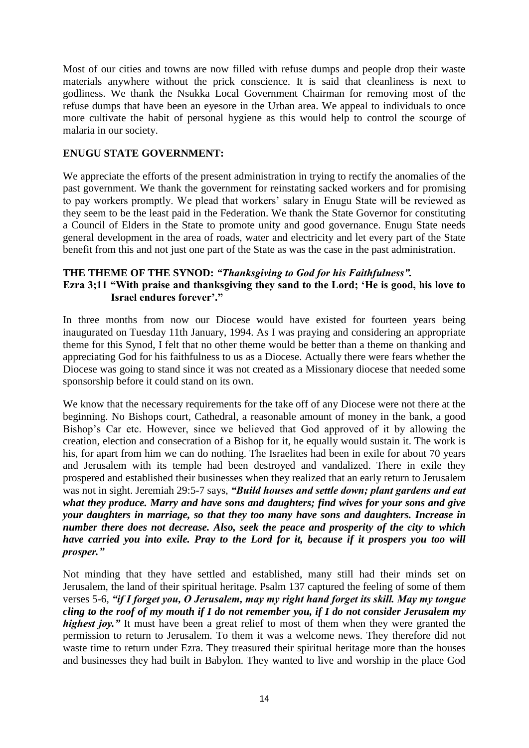Most of our cities and towns are now filled with refuse dumps and people drop their waste materials anywhere without the prick conscience. It is said that cleanliness is next to godliness. We thank the Nsukka Local Government Chairman for removing most of the refuse dumps that have been an eyesore in the Urban area. We appeal to individuals to once more cultivate the habit of personal hygiene as this would help to control the scourge of malaria in our society.

### **ENUGU STATE GOVERNMENT:**

We appreciate the efforts of the present administration in trying to rectify the anomalies of the past government. We thank the government for reinstating sacked workers and for promising to pay workers promptly. We plead that workers" salary in Enugu State will be reviewed as they seem to be the least paid in the Federation. We thank the State Governor for constituting a Council of Elders in the State to promote unity and good governance. Enugu State needs general development in the area of roads, water and electricity and let every part of the State benefit from this and not just one part of the State as was the case in the past administration.

# **THE THEME OF THE SYNOD:** *"Thanksgiving to God for his Faithfulness".* **Ezra 3;11 "With praise and thanksgiving they sand to the Lord; "He is good, his love to Israel endures forever'."**

In three months from now our Diocese would have existed for fourteen years being inaugurated on Tuesday 11th January, 1994. As I was praying and considering an appropriate theme for this Synod, I felt that no other theme would be better than a theme on thanking and appreciating God for his faithfulness to us as a Diocese. Actually there were fears whether the Diocese was going to stand since it was not created as a Missionary diocese that needed some sponsorship before it could stand on its own.

We know that the necessary requirements for the take off of any Diocese were not there at the beginning. No Bishops court, Cathedral, a reasonable amount of money in the bank, a good Bishop"s Car etc. However, since we believed that God approved of it by allowing the creation, election and consecration of a Bishop for it, he equally would sustain it. The work is his, for apart from him we can do nothing. The Israelites had been in exile for about 70 years and Jerusalem with its temple had been destroyed and vandalized. There in exile they prospered and established their businesses when they realized that an early return to Jerusalem was not in sight. Jeremiah 29:5-7 says, *"Build houses and settle down; plant gardens and eat what they produce. Marry and have sons and daughters; find wives for your sons and give your daughters in marriage, so that they too many have sons and daughters. Increase in number there does not decrease. Also, seek the peace and prosperity of the city to which have carried you into exile. Pray to the Lord for it, because if it prospers you too will prosper."*

Not minding that they have settled and established, many still had their minds set on Jerusalem, the land of their spiritual heritage. Psalm 137 captured the feeling of some of them verses 5-6, *"if I forget you, O Jerusalem, may my right hand forget its skill. May my tongue cling to the roof of my mouth if I do not remember you, if I do not consider Jerusalem my highest joy.*" It must have been a great relief to most of them when they were granted the permission to return to Jerusalem. To them it was a welcome news. They therefore did not waste time to return under Ezra. They treasured their spiritual heritage more than the houses and businesses they had built in Babylon. They wanted to live and worship in the place God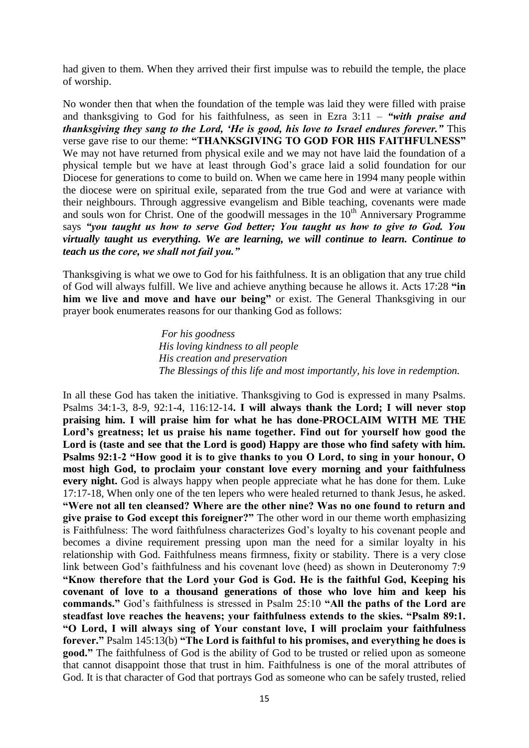had given to them. When they arrived their first impulse was to rebuild the temple, the place of worship.

No wonder then that when the foundation of the temple was laid they were filled with praise and thanksgiving to God for his faithfulness, as seen in Ezra 3:11 – *"with praise and thanksgiving they sang to the Lord, "He is good, his love to Israel endures forever."* This verse gave rise to our theme: **"THANKSGIVING TO GOD FOR HIS FAITHFULNESS"**  We may not have returned from physical exile and we may not have laid the foundation of a physical temple but we have at least through God"s grace laid a solid foundation for our Diocese for generations to come to build on. When we came here in 1994 many people within the diocese were on spiritual exile, separated from the true God and were at variance with their neighbours. Through aggressive evangelism and Bible teaching, covenants were made and souls won for Christ. One of the goodwill messages in the  $10<sup>th</sup>$  Anniversary Programme says *"you taught us how to serve God better; You taught us how to give to God. You virtually taught us everything. We are learning, we will continue to learn. Continue to teach us the core, we shall not fail you."*

Thanksgiving is what we owe to God for his faithfulness. It is an obligation that any true child of God will always fulfill. We live and achieve anything because he allows it. Acts 17:28 **"in him we live and move and have our being"** or exist. The General Thanksgiving in our prayer book enumerates reasons for our thanking God as follows:

> *For his goodness His loving kindness to all people His creation and preservation The Blessings of this life and most importantly, his love in redemption.*

In all these God has taken the initiative. Thanksgiving to God is expressed in many Psalms. Psalms 34:1-3, 8-9, 92:1-4, 116:12-14**. I will always thank the Lord; I will never stop praising him. I will praise him for what he has done-PROCLAIM WITH ME THE**  Lord's greatness; let us praise his name together. Find out for yourself how good the **Lord is (taste and see that the Lord is good) Happy are those who find safety with him. Psalms 92:1-2 "How good it is to give thanks to you O Lord, to sing in your honour, O most high God, to proclaim your constant love every morning and your faithfulness every night.** God is always happy when people appreciate what he has done for them. Luke 17:17-18, When only one of the ten lepers who were healed returned to thank Jesus, he asked. **"Were not all ten cleansed? Where are the other nine? Was no one found to return and give praise to God except this foreigner?"** The other word in our theme worth emphasizing is Faithfulness: The word faithfulness characterizes God"s loyalty to his covenant people and becomes a divine requirement pressing upon man the need for a similar loyalty in his relationship with God. Faithfulness means firmness, fixity or stability. There is a very close link between God"s faithfulness and his covenant love (heed) as shown in Deuteronomy 7:9 **"Know therefore that the Lord your God is God. He is the faithful God, Keeping his covenant of love to a thousand generations of those who love him and keep his commands."** God"s faithfulness is stressed in Psalm 25:10 **"All the paths of the Lord are steadfast love reaches the heavens; your faithfulness extends to the skies. "Psalm 89:1. "O Lord, I will always sing of Your constant love, I will proclaim your faithfulness forever."** Psalm 145:13(b) **"The Lord is faithful to his promises, and everything he does is good."** The faithfulness of God is the ability of God to be trusted or relied upon as someone that cannot disappoint those that trust in him. Faithfulness is one of the moral attributes of God. It is that character of God that portrays God as someone who can be safely trusted, relied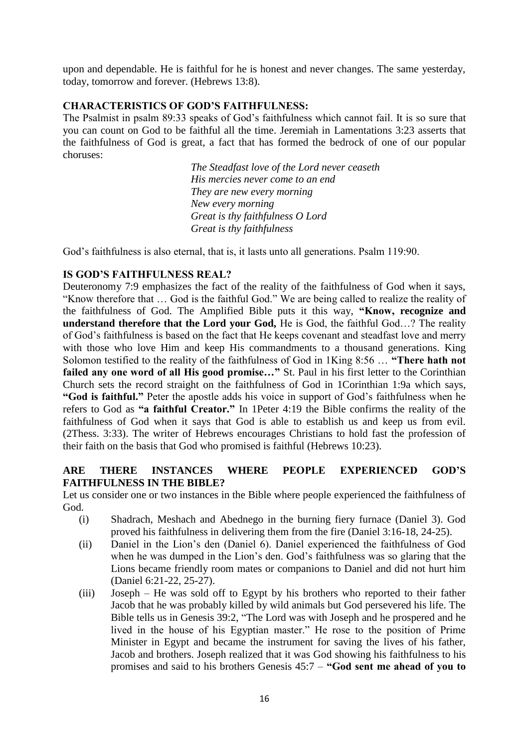upon and dependable. He is faithful for he is honest and never changes. The same yesterday, today, tomorrow and forever. (Hebrews 13:8).

# **CHARACTERISTICS OF GOD"S FAITHFULNESS:**

The Psalmist in psalm 89:33 speaks of God"s faithfulness which cannot fail. It is so sure that you can count on God to be faithful all the time. Jeremiah in Lamentations 3:23 asserts that the faithfulness of God is great, a fact that has formed the bedrock of one of our popular choruses:

> *The Steadfast love of the Lord never ceaseth His mercies never come to an end They are new every morning New every morning Great is thy faithfulness O Lord Great is thy faithfulness*

God's faithfulness is also eternal, that is, it lasts unto all generations. Psalm 119:90.

## **IS GOD"S FAITHFULNESS REAL?**

Deuteronomy 7:9 emphasizes the fact of the reality of the faithfulness of God when it says, "Know therefore that … God is the faithful God." We are being called to realize the reality of the faithfulness of God. The Amplified Bible puts it this way, **"Know, recognize and understand therefore that the Lord your God,** He is God, the faithful God…? The reality of God"s faithfulness is based on the fact that He keeps covenant and steadfast love and merry with those who love Him and keep His commandments to a thousand generations. King Solomon testified to the reality of the faithfulness of God in 1King 8:56 … **"There hath not failed any one word of all His good promise…"** St. Paul in his first letter to the Corinthian Church sets the record straight on the faithfulness of God in 1Corinthian 1:9a which says, "God is faithful." Peter the apostle adds his voice in support of God's faithfulness when he refers to God as **"a faithful Creator."** In 1Peter 4:19 the Bible confirms the reality of the faithfulness of God when it says that God is able to establish us and keep us from evil. (2Thess. 3:33). The writer of Hebrews encourages Christians to hold fast the profession of their faith on the basis that God who promised is faithful (Hebrews 10:23).

## **ARE THERE INSTANCES WHERE PEOPLE EXPERIENCED GOD"S FAITHFULNESS IN THE BIBLE?**

Let us consider one or two instances in the Bible where people experienced the faithfulness of God.

- (i) Shadrach, Meshach and Abednego in the burning fiery furnace (Daniel 3). God proved his faithfulness in delivering them from the fire (Daniel 3:16-18, 24-25).
- (ii) Daniel in the Lion"s den (Daniel 6). Daniel experienced the faithfulness of God when he was dumped in the Lion's den. God's faithfulness was so glaring that the Lions became friendly room mates or companions to Daniel and did not hurt him (Daniel 6:21-22, 25-27).
- (iii) Joseph He was sold off to Egypt by his brothers who reported to their father Jacob that he was probably killed by wild animals but God persevered his life. The Bible tells us in Genesis 39:2, "The Lord was with Joseph and he prospered and he lived in the house of his Egyptian master." He rose to the position of Prime Minister in Egypt and became the instrument for saving the lives of his father, Jacob and brothers. Joseph realized that it was God showing his faithfulness to his promises and said to his brothers Genesis 45:7 – **"God sent me ahead of you to**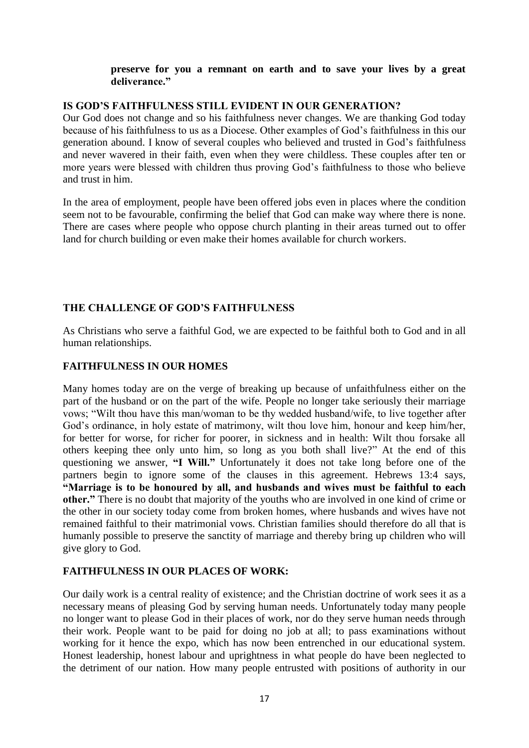## **preserve for you a remnant on earth and to save your lives by a great deliverance."**

### **IS GOD"S FAITHFULNESS STILL EVIDENT IN OUR GENERATION?**

Our God does not change and so his faithfulness never changes. We are thanking God today because of his faithfulness to us as a Diocese. Other examples of God"s faithfulness in this our generation abound. I know of several couples who believed and trusted in God"s faithfulness and never wavered in their faith, even when they were childless. These couples after ten or more years were blessed with children thus proving God"s faithfulness to those who believe and trust in him.

In the area of employment, people have been offered jobs even in places where the condition seem not to be favourable, confirming the belief that God can make way where there is none. There are cases where people who oppose church planting in their areas turned out to offer land for church building or even make their homes available for church workers.

# **THE CHALLENGE OF GOD"S FAITHFULNESS**

As Christians who serve a faithful God, we are expected to be faithful both to God and in all human relationships.

# **FAITHFULNESS IN OUR HOMES**

Many homes today are on the verge of breaking up because of unfaithfulness either on the part of the husband or on the part of the wife. People no longer take seriously their marriage vows; "Wilt thou have this man/woman to be thy wedded husband/wife, to live together after God's ordinance, in holy estate of matrimony, wilt thou love him, honour and keep him/her, for better for worse, for richer for poorer, in sickness and in health: Wilt thou forsake all others keeping thee only unto him, so long as you both shall live?" At the end of this questioning we answer, **"I Will."** Unfortunately it does not take long before one of the partners begin to ignore some of the clauses in this agreement. Hebrews 13:4 says, **"Marriage is to be honoured by all, and husbands and wives must be faithful to each other."** There is no doubt that majority of the youths who are involved in one kind of crime or the other in our society today come from broken homes, where husbands and wives have not remained faithful to their matrimonial vows. Christian families should therefore do all that is humanly possible to preserve the sanctity of marriage and thereby bring up children who will give glory to God.

# **FAITHFULNESS IN OUR PLACES OF WORK:**

Our daily work is a central reality of existence; and the Christian doctrine of work sees it as a necessary means of pleasing God by serving human needs. Unfortunately today many people no longer want to please God in their places of work, nor do they serve human needs through their work. People want to be paid for doing no job at all; to pass examinations without working for it hence the expo, which has now been entrenched in our educational system. Honest leadership, honest labour and uprightness in what people do have been neglected to the detriment of our nation. How many people entrusted with positions of authority in our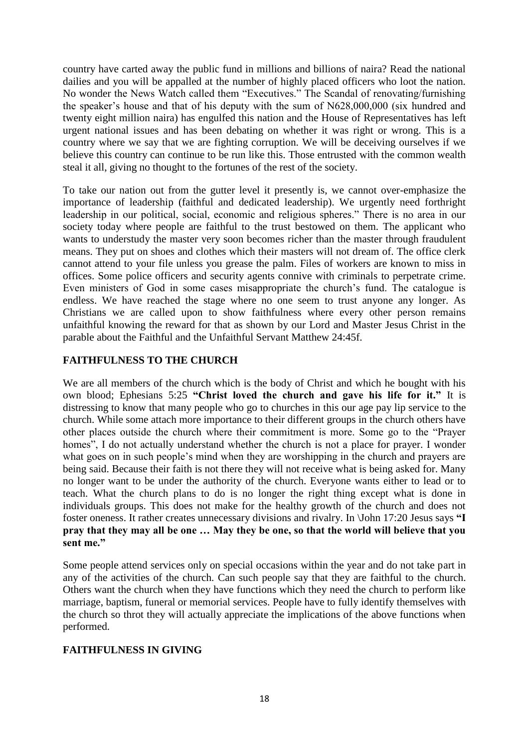country have carted away the public fund in millions and billions of naira? Read the national dailies and you will be appalled at the number of highly placed officers who loot the nation. No wonder the News Watch called them "Executives." The Scandal of renovating/furnishing the speaker"s house and that of his deputy with the sum of N628,000,000 (six hundred and twenty eight million naira) has engulfed this nation and the House of Representatives has left urgent national issues and has been debating on whether it was right or wrong. This is a country where we say that we are fighting corruption. We will be deceiving ourselves if we believe this country can continue to be run like this. Those entrusted with the common wealth steal it all, giving no thought to the fortunes of the rest of the society.

To take our nation out from the gutter level it presently is, we cannot over-emphasize the importance of leadership (faithful and dedicated leadership). We urgently need forthright leadership in our political, social, economic and religious spheres." There is no area in our society today where people are faithful to the trust bestowed on them. The applicant who wants to understudy the master very soon becomes richer than the master through fraudulent means. They put on shoes and clothes which their masters will not dream of. The office clerk cannot attend to your file unless you grease the palm. Files of workers are known to miss in offices. Some police officers and security agents connive with criminals to perpetrate crime. Even ministers of God in some cases misappropriate the church"s fund. The catalogue is endless. We have reached the stage where no one seem to trust anyone any longer. As Christians we are called upon to show faithfulness where every other person remains unfaithful knowing the reward for that as shown by our Lord and Master Jesus Christ in the parable about the Faithful and the Unfaithful Servant Matthew 24:45f.

# **FAITHFULNESS TO THE CHURCH**

We are all members of the church which is the body of Christ and which he bought with his own blood; Ephesians 5:25 **"Christ loved the church and gave his life for it."** It is distressing to know that many people who go to churches in this our age pay lip service to the church. While some attach more importance to their different groups in the church others have other places outside the church where their commitment is more. Some go to the "Prayer homes", I do not actually understand whether the church is not a place for prayer. I wonder what goes on in such people's mind when they are worshipping in the church and prayers are being said. Because their faith is not there they will not receive what is being asked for. Many no longer want to be under the authority of the church. Everyone wants either to lead or to teach. What the church plans to do is no longer the right thing except what is done in individuals groups. This does not make for the healthy growth of the church and does not foster oneness. It rather creates unnecessary divisions and rivalry. In \John 17:20 Jesus says **"I pray that they may all be one … May they be one, so that the world will believe that you sent me."**

Some people attend services only on special occasions within the year and do not take part in any of the activities of the church. Can such people say that they are faithful to the church. Others want the church when they have functions which they need the church to perform like marriage, baptism, funeral or memorial services. People have to fully identify themselves with the church so throt they will actually appreciate the implications of the above functions when performed.

# **FAITHFULNESS IN GIVING**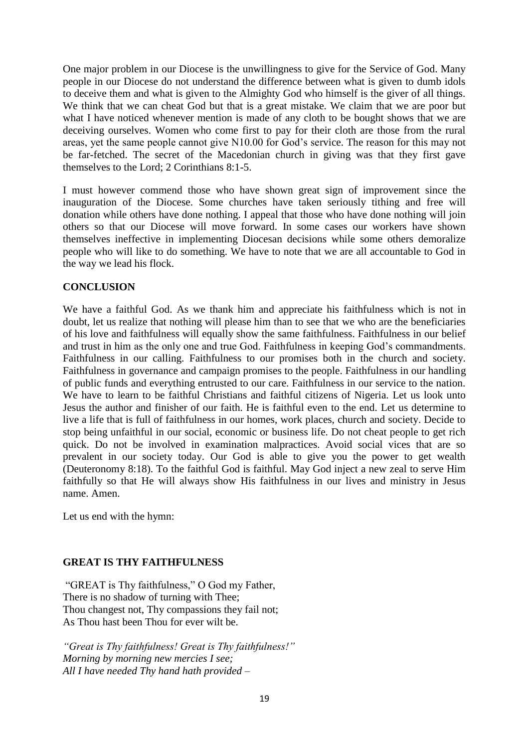One major problem in our Diocese is the unwillingness to give for the Service of God. Many people in our Diocese do not understand the difference between what is given to dumb idols to deceive them and what is given to the Almighty God who himself is the giver of all things. We think that we can cheat God but that is a great mistake. We claim that we are poor but what I have noticed whenever mention is made of any cloth to be bought shows that we are deceiving ourselves. Women who come first to pay for their cloth are those from the rural areas, yet the same people cannot give N10.00 for God's service. The reason for this may not be far-fetched. The secret of the Macedonian church in giving was that they first gave themselves to the Lord; 2 Corinthians 8:1-5.

I must however commend those who have shown great sign of improvement since the inauguration of the Diocese. Some churches have taken seriously tithing and free will donation while others have done nothing. I appeal that those who have done nothing will join others so that our Diocese will move forward. In some cases our workers have shown themselves ineffective in implementing Diocesan decisions while some others demoralize people who will like to do something. We have to note that we are all accountable to God in the way we lead his flock.

## **CONCLUSION**

We have a faithful God. As we thank him and appreciate his faithfulness which is not in doubt, let us realize that nothing will please him than to see that we who are the beneficiaries of his love and faithfulness will equally show the same faithfulness. Faithfulness in our belief and trust in him as the only one and true God. Faithfulness in keeping God"s commandments. Faithfulness in our calling. Faithfulness to our promises both in the church and society. Faithfulness in governance and campaign promises to the people. Faithfulness in our handling of public funds and everything entrusted to our care. Faithfulness in our service to the nation. We have to learn to be faithful Christians and faithful citizens of Nigeria. Let us look unto Jesus the author and finisher of our faith. He is faithful even to the end. Let us determine to live a life that is full of faithfulness in our homes, work places, church and society. Decide to stop being unfaithful in our social, economic or business life. Do not cheat people to get rich quick. Do not be involved in examination malpractices. Avoid social vices that are so prevalent in our society today. Our God is able to give you the power to get wealth (Deuteronomy 8:18). To the faithful God is faithful. May God inject a new zeal to serve Him faithfully so that He will always show His faithfulness in our lives and ministry in Jesus name. Amen.

Let us end with the hymn:

### **GREAT IS THY FAITHFULNESS**

"GREAT is Thy faithfulness," O God my Father, There is no shadow of turning with Thee; Thou changest not, Thy compassions they fail not; As Thou hast been Thou for ever wilt be.

*"Great is Thy faithfulness! Great is Thy faithfulness!" Morning by morning new mercies I see; All I have needed Thy hand hath provided –*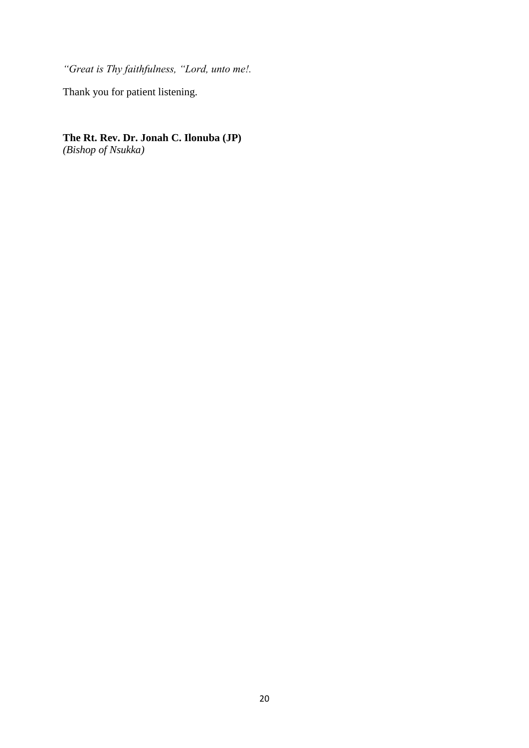*"Great is Thy faithfulness, "Lord, unto me!.*

Thank you for patient listening.

# **The Rt. Rev. Dr. Jonah C. Ilonuba (JP)** *(Bishop of Nsukka)*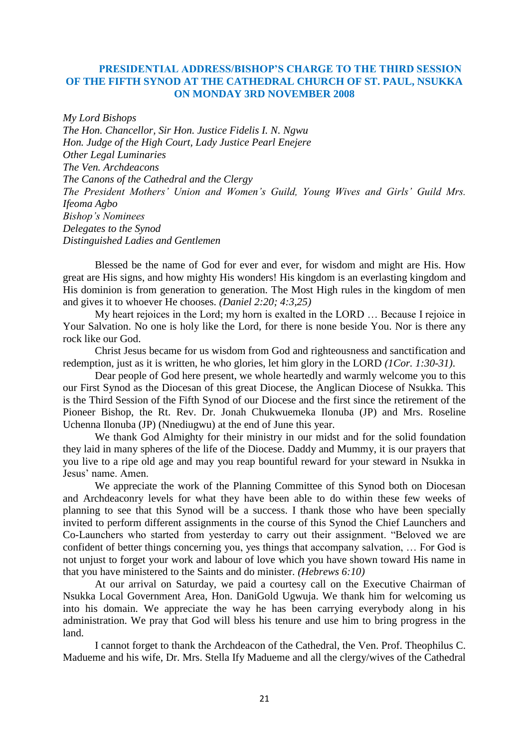## **PRESIDENTIAL ADDRESS/BISHOP"S CHARGE TO THE THIRD SESSION OF THE FIFTH SYNOD AT THE CATHEDRAL CHURCH OF ST. PAUL, NSUKKA ON MONDAY 3RD NOVEMBER 2008**

*My Lord Bishops The Hon. Chancellor, Sir Hon. Justice Fidelis I. N. Ngwu Hon. Judge of the High Court, Lady Justice Pearl Enejere Other Legal Luminaries The Ven. Archdeacons The Canons of the Cathedral and the Clergy The President Mothers' Union and Women's Guild, Young Wives and Girls' Guild Mrs. Ifeoma Agbo Bishop's Nominees Delegates to the Synod Distinguished Ladies and Gentlemen*

Blessed be the name of God for ever and ever, for wisdom and might are His. How great are His signs, and how mighty His wonders! His kingdom is an everlasting kingdom and His dominion is from generation to generation. The Most High rules in the kingdom of men and gives it to whoever He chooses. *(Daniel 2:20; 4:3,25)*

My heart rejoices in the Lord; my horn is exalted in the LORD … Because I rejoice in Your Salvation. No one is holy like the Lord, for there is none beside You. Nor is there any rock like our God.

Christ Jesus became for us wisdom from God and righteousness and sanctification and redemption, just as it is written, he who glories, let him glory in the LORD *(1Cor. 1:30-31)*.

Dear people of God here present, we whole heartedly and warmly welcome you to this our First Synod as the Diocesan of this great Diocese, the Anglican Diocese of Nsukka. This is the Third Session of the Fifth Synod of our Diocese and the first since the retirement of the Pioneer Bishop, the Rt. Rev. Dr. Jonah Chukwuemeka Ilonuba (JP) and Mrs. Roseline Uchenna Ilonuba (JP) (Nnediugwu) at the end of June this year.

We thank God Almighty for their ministry in our midst and for the solid foundation they laid in many spheres of the life of the Diocese. Daddy and Mummy, it is our prayers that you live to a ripe old age and may you reap bountiful reward for your steward in Nsukka in Jesus" name. Amen.

We appreciate the work of the Planning Committee of this Synod both on Diocesan and Archdeaconry levels for what they have been able to do within these few weeks of planning to see that this Synod will be a success. I thank those who have been specially invited to perform different assignments in the course of this Synod the Chief Launchers and Co-Launchers who started from yesterday to carry out their assignment. "Beloved we are confident of better things concerning you, yes things that accompany salvation, … For God is not unjust to forget your work and labour of love which you have shown toward His name in that you have ministered to the Saints and do minister. *(Hebrews 6:10)*

At our arrival on Saturday, we paid a courtesy call on the Executive Chairman of Nsukka Local Government Area, Hon. DaniGold Ugwuja. We thank him for welcoming us into his domain. We appreciate the way he has been carrying everybody along in his administration. We pray that God will bless his tenure and use him to bring progress in the land.

I cannot forget to thank the Archdeacon of the Cathedral, the Ven. Prof. Theophilus C. Madueme and his wife, Dr. Mrs. Stella Ify Madueme and all the clergy/wives of the Cathedral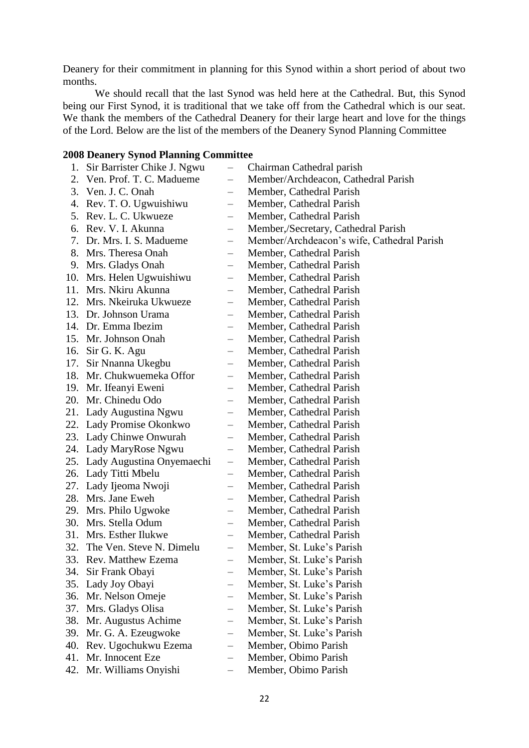Deanery for their commitment in planning for this Synod within a short period of about two months.

We should recall that the last Synod was held here at the Cathedral. But, this Synod being our First Synod, it is traditional that we take off from the Cathedral which is our seat. We thank the members of the Cathedral Deanery for their large heart and love for the things of the Lord. Below are the list of the members of the Deanery Synod Planning Committee

#### **2008 Deanery Synod Planning Committee**

|     | 1. Sir Barrister Chike J. Ngwu | -                        | Chairman Cathedral parish                  |
|-----|--------------------------------|--------------------------|--------------------------------------------|
|     | 2. Ven. Prof. T. C. Madueme    |                          | Member/Archdeacon, Cathedral Parish        |
|     | 3. Ven. J. C. Onah             |                          | Member, Cathedral Parish                   |
|     | 4. Rev. T. O. Ugwuishiwu       | $\overline{\phantom{0}}$ | Member, Cathedral Parish                   |
|     | 5. Rev. L. C. Ukwueze          | —                        | Member, Cathedral Parish                   |
|     | 6. Rev. V. I. Akunna           |                          | Member,/Secretary, Cathedral Parish        |
|     | 7. Dr. Mrs. I. S. Madueme      |                          | Member/Archdeacon's wife, Cathedral Parish |
|     | 8. Mrs. Theresa Onah           |                          | Member, Cathedral Parish                   |
|     | 9. Mrs. Gladys Onah            | $\overline{\phantom{0}}$ | Member, Cathedral Parish                   |
|     | 10. Mrs. Helen Ugwuishiwu      |                          | Member, Cathedral Parish                   |
|     | 11. Mrs. Nkiru Akunna          | $\qquad \qquad -$        | Member, Cathedral Parish                   |
|     | 12. Mrs. Nkeiruka Ukwueze      |                          | Member, Cathedral Parish                   |
|     | 13. Dr. Johnson Urama          | $\overline{\phantom{0}}$ | Member, Cathedral Parish                   |
|     | 14. Dr. Emma Ibezim            | -                        | Member, Cathedral Parish                   |
|     | 15. Mr. Johnson Onah           | $\qquad \qquad -$        | Member, Cathedral Parish                   |
|     | 16. Sir G. K. Agu              | $-$                      | Member, Cathedral Parish                   |
|     | 17. Sir Nnanna Ukegbu          |                          | Member, Cathedral Parish                   |
|     | 18. Mr. Chukwuemeka Offor      | $\overline{\phantom{0}}$ | Member, Cathedral Parish                   |
|     | 19. Mr. Ifeanyi Eweni          | $\overline{\phantom{0}}$ | Member, Cathedral Parish                   |
|     | 20. Mr. Chinedu Odo            |                          | Member, Cathedral Parish                   |
|     | 21. Lady Augustina Ngwu        | —                        | Member, Cathedral Parish                   |
|     | 22. Lady Promise Okonkwo       | $\overline{\phantom{0}}$ | Member, Cathedral Parish                   |
|     | 23. Lady Chinwe Onwurah        | $\overline{\phantom{0}}$ | Member, Cathedral Parish                   |
|     | 24. Lady MaryRose Ngwu         | $\qquad \qquad -$        | Member, Cathedral Parish                   |
| 25. | Lady Augustina Onyemaechi      | $\qquad \qquad -$        | Member, Cathedral Parish                   |
|     | 26. Lady Titti Mbelu           | $\equiv$                 | Member, Cathedral Parish                   |
|     | 27. Lady Ijeoma Nwoji          |                          | Member, Cathedral Parish                   |
|     | 28. Mrs. Jane Eweh             | —                        | Member, Cathedral Parish                   |
|     | 29. Mrs. Philo Ugwoke          | $-$                      | Member, Cathedral Parish                   |
|     | 30. Mrs. Stella Odum           |                          | Member, Cathedral Parish                   |
|     | 31. Mrs. Esther Ilukwe         | $\overline{\phantom{0}}$ | Member, Cathedral Parish                   |
|     | 32. The Ven. Steve N. Dimelu   | $\qquad \qquad -$        | Member, St. Luke's Parish                  |
| 33. | Rev. Matthew Ezema             |                          | Member, St. Luke's Parish                  |
| 34. | Sir Frank Obayi                | $\qquad \qquad -$        | Member, St. Luke's Parish                  |
| 35. | Lady Joy Obayi                 | —                        | Member, St. Luke's Parish                  |
| 36. | Mr. Nelson Omeje               |                          | Member, St. Luke's Parish                  |
|     | 37. Mrs. Gladys Olisa          |                          | Member, St. Luke's Parish                  |
| 38. | Mr. Augustus Achime            |                          | Member, St. Luke's Parish                  |
| 39. | Mr. G. A. Ezeugwoke            | —                        | Member, St. Luke's Parish                  |
| 40. | Rev. Ugochukwu Ezema           |                          | Member, Obimo Parish                       |
| 41. | Mr. Innocent Eze               |                          | Member, Obimo Parish                       |
| 42. | Mr. Williams Onyishi           | $\qquad \qquad -$        | Member, Obimo Parish                       |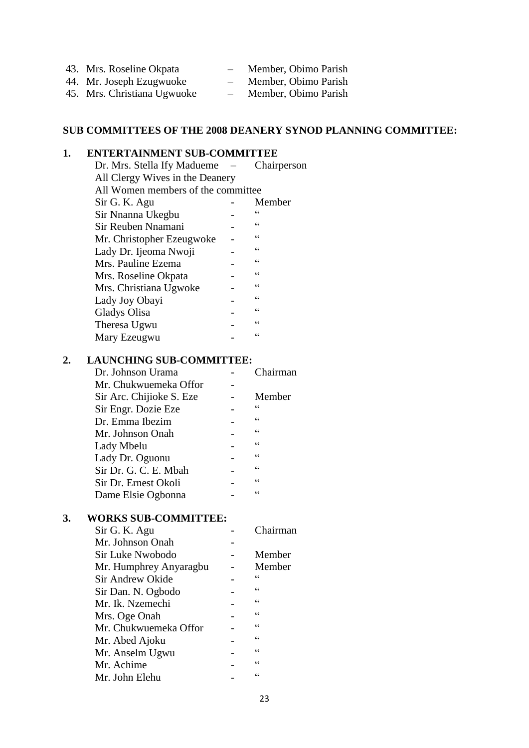| 43. Mrs. Roseline Okpata | $\overline{\phantom{0}}$ | Member, Obimo Parish |
|--------------------------|--------------------------|----------------------|
| 44. Mr. Joseph Ezugwuoke |                          | Member, Obimo Parish |
|                          |                          |                      |

45. Mrs. Christiana Ugwuoke – Member, Obimo Parish

### **SUB COMMITTEES OF THE 2008 DEANERY SYNOD PLANNING COMMITTEE:**

# **1. ENTERTAINMENT SUB-COMMITTEE**

|                                    | Chairperson |
|------------------------------------|-------------|
| All Clergy Wives in the Deanery    |             |
| All Women members of the committee |             |
|                                    | Member      |
|                                    | ረረ          |
|                                    | C C         |
|                                    | "           |
|                                    | $\epsilon$  |
|                                    | $\epsilon$  |
|                                    | $\epsilon$  |
|                                    | C C         |
|                                    | $\epsilon$  |
|                                    | C C         |
|                                    | $\epsilon$  |
|                                    | $\epsilon$  |
|                                    |             |

### **2. LAUNCHING SUB-COMMITTEE:**

| Dr. Johnson Urama        | Chairman   |
|--------------------------|------------|
| Mr. Chukwuemeka Offor    |            |
| Sir Arc. Chijioke S. Eze | Member     |
| Sir Engr. Dozie Eze      | $\epsilon$ |
| Dr. Emma Ibezim          | $\epsilon$ |
| Mr. Johnson Onah         | $\epsilon$ |
| Lady Mbelu               | C          |
| Lady Dr. Oguonu          | $\epsilon$ |
| Sir Dr. G. C. E. Mbah    | $\epsilon$ |
| Sir Dr. Ernest Okoli     | $\epsilon$ |
| Dame Elsie Ogbonna       | $\epsilon$ |
|                          |            |

## **3. WORKS SUB-COMMITTEE:**

| Sir G. K. Agu          | Chairman   |
|------------------------|------------|
| Mr. Johnson Onah       |            |
| Sir Luke Nwobodo       | Member     |
| Mr. Humphrey Anyaragbu | Member     |
| Sir Andrew Okide       | 66         |
| Sir Dan. N. Ogbodo     | $\epsilon$ |
| Mr. Ik. Nzemechi       | $\epsilon$ |
| Mrs. Oge Onah          | $\epsilon$ |
| Mr. Chukwuemeka Offor  | $\epsilon$ |
| Mr. Abed Ajoku         | $\epsilon$ |
| Mr. Anselm Ugwu        | $\epsilon$ |
| Mr. Achime             | $\epsilon$ |
| Mr. John Elehu         | $\epsilon$ |
|                        |            |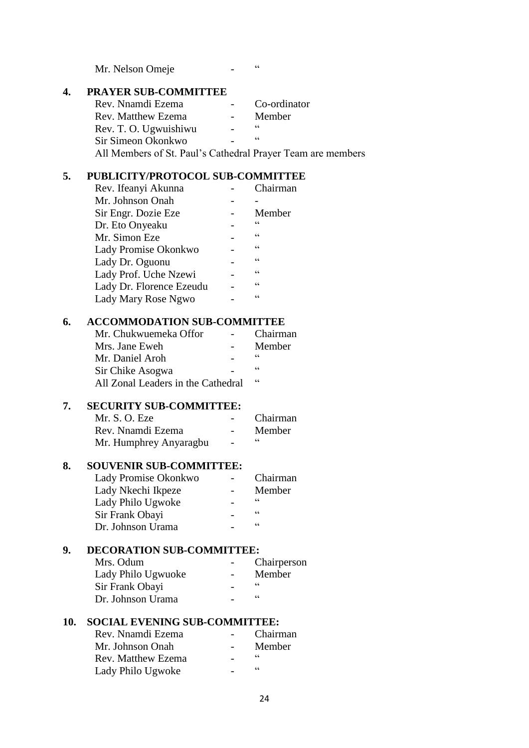Mr. Nelson Omeje - "

## **4. PRAYER SUB-COMMITTEE**

| Rev. Nnamdi Ezema                                           | Co-ordinator |
|-------------------------------------------------------------|--------------|
| Rev. Matthew Ezema                                          | Member       |
| Rev. T. O. Ugwuishiwu                                       | $\epsilon$   |
| Sir Simeon Okonkwo                                          | $\epsilon$   |
| All Members of St. Paul's Cathedral Prayer Team are members |              |

#### **5. PUBLICITY/PROTOCOL SUB-COMMITTEE**

| Rev. Ifeanyi Akunna      | Chairman   |
|--------------------------|------------|
| Mr. Johnson Onah         |            |
| Sir Engr. Dozie Eze      | Member     |
| Dr. Eto Onyeaku          | $\epsilon$ |
| Mr. Simon Eze            | C          |
| Lady Promise Okonkwo     | C          |
| Lady Dr. Oguonu          | $\epsilon$ |
| Lady Prof. Uche Nzewi    | C C        |
| Lady Dr. Florence Ezeudu | $\epsilon$ |
| Lady Mary Rose Ngwo      | $\epsilon$ |
|                          |            |

## **6. ACCOMMODATION SUB-COMMITTEE**

| Mr. Chukwuemeka Offor              | Chairman   |
|------------------------------------|------------|
| Mrs. Jane Eweh                     | Member     |
| Mr. Daniel Aroh                    | $\epsilon$ |
| Sir Chike Asogwa                   | $\epsilon$ |
| All Zonal Leaders in the Cathedral | $\epsilon$ |
|                                    |            |

### **7. SECURITY SUB-COMMITTEE:**

| Mr. S. O. Eze          | $\sim$                   | Chairman   |
|------------------------|--------------------------|------------|
| Rev. Nnamdi Ezema      |                          | Member     |
| Mr. Humphrey Anyaragbu | $\overline{\phantom{0}}$ | $\epsilon$ |

### **8. SOUVENIR SUB-COMMITTEE:**

| Lady Promise Okonkwo | Chairman   |
|----------------------|------------|
| Lady Nkechi Ikpeze   | Member     |
| Lady Philo Ugwoke    | $\epsilon$ |
| Sir Frank Obayi      | $\epsilon$ |
| Dr. Johnson Urama    | $\epsilon$ |

# **9. DECORATION SUB-COMMITTEE:**

| Mrs. Odum          | $\sim$ | Chairperson |
|--------------------|--------|-------------|
| Lady Philo Ugwuoke | $-$    | Member      |
| Sir Frank Obayi    |        | cc          |
| Dr. Johnson Urama  |        | $\epsilon$  |

#### **10. SOCIAL EVENING SUB-COMMITTEE:**

| Chairman   |
|------------|
| Member     |
| $\epsilon$ |
| $\epsilon$ |
|            |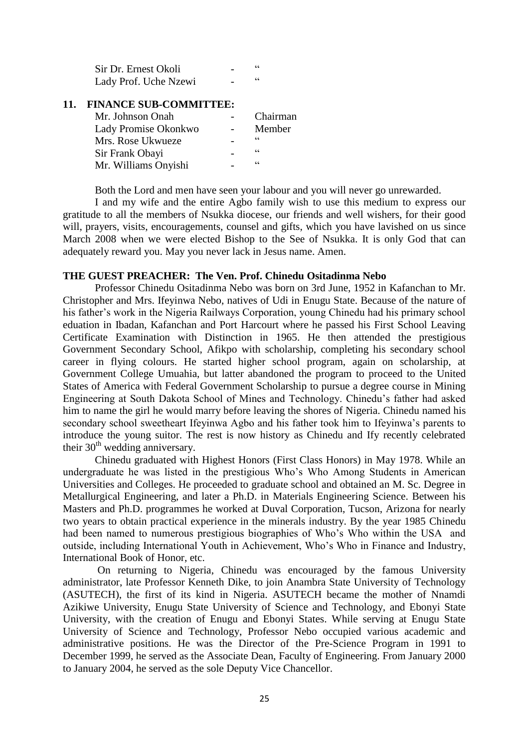| Sir Dr. Ernest Okoli  |    |
|-----------------------|----|
| Lady Prof. Uche Nzewi | ۷Ć |

#### **11. FINANCE SUB-COMMITTEE:**

| Mr. Johnson Onah     | Chairman   |
|----------------------|------------|
| Lady Promise Okonkwo | Member     |
| Mrs. Rose Ukwueze    | $\epsilon$ |
| Sir Frank Obayi      | $\epsilon$ |
| Mr. Williams Onyishi | $\epsilon$ |
|                      |            |

Both the Lord and men have seen your labour and you will never go unrewarded.

I and my wife and the entire Agbo family wish to use this medium to express our gratitude to all the members of Nsukka diocese, our friends and well wishers, for their good will, prayers, visits, encouragements, counsel and gifts, which you have lavished on us since March 2008 when we were elected Bishop to the See of Nsukka. It is only God that can adequately reward you. May you never lack in Jesus name. Amen.

#### **THE GUEST PREACHER: The Ven. Prof. Chinedu Ositadinma Nebo**

Professor Chinedu Ositadinma Nebo was born on 3rd June, 1952 in Kafanchan to Mr. Christopher and Mrs. Ifeyinwa Nebo, natives of Udi in Enugu State. Because of the nature of his father"s work in the Nigeria Railways Corporation, young Chinedu had his primary school eduation in Ibadan, Kafanchan and Port Harcourt where he passed his First School Leaving Certificate Examination with Distinction in 1965. He then attended the prestigious Government Secondary School, Afikpo with scholarship, completing his secondary school career in flying colours. He started higher school program, again on scholarship, at Government College Umuahia, but latter abandoned the program to proceed to the United States of America with Federal Government Scholarship to pursue a degree course in Mining Engineering at South Dakota School of Mines and Technology. Chinedu"s father had asked him to name the girl he would marry before leaving the shores of Nigeria. Chinedu named his secondary school sweetheart Ifeyinwa Agbo and his father took him to Ifeyinwa"s parents to introduce the young suitor. The rest is now history as Chinedu and Ify recently celebrated their  $30<sup>th</sup>$  wedding anniversary.

Chinedu graduated with Highest Honors (First Class Honors) in May 1978. While an undergraduate he was listed in the prestigious Who"s Who Among Students in American Universities and Colleges. He proceeded to graduate school and obtained an M. Sc. Degree in Metallurgical Engineering, and later a Ph.D. in Materials Engineering Science. Between his Masters and Ph.D. programmes he worked at Duval Corporation, Tucson, Arizona for nearly two years to obtain practical experience in the minerals industry. By the year 1985 Chinedu had been named to numerous prestigious biographies of Who's Who within the USA and outside, including International Youth in Achievement, Who"s Who in Finance and Industry, International Book of Honor, etc.

On returning to Nigeria, Chinedu was encouraged by the famous University administrator, late Professor Kenneth Dike, to join Anambra State University of Technology (ASUTECH), the first of its kind in Nigeria. ASUTECH became the mother of Nnamdi Azikiwe University, Enugu State University of Science and Technology, and Ebonyi State University, with the creation of Enugu and Ebonyi States. While serving at Enugu State University of Science and Technology, Professor Nebo occupied various academic and administrative positions. He was the Director of the Pre-Science Program in 1991 to December 1999, he served as the Associate Dean, Faculty of Engineering. From January 2000 to January 2004, he served as the sole Deputy Vice Chancellor.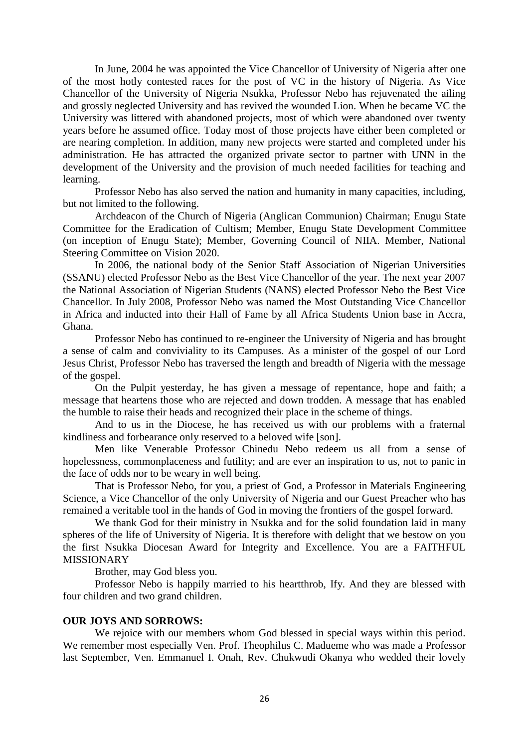In June, 2004 he was appointed the Vice Chancellor of University of Nigeria after one of the most hotly contested races for the post of VC in the history of Nigeria. As Vice Chancellor of the University of Nigeria Nsukka, Professor Nebo has rejuvenated the ailing and grossly neglected University and has revived the wounded Lion. When he became VC the University was littered with abandoned projects, most of which were abandoned over twenty years before he assumed office. Today most of those projects have either been completed or are nearing completion. In addition, many new projects were started and completed under his administration. He has attracted the organized private sector to partner with UNN in the development of the University and the provision of much needed facilities for teaching and learning.

Professor Nebo has also served the nation and humanity in many capacities, including, but not limited to the following.

Archdeacon of the Church of Nigeria (Anglican Communion) Chairman; Enugu State Committee for the Eradication of Cultism; Member, Enugu State Development Committee (on inception of Enugu State); Member, Governing Council of NIIA. Member, National Steering Committee on Vision 2020.

In 2006, the national body of the Senior Staff Association of Nigerian Universities (SSANU) elected Professor Nebo as the Best Vice Chancellor of the year. The next year 2007 the National Association of Nigerian Students (NANS) elected Professor Nebo the Best Vice Chancellor. In July 2008, Professor Nebo was named the Most Outstanding Vice Chancellor in Africa and inducted into their Hall of Fame by all Africa Students Union base in Accra, Ghana.

Professor Nebo has continued to re-engineer the University of Nigeria and has brought a sense of calm and conviviality to its Campuses. As a minister of the gospel of our Lord Jesus Christ, Professor Nebo has traversed the length and breadth of Nigeria with the message of the gospel.

On the Pulpit yesterday, he has given a message of repentance, hope and faith; a message that heartens those who are rejected and down trodden. A message that has enabled the humble to raise their heads and recognized their place in the scheme of things.

And to us in the Diocese, he has received us with our problems with a fraternal kindliness and forbearance only reserved to a beloved wife [son].

Men like Venerable Professor Chinedu Nebo redeem us all from a sense of hopelessness, commonplaceness and futility; and are ever an inspiration to us, not to panic in the face of odds nor to be weary in well being.

That is Professor Nebo, for you, a priest of God, a Professor in Materials Engineering Science, a Vice Chancellor of the only University of Nigeria and our Guest Preacher who has remained a veritable tool in the hands of God in moving the frontiers of the gospel forward.

We thank God for their ministry in Nsukka and for the solid foundation laid in many spheres of the life of University of Nigeria. It is therefore with delight that we bestow on you the first Nsukka Diocesan Award for Integrity and Excellence. You are a FAITHFUL MISSIONARY

Brother, may God bless you.

Professor Nebo is happily married to his heartthrob, Ify. And they are blessed with four children and two grand children.

#### **OUR JOYS AND SORROWS:**

We rejoice with our members whom God blessed in special ways within this period. We remember most especially Ven. Prof. Theophilus C. Madueme who was made a Professor last September, Ven. Emmanuel I. Onah, Rev. Chukwudi Okanya who wedded their lovely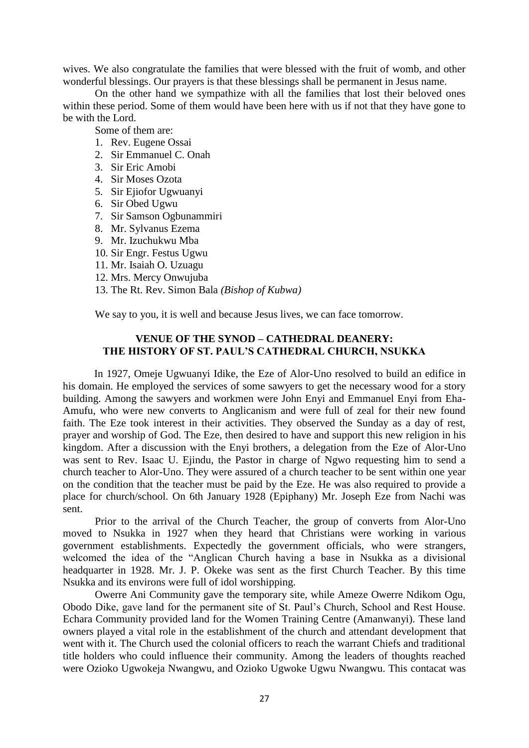wives. We also congratulate the families that were blessed with the fruit of womb, and other wonderful blessings. Our prayers is that these blessings shall be permanent in Jesus name.

On the other hand we sympathize with all the families that lost their beloved ones within these period. Some of them would have been here with us if not that they have gone to be with the Lord.

Some of them are:

- 1. Rev. Eugene Ossai
- 2. Sir Emmanuel C. Onah
- 3. Sir Eric Amobi
- 4. Sir Moses Ozota
- 5. Sir Ejiofor Ugwuanyi
- 6. Sir Obed Ugwu
- 7. Sir Samson Ogbunammiri
- 8. Mr. Sylvanus Ezema
- 9. Mr. Izuchukwu Mba
- 10. Sir Engr. Festus Ugwu
- 11. Mr. Isaiah O. Uzuagu
- 12. Mrs. Mercy Onwujuba
- 13. The Rt. Rev. Simon Bala *(Bishop of Kubwa)*

We say to you, it is well and because Jesus lives, we can face tomorrow.

### **VENUE OF THE SYNOD – CATHEDRAL DEANERY: THE HISTORY OF ST. PAUL"S CATHEDRAL CHURCH, NSUKKA**

In 1927, Omeje Ugwuanyi Idike, the Eze of Alor-Uno resolved to build an edifice in his domain. He employed the services of some sawyers to get the necessary wood for a story building. Among the sawyers and workmen were John Enyi and Emmanuel Enyi from Eha-Amufu, who were new converts to Anglicanism and were full of zeal for their new found faith. The Eze took interest in their activities. They observed the Sunday as a day of rest, prayer and worship of God. The Eze, then desired to have and support this new religion in his kingdom. After a discussion with the Enyi brothers, a delegation from the Eze of Alor-Uno was sent to Rev. Isaac U. Ejindu, the Pastor in charge of Ngwo requesting him to send a church teacher to Alor-Uno. They were assured of a church teacher to be sent within one year on the condition that the teacher must be paid by the Eze. He was also required to provide a place for church/school. On 6th January 1928 (Epiphany) Mr. Joseph Eze from Nachi was sent.

Prior to the arrival of the Church Teacher, the group of converts from Alor-Uno moved to Nsukka in 1927 when they heard that Christians were working in various government establishments. Expectedly the government officials, who were strangers, welcomed the idea of the "Anglican Church having a base in Nsukka as a divisional headquarter in 1928. Mr. J. P. Okeke was sent as the first Church Teacher. By this time Nsukka and its environs were full of idol worshipping.

Owerre Ani Community gave the temporary site, while Ameze Owerre Ndikom Ogu, Obodo Dike, gave land for the permanent site of St. Paul"s Church, School and Rest House. Echara Community provided land for the Women Training Centre (Amanwanyi). These land owners played a vital role in the establishment of the church and attendant development that went with it. The Church used the colonial officers to reach the warrant Chiefs and traditional title holders who could influence their community. Among the leaders of thoughts reached were Ozioko Ugwokeja Nwangwu, and Ozioko Ugwoke Ugwu Nwangwu. This contacat was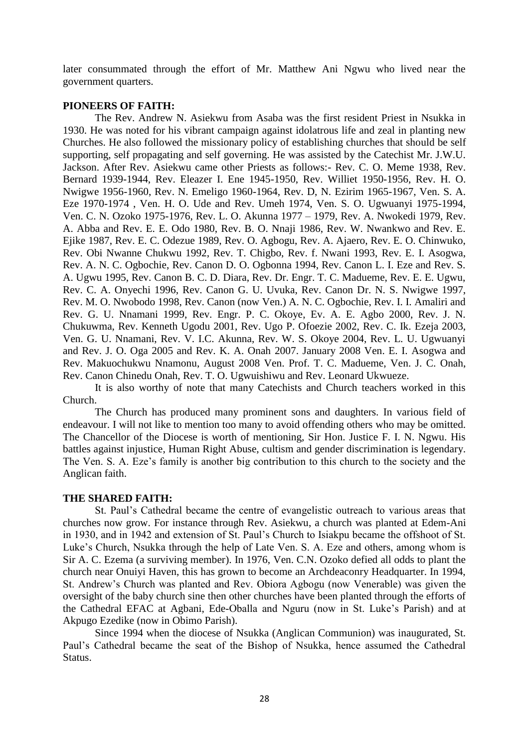later consummated through the effort of Mr. Matthew Ani Ngwu who lived near the government quarters.

#### **PIONEERS OF FAITH:**

The Rev. Andrew N. Asiekwu from Asaba was the first resident Priest in Nsukka in 1930. He was noted for his vibrant campaign against idolatrous life and zeal in planting new Churches. He also followed the missionary policy of establishing churches that should be self supporting, self propagating and self governing. He was assisted by the Catechist Mr. J.W.U. Jackson. After Rev. Asiekwu came other Priests as follows:- Rev. C. O. Meme 1938, Rev. Bernard 1939-1944, Rev. Eleazer I. Ene 1945-1950, Rev. Williet 1950-1956, Rev. H. O. Nwigwe 1956-1960, Rev. N. Emeligo 1960-1964, Rev. D, N. Ezirim 1965-1967, Ven. S. A. Eze 1970-1974 , Ven. H. O. Ude and Rev. Umeh 1974, Ven. S. O. Ugwuanyi 1975-1994, Ven. C. N. Ozoko 1975-1976, Rev. L. O. Akunna 1977 – 1979, Rev. A. Nwokedi 1979, Rev. A. Abba and Rev. E. E. Odo 1980, Rev. B. O. Nnaji 1986, Rev. W. Nwankwo and Rev. E. Ejike 1987, Rev. E. C. Odezue 1989, Rev. O. Agbogu, Rev. A. Ajaero, Rev. E. O. Chinwuko, Rev. Obi Nwanne Chukwu 1992, Rev. T. Chigbo, Rev. f. Nwani 1993, Rev. E. I. Asogwa, Rev. A. N. C. Ogbochie, Rev. Canon D. O. Ogbonna 1994, Rev. Canon L. I. Eze and Rev. S. A. Ugwu 1995, Rev. Canon B. C. D. Diara, Rev. Dr. Engr. T. C. Madueme, Rev. E. E. Ugwu, Rev. C. A. Onyechi 1996, Rev. Canon G. U. Uvuka, Rev. Canon Dr. N. S. Nwigwe 1997, Rev. M. O. Nwobodo 1998, Rev. Canon (now Ven.) A. N. C. Ogbochie, Rev. I. I. Amaliri and Rev. G. U. Nnamani 1999, Rev. Engr. P. C. Okoye, Ev. A. E. Agbo 2000, Rev. J. N. Chukuwma, Rev. Kenneth Ugodu 2001, Rev. Ugo P. Ofoezie 2002, Rev. C. Ik. Ezeja 2003, Ven. G. U. Nnamani, Rev. V. I.C. Akunna, Rev. W. S. Okoye 2004, Rev. L. U. Ugwuanyi and Rev. J. O. Oga 2005 and Rev. K. A. Onah 2007. January 2008 Ven. E. I. Asogwa and Rev. Makuochukwu Nnamonu, August 2008 Ven. Prof. T. C. Madueme, Ven. J. C. Onah, Rev. Canon Chinedu Onah, Rev. T. O. Ugwuishiwu and Rev. Leonard Ukwueze.

It is also worthy of note that many Catechists and Church teachers worked in this Church.

The Church has produced many prominent sons and daughters. In various field of endeavour. I will not like to mention too many to avoid offending others who may be omitted. The Chancellor of the Diocese is worth of mentioning, Sir Hon. Justice F. I. N. Ngwu. His battles against injustice, Human Right Abuse, cultism and gender discrimination is legendary. The Ven. S. A. Eze's family is another big contribution to this church to the society and the Anglican faith.

### **THE SHARED FAITH:**

St. Paul"s Cathedral became the centre of evangelistic outreach to various areas that churches now grow. For instance through Rev. Asiekwu, a church was planted at Edem-Ani in 1930, and in 1942 and extension of St. Paul"s Church to Isiakpu became the offshoot of St. Luke"s Church, Nsukka through the help of Late Ven. S. A. Eze and others, among whom is Sir A. C. Ezema (a surviving member). In 1976, Ven. C.N. Ozoko defied all odds to plant the church near Onuiyi Haven, this has grown to become an Archdeaconry Headquarter. In 1994, St. Andrew"s Church was planted and Rev. Obiora Agbogu (now Venerable) was given the oversight of the baby church sine then other churches have been planted through the efforts of the Cathedral EFAC at Agbani, Ede-Oballa and Nguru (now in St. Luke"s Parish) and at Akpugo Ezedike (now in Obimo Parish).

Since 1994 when the diocese of Nsukka (Anglican Communion) was inaugurated, St. Paul"s Cathedral became the seat of the Bishop of Nsukka, hence assumed the Cathedral Status.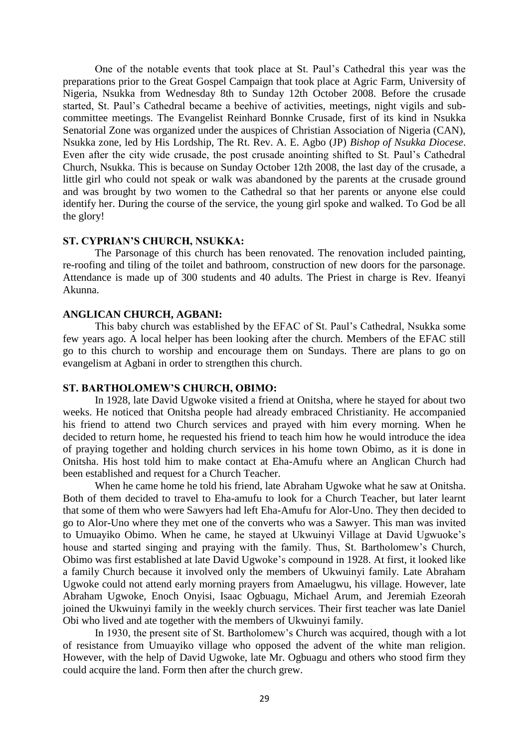One of the notable events that took place at St. Paul"s Cathedral this year was the preparations prior to the Great Gospel Campaign that took place at Agric Farm, University of Nigeria, Nsukka from Wednesday 8th to Sunday 12th October 2008. Before the crusade started, St. Paul"s Cathedral became a beehive of activities, meetings, night vigils and subcommittee meetings. The Evangelist Reinhard Bonnke Crusade, first of its kind in Nsukka Senatorial Zone was organized under the auspices of Christian Association of Nigeria (CAN), Nsukka zone, led by His Lordship, The Rt. Rev. A. E. Agbo (JP) *Bishop of Nsukka Diocese*. Even after the city wide crusade, the post crusade anointing shifted to St. Paul"s Cathedral Church, Nsukka. This is because on Sunday October 12th 2008, the last day of the crusade, a little girl who could not speak or walk was abandoned by the parents at the crusade ground and was brought by two women to the Cathedral so that her parents or anyone else could identify her. During the course of the service, the young girl spoke and walked. To God be all the glory!

#### **ST. CYPRIAN"S CHURCH, NSUKKA:**

The Parsonage of this church has been renovated. The renovation included painting, re-roofing and tiling of the toilet and bathroom, construction of new doors for the parsonage. Attendance is made up of 300 students and 40 adults. The Priest in charge is Rev. Ifeanyi Akunna.

#### **ANGLICAN CHURCH, AGBANI:**

This baby church was established by the EFAC of St. Paul"s Cathedral, Nsukka some few years ago. A local helper has been looking after the church. Members of the EFAC still go to this church to worship and encourage them on Sundays. There are plans to go on evangelism at Agbani in order to strengthen this church.

#### **ST. BARTHOLOMEW"S CHURCH, OBIMO:**

In 1928, late David Ugwoke visited a friend at Onitsha, where he stayed for about two weeks. He noticed that Onitsha people had already embraced Christianity. He accompanied his friend to attend two Church services and prayed with him every morning. When he decided to return home, he requested his friend to teach him how he would introduce the idea of praying together and holding church services in his home town Obimo, as it is done in Onitsha. His host told him to make contact at Eha-Amufu where an Anglican Church had been established and request for a Church Teacher.

When he came home he told his friend, late Abraham Ugwoke what he saw at Onitsha. Both of them decided to travel to Eha-amufu to look for a Church Teacher, but later learnt that some of them who were Sawyers had left Eha-Amufu for Alor-Uno. They then decided to go to Alor-Uno where they met one of the converts who was a Sawyer. This man was invited to Umuayiko Obimo. When he came, he stayed at Ukwuinyi Village at David Ugwuoke"s house and started singing and praying with the family. Thus, St. Bartholomew's Church, Obimo was first established at late David Ugwoke"s compound in 1928. At first, it looked like a family Church because it involved only the members of Ukwuinyi family. Late Abraham Ugwoke could not attend early morning prayers from Amaelugwu, his village. However, late Abraham Ugwoke, Enoch Onyisi, Isaac Ogbuagu, Michael Arum, and Jeremiah Ezeorah joined the Ukwuinyi family in the weekly church services. Their first teacher was late Daniel Obi who lived and ate together with the members of Ukwuinyi family.

In 1930, the present site of St. Bartholomew"s Church was acquired, though with a lot of resistance from Umuayiko village who opposed the advent of the white man religion. However, with the help of David Ugwoke, late Mr. Ogbuagu and others who stood firm they could acquire the land. Form then after the church grew.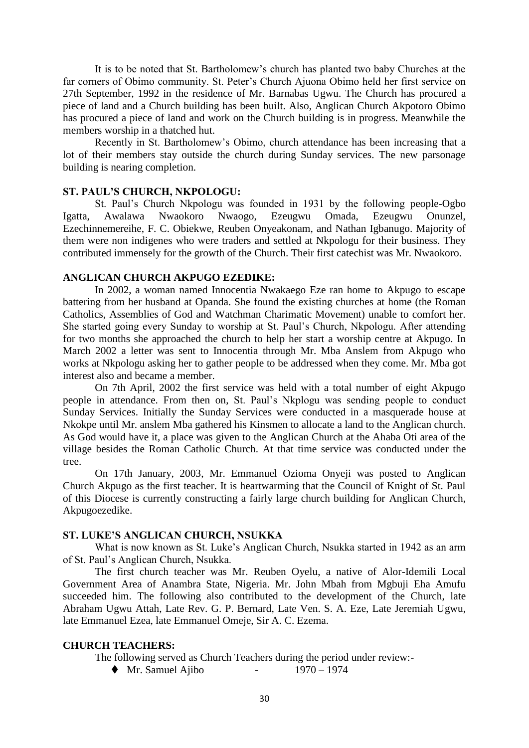It is to be noted that St. Bartholomew"s church has planted two baby Churches at the far corners of Obimo community. St. Peter's Church Ajuona Obimo held her first service on 27th September, 1992 in the residence of Mr. Barnabas Ugwu. The Church has procured a piece of land and a Church building has been built. Also, Anglican Church Akpotoro Obimo has procured a piece of land and work on the Church building is in progress. Meanwhile the members worship in a thatched hut.

Recently in St. Bartholomew"s Obimo, church attendance has been increasing that a lot of their members stay outside the church during Sunday services. The new parsonage building is nearing completion.

#### **ST. PAUL"S CHURCH, NKPOLOGU:**

St. Paul"s Church Nkpologu was founded in 1931 by the following people-Ogbo Igatta, Awalawa Nwaokoro Nwaogo, Ezeugwu Omada, Ezeugwu Onunzel, Ezechinnemereihe, F. C. Obiekwe, Reuben Onyeakonam, and Nathan Igbanugo. Majority of them were non indigenes who were traders and settled at Nkpologu for their business. They contributed immensely for the growth of the Church. Their first catechist was Mr. Nwaokoro.

#### **ANGLICAN CHURCH AKPUGO EZEDIKE:**

In 2002, a woman named Innocentia Nwakaego Eze ran home to Akpugo to escape battering from her husband at Opanda. She found the existing churches at home (the Roman Catholics, Assemblies of God and Watchman Charimatic Movement) unable to comfort her. She started going every Sunday to worship at St. Paul"s Church, Nkpologu. After attending for two months she approached the church to help her start a worship centre at Akpugo. In March 2002 a letter was sent to Innocentia through Mr. Mba Anslem from Akpugo who works at Nkpologu asking her to gather people to be addressed when they come. Mr. Mba got interest also and became a member.

On 7th April, 2002 the first service was held with a total number of eight Akpugo people in attendance. From then on, St. Paul"s Nkplogu was sending people to conduct Sunday Services. Initially the Sunday Services were conducted in a masquerade house at Nkokpe until Mr. anslem Mba gathered his Kinsmen to allocate a land to the Anglican church. As God would have it, a place was given to the Anglican Church at the Ahaba Oti area of the village besides the Roman Catholic Church. At that time service was conducted under the tree.

On 17th January, 2003, Mr. Emmanuel Ozioma Onyeji was posted to Anglican Church Akpugo as the first teacher. It is heartwarming that the Council of Knight of St. Paul of this Diocese is currently constructing a fairly large church building for Anglican Church, Akpugoezedike.

#### **ST. LUKE"S ANGLICAN CHURCH, NSUKKA**

What is now known as St. Luke"s Anglican Church, Nsukka started in 1942 as an arm of St. Paul"s Anglican Church, Nsukka.

The first church teacher was Mr. Reuben Oyelu, a native of Alor-Idemili Local Government Area of Anambra State, Nigeria. Mr. John Mbah from Mgbuji Eha Amufu succeeded him. The following also contributed to the development of the Church, late Abraham Ugwu Attah, Late Rev. G. P. Bernard, Late Ven. S. A. Eze, Late Jeremiah Ugwu, late Emmanuel Ezea, late Emmanuel Omeje, Sir A. C. Ezema.

#### **CHURCH TEACHERS:**

The following served as Church Teachers during the period under review:-

 $\blacklozenge$  Mr. Samuel Ajibo - 1970 – 1974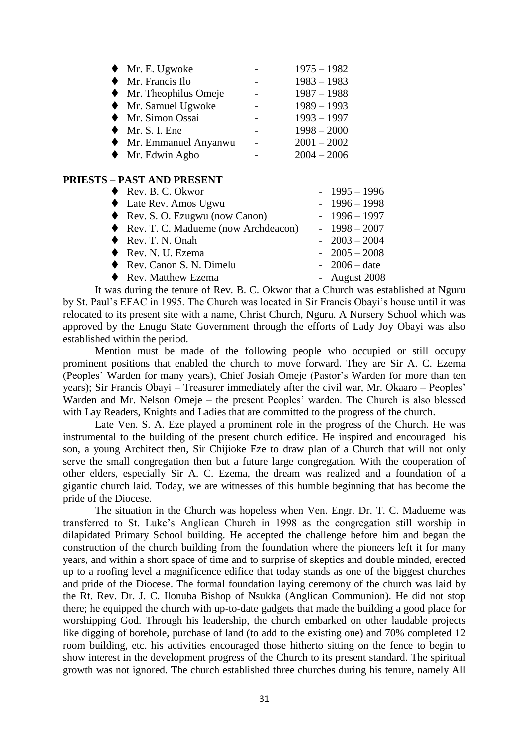| $\blacklozenge$ Mr. E. Ugwoke        | $1975 - 1982$ |
|--------------------------------------|---------------|
| $\blacklozenge$ Mr. Francis Ilo      | $1983 - 1983$ |
| $\blacklozenge$ Mr. Theophilus Omeje | $1987 - 1988$ |
| $\blacklozenge$ Mr. Samuel Ugwoke    | $1989 - 1993$ |
| ♦ Mr. Simon Ossai                    | $1993 - 1997$ |
| $\blacklozenge$ Mr. S. I. Ene        | $1998 - 2000$ |
| $\blacklozenge$ Mr. Emmanuel Anyanwu | $2001 - 2002$ |
| $\blacklozenge$ Mr. Edwin Agbo       | $2004 - 2006$ |

#### **PRIESTS – PAST AND PRESENT**

| $\blacklozenge$ Rev. B. C. Okwor    | $-1995-1996$   |
|-------------------------------------|----------------|
| $\blacklozenge$ Late Rev. Amos Ugwu | $-1996-1998$   |
| Rev. S. O. Ezugwu (now Canon)       | $-1996-1997$   |
| Rev. T. C. Madueme (now Archdeacon) | $-1998-2007$   |
| $\blacklozenge$ Rev. T. N. Onah     | $-2003-2004$   |
| Rev. N. U. Ezema                    | $-2005-2008$   |
| Rev. Canon S. N. Dimelu             | $-2006 - date$ |
| ◆ Rev. Matthew Ezema                | - August 2008  |
|                                     |                |

It was during the tenure of Rev. B. C. Okwor that a Church was established at Nguru by St. Paul"s EFAC in 1995. The Church was located in Sir Francis Obayi"s house until it was relocated to its present site with a name, Christ Church, Nguru. A Nursery School which was approved by the Enugu State Government through the efforts of Lady Joy Obayi was also established within the period.

Mention must be made of the following people who occupied or still occupy prominent positions that enabled the church to move forward. They are Sir A. C. Ezema (Peoples" Warden for many years), Chief Josiah Omeje (Pastor"s Warden for more than ten years); Sir Francis Obayi – Treasurer immediately after the civil war, Mr. Okaaro – Peoples" Warden and Mr. Nelson Omeje – the present Peoples' warden. The Church is also blessed with Lay Readers, Knights and Ladies that are committed to the progress of the church.

Late Ven. S. A. Eze played a prominent role in the progress of the Church. He was instrumental to the building of the present church edifice. He inspired and encouraged his son, a young Architect then, Sir Chijioke Eze to draw plan of a Church that will not only serve the small congregation then but a future large congregation. With the cooperation of other elders, especially Sir A. C. Ezema, the dream was realized and a foundation of a gigantic church laid. Today, we are witnesses of this humble beginning that has become the pride of the Diocese.

The situation in the Church was hopeless when Ven. Engr. Dr. T. C. Madueme was transferred to St. Luke"s Anglican Church in 1998 as the congregation still worship in dilapidated Primary School building. He accepted the challenge before him and began the construction of the church building from the foundation where the pioneers left it for many years, and within a short space of time and to surprise of skeptics and double minded, erected up to a roofing level a magnificence edifice that today stands as one of the biggest churches and pride of the Diocese. The formal foundation laying ceremony of the church was laid by the Rt. Rev. Dr. J. C. Ilonuba Bishop of Nsukka (Anglican Communion). He did not stop there; he equipped the church with up-to-date gadgets that made the building a good place for worshipping God. Through his leadership, the church embarked on other laudable projects like digging of borehole, purchase of land (to add to the existing one) and 70% completed 12 room building, etc. his activities encouraged those hitherto sitting on the fence to begin to show interest in the development progress of the Church to its present standard. The spiritual growth was not ignored. The church established three churches during his tenure, namely All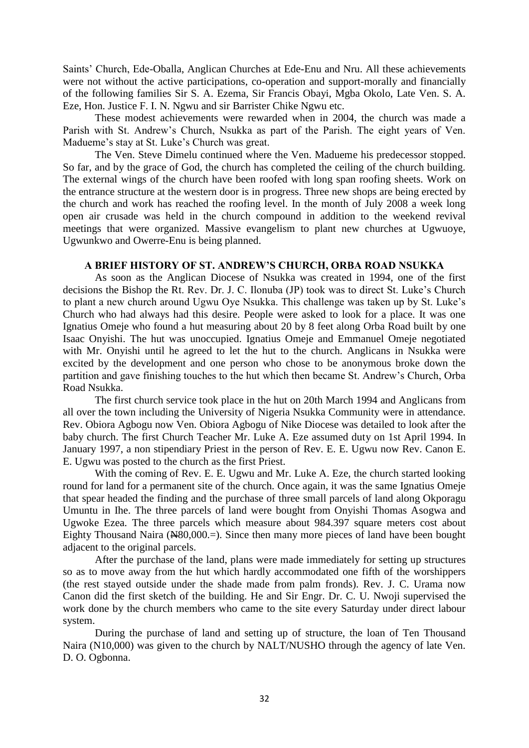Saints' Church, Ede-Oballa, Anglican Churches at Ede-Enu and Nru. All these achievements were not without the active participations, co-operation and support-morally and financially of the following families Sir S. A. Ezema, Sir Francis Obayi, Mgba Okolo, Late Ven. S. A. Eze, Hon. Justice F. I. N. Ngwu and sir Barrister Chike Ngwu etc.

These modest achievements were rewarded when in 2004, the church was made a Parish with St. Andrew"s Church, Nsukka as part of the Parish. The eight years of Ven. Madueme"s stay at St. Luke"s Church was great.

The Ven. Steve Dimelu continued where the Ven. Madueme his predecessor stopped. So far, and by the grace of God, the church has completed the ceiling of the church building. The external wings of the church have been roofed with long span roofing sheets. Work on the entrance structure at the western door is in progress. Three new shops are being erected by the church and work has reached the roofing level. In the month of July 2008 a week long open air crusade was held in the church compound in addition to the weekend revival meetings that were organized. Massive evangelism to plant new churches at Ugwuoye, Ugwunkwo and Owerre-Enu is being planned.

#### **A BRIEF HISTORY OF ST. ANDREW"S CHURCH, ORBA ROAD NSUKKA**

As soon as the Anglican Diocese of Nsukka was created in 1994, one of the first decisions the Bishop the Rt. Rev. Dr. J. C. Ilonuba (JP) took was to direct St. Luke"s Church to plant a new church around Ugwu Oye Nsukka. This challenge was taken up by St. Luke"s Church who had always had this desire. People were asked to look for a place. It was one Ignatius Omeje who found a hut measuring about 20 by 8 feet along Orba Road built by one Isaac Onyishi. The hut was unoccupied. Ignatius Omeje and Emmanuel Omeje negotiated with Mr. Onyishi until he agreed to let the hut to the church. Anglicans in Nsukka were excited by the development and one person who chose to be anonymous broke down the partition and gave finishing touches to the hut which then became St. Andrew"s Church, Orba Road Nsukka.

The first church service took place in the hut on 20th March 1994 and Anglicans from all over the town including the University of Nigeria Nsukka Community were in attendance. Rev. Obiora Agbogu now Ven. Obiora Agbogu of Nike Diocese was detailed to look after the baby church. The first Church Teacher Mr. Luke A. Eze assumed duty on 1st April 1994. In January 1997, a non stipendiary Priest in the person of Rev. E. E. Ugwu now Rev. Canon E. E. Ugwu was posted to the church as the first Priest.

With the coming of Rev. E. E. Ugwu and Mr. Luke A. Eze, the church started looking round for land for a permanent site of the church. Once again, it was the same Ignatius Omeje that spear headed the finding and the purchase of three small parcels of land along Okporagu Umuntu in Ihe. The three parcels of land were bought from Onyishi Thomas Asogwa and Ugwoke Ezea. The three parcels which measure about 984.397 square meters cost about Eighty Thousand Naira ( $\text{N}80,000=$ ). Since then many more pieces of land have been bought adjacent to the original parcels.

After the purchase of the land, plans were made immediately for setting up structures so as to move away from the hut which hardly accommodated one fifth of the worshippers (the rest stayed outside under the shade made from palm fronds). Rev. J. C. Urama now Canon did the first sketch of the building. He and Sir Engr. Dr. C. U. Nwoji supervised the work done by the church members who came to the site every Saturday under direct labour system.

During the purchase of land and setting up of structure, the loan of Ten Thousand Naira (N10,000) was given to the church by NALT/NUSHO through the agency of late Ven. D. O. Ogbonna.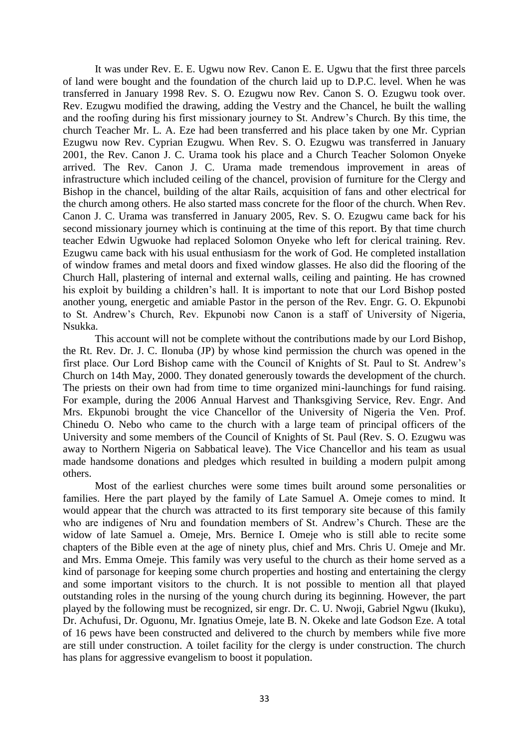It was under Rev. E. E. Ugwu now Rev. Canon E. E. Ugwu that the first three parcels of land were bought and the foundation of the church laid up to D.P.C. level. When he was transferred in January 1998 Rev. S. O. Ezugwu now Rev. Canon S. O. Ezugwu took over. Rev. Ezugwu modified the drawing, adding the Vestry and the Chancel, he built the walling and the roofing during his first missionary journey to St. Andrew"s Church. By this time, the church Teacher Mr. L. A. Eze had been transferred and his place taken by one Mr. Cyprian Ezugwu now Rev. Cyprian Ezugwu. When Rev. S. O. Ezugwu was transferred in January 2001, the Rev. Canon J. C. Urama took his place and a Church Teacher Solomon Onyeke arrived. The Rev. Canon J. C. Urama made tremendous improvement in areas of infrastructure which included ceiling of the chancel, provision of furniture for the Clergy and Bishop in the chancel, building of the altar Rails, acquisition of fans and other electrical for the church among others. He also started mass concrete for the floor of the church. When Rev. Canon J. C. Urama was transferred in January 2005, Rev. S. O. Ezugwu came back for his second missionary journey which is continuing at the time of this report. By that time church teacher Edwin Ugwuoke had replaced Solomon Onyeke who left for clerical training. Rev. Ezugwu came back with his usual enthusiasm for the work of God. He completed installation of window frames and metal doors and fixed window glasses. He also did the flooring of the Church Hall, plastering of internal and external walls, ceiling and painting. He has crowned his exploit by building a children"s hall. It is important to note that our Lord Bishop posted another young, energetic and amiable Pastor in the person of the Rev. Engr. G. O. Ekpunobi to St. Andrew"s Church, Rev. Ekpunobi now Canon is a staff of University of Nigeria, Nsukka.

This account will not be complete without the contributions made by our Lord Bishop, the Rt. Rev. Dr. J. C. Ilonuba (JP) by whose kind permission the church was opened in the first place. Our Lord Bishop came with the Council of Knights of St. Paul to St. Andrew"s Church on 14th May, 2000. They donated generously towards the development of the church. The priests on their own had from time to time organized mini-launchings for fund raising. For example, during the 2006 Annual Harvest and Thanksgiving Service, Rev. Engr. And Mrs. Ekpunobi brought the vice Chancellor of the University of Nigeria the Ven. Prof. Chinedu O. Nebo who came to the church with a large team of principal officers of the University and some members of the Council of Knights of St. Paul (Rev. S. O. Ezugwu was away to Northern Nigeria on Sabbatical leave). The Vice Chancellor and his team as usual made handsome donations and pledges which resulted in building a modern pulpit among others.

Most of the earliest churches were some times built around some personalities or families. Here the part played by the family of Late Samuel A. Omeje comes to mind. It would appear that the church was attracted to its first temporary site because of this family who are indigenes of Nru and foundation members of St. Andrew"s Church. These are the widow of late Samuel a. Omeje, Mrs. Bernice I. Omeje who is still able to recite some chapters of the Bible even at the age of ninety plus, chief and Mrs. Chris U. Omeje and Mr. and Mrs. Emma Omeje. This family was very useful to the church as their home served as a kind of parsonage for keeping some church properties and hosting and entertaining the clergy and some important visitors to the church. It is not possible to mention all that played outstanding roles in the nursing of the young church during its beginning. However, the part played by the following must be recognized, sir engr. Dr. C. U. Nwoji, Gabriel Ngwu (Ikuku), Dr. Achufusi, Dr. Oguonu, Mr. Ignatius Omeje, late B. N. Okeke and late Godson Eze. A total of 16 pews have been constructed and delivered to the church by members while five more are still under construction. A toilet facility for the clergy is under construction. The church has plans for aggressive evangelism to boost it population.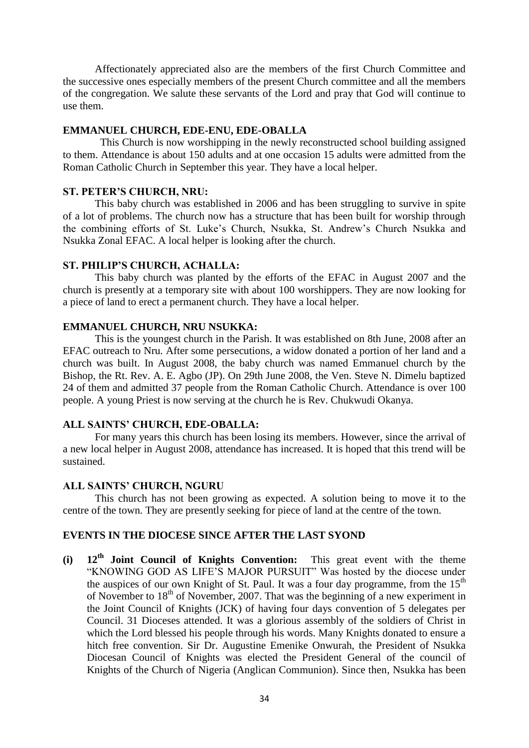Affectionately appreciated also are the members of the first Church Committee and the successive ones especially members of the present Church committee and all the members of the congregation. We salute these servants of the Lord and pray that God will continue to use them.

#### **EMMANUEL CHURCH, EDE-ENU, EDE-OBALLA**

This Church is now worshipping in the newly reconstructed school building assigned to them. Attendance is about 150 adults and at one occasion 15 adults were admitted from the Roman Catholic Church in September this year. They have a local helper.

#### **ST. PETER"S CHURCH, NRU:**

This baby church was established in 2006 and has been struggling to survive in spite of a lot of problems. The church now has a structure that has been built for worship through the combining efforts of St. Luke"s Church, Nsukka, St. Andrew"s Church Nsukka and Nsukka Zonal EFAC. A local helper is looking after the church.

### **ST. PHILIP"S CHURCH, ACHALLA:**

This baby church was planted by the efforts of the EFAC in August 2007 and the church is presently at a temporary site with about 100 worshippers. They are now looking for a piece of land to erect a permanent church. They have a local helper.

### **EMMANUEL CHURCH, NRU NSUKKA:**

This is the youngest church in the Parish. It was established on 8th June, 2008 after an EFAC outreach to Nru. After some persecutions, a widow donated a portion of her land and a church was built. In August 2008, the baby church was named Emmanuel church by the Bishop, the Rt. Rev. A. E. Agbo (JP). On 29th June 2008, the Ven. Steve N. Dimelu baptized 24 of them and admitted 37 people from the Roman Catholic Church. Attendance is over 100 people. A young Priest is now serving at the church he is Rev. Chukwudi Okanya.

### **ALL SAINTS" CHURCH, EDE-OBALLA:**

For many years this church has been losing its members. However, since the arrival of a new local helper in August 2008, attendance has increased. It is hoped that this trend will be sustained.

### **ALL SAINTS" CHURCH, NGURU**

This church has not been growing as expected. A solution being to move it to the centre of the town. They are presently seeking for piece of land at the centre of the town.

## **EVENTS IN THE DIOCESE SINCE AFTER THE LAST SYOND**

**(i) 12th Joint Council of Knights Convention:** This great event with the theme "KNOWING GOD AS LIFE"S MAJOR PURSUIT" Was hosted by the diocese under the auspices of our own Knight of St. Paul. It was a four day programme, from the  $15<sup>th</sup>$ of November to 18<sup>th</sup> of November, 2007. That was the beginning of a new experiment in the Joint Council of Knights (JCK) of having four days convention of 5 delegates per Council. 31 Dioceses attended. It was a glorious assembly of the soldiers of Christ in which the Lord blessed his people through his words. Many Knights donated to ensure a hitch free convention. Sir Dr. Augustine Emenike Onwurah, the President of Nsukka Diocesan Council of Knights was elected the President General of the council of Knights of the Church of Nigeria (Anglican Communion). Since then, Nsukka has been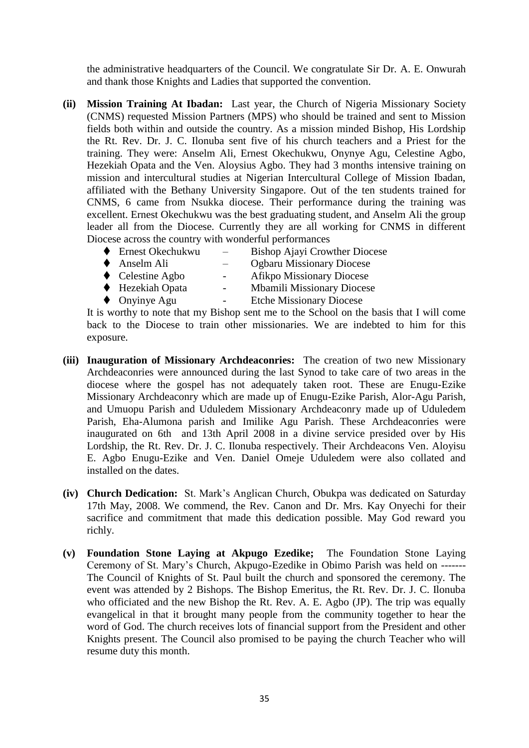the administrative headquarters of the Council. We congratulate Sir Dr. A. E. Onwurah and thank those Knights and Ladies that supported the convention.

- **(ii) Mission Training At Ibadan:** Last year, the Church of Nigeria Missionary Society (CNMS) requested Mission Partners (MPS) who should be trained and sent to Mission fields both within and outside the country. As a mission minded Bishop, His Lordship the Rt. Rev. Dr. J. C. Ilonuba sent five of his church teachers and a Priest for the training. They were: Anselm Ali, Ernest Okechukwu, Onynye Agu, Celestine Agbo, Hezekiah Opata and the Ven. Aloysius Agbo. They had 3 months intensive training on mission and intercultural studies at Nigerian Intercultural College of Mission Ibadan, affiliated with the Bethany University Singapore. Out of the ten students trained for CNMS, 6 came from Nsukka diocese. Their performance during the training was excellent. Ernest Okechukwu was the best graduating student, and Anselm Ali the group leader all from the Diocese. Currently they are all working for CNMS in different Diocese across the country with wonderful performances
	- - Ernest Okechukwu Bishop Ajayi Crowther Diocese
	-
	- ◆ Anselm Ali Ogbaru Missionary Diocese
	-
	- ◆ Celestine Agbo Afikpo Missionary Diocese
	- ◆ Hezekiah Opata Mbamili Missionary Diocese
	- ◆ Onyinye Agu Etche Missionary Diocese

It is worthy to note that my Bishop sent me to the School on the basis that I will come back to the Diocese to train other missionaries. We are indebted to him for this exposure.

- **(iii) Inauguration of Missionary Archdeaconries:** The creation of two new Missionary Archdeaconries were announced during the last Synod to take care of two areas in the diocese where the gospel has not adequately taken root. These are Enugu-Ezike Missionary Archdeaconry which are made up of Enugu-Ezike Parish, Alor-Agu Parish, and Umuopu Parish and Uduledem Missionary Archdeaconry made up of Uduledem Parish, Eha-Alumona parish and Imilike Agu Parish. These Archdeaconries were inaugurated on 6th and 13th April 2008 in a divine service presided over by His Lordship, the Rt. Rev. Dr. J. C. Ilonuba respectively. Their Archdeacons Ven. Aloyisu E. Agbo Enugu-Ezike and Ven. Daniel Omeje Uduledem were also collated and installed on the dates.
- **(iv) Church Dedication:** St. Mark"s Anglican Church, Obukpa was dedicated on Saturday 17th May, 2008. We commend, the Rev. Canon and Dr. Mrs. Kay Onyechi for their sacrifice and commitment that made this dedication possible. May God reward you richly.
- **(v) Foundation Stone Laying at Akpugo Ezedike;** The Foundation Stone Laying Ceremony of St. Mary"s Church, Akpugo-Ezedike in Obimo Parish was held on ------- The Council of Knights of St. Paul built the church and sponsored the ceremony. The event was attended by 2 Bishops. The Bishop Emeritus, the Rt. Rev. Dr. J. C. Ilonuba who officiated and the new Bishop the Rt. Rev. A. E. Agbo (JP). The trip was equally evangelical in that it brought many people from the community together to hear the word of God. The church receives lots of financial support from the President and other Knights present. The Council also promised to be paying the church Teacher who will resume duty this month.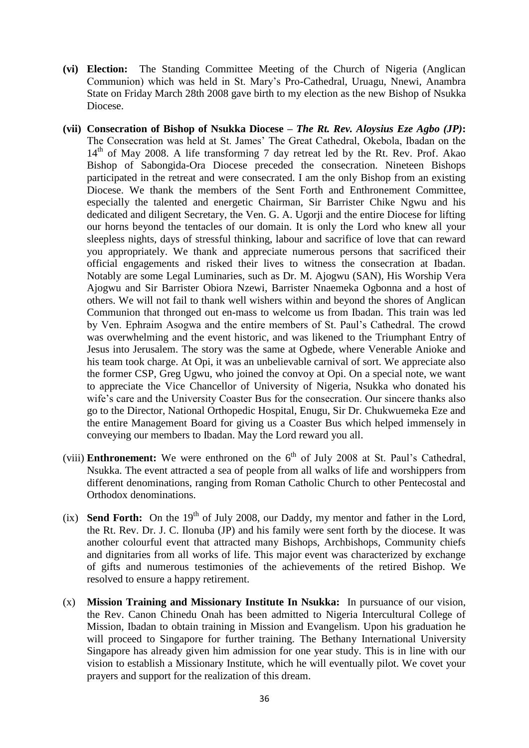- **(vi) Election:** The Standing Committee Meeting of the Church of Nigeria (Anglican Communion) which was held in St. Mary"s Pro-Cathedral, Uruagu, Nnewi, Anambra State on Friday March 28th 2008 gave birth to my election as the new Bishop of Nsukka Diocese.
- **(vii) Consecration of Bishop of Nsukka Diocese –** *The Rt. Rev. Aloysius Eze Agbo (JP)***:**  The Consecration was held at St. James" The Great Cathedral, Okebola, Ibadan on the  $14<sup>th</sup>$  of May 2008. A life transforming 7 day retreat led by the Rt. Rev. Prof. Akao Bishop of Sabongida-Ora Diocese preceded the consecration. Nineteen Bishops participated in the retreat and were consecrated. I am the only Bishop from an existing Diocese. We thank the members of the Sent Forth and Enthronement Committee, especially the talented and energetic Chairman, Sir Barrister Chike Ngwu and his dedicated and diligent Secretary, the Ven. G. A. Ugorji and the entire Diocese for lifting our horns beyond the tentacles of our domain. It is only the Lord who knew all your sleepless nights, days of stressful thinking, labour and sacrifice of love that can reward you appropriately. We thank and appreciate numerous persons that sacrificed their official engagements and risked their lives to witness the consecration at Ibadan. Notably are some Legal Luminaries, such as Dr. M. Ajogwu (SAN), His Worship Vera Ajogwu and Sir Barrister Obiora Nzewi, Barrister Nnaemeka Ogbonna and a host of others. We will not fail to thank well wishers within and beyond the shores of Anglican Communion that thronged out en-mass to welcome us from Ibadan. This train was led by Ven. Ephraim Asogwa and the entire members of St. Paul"s Cathedral. The crowd was overwhelming and the event historic, and was likened to the Triumphant Entry of Jesus into Jerusalem. The story was the same at Ogbede, where Venerable Anioke and his team took charge. At Opi, it was an unbelievable carnival of sort. We appreciate also the former CSP, Greg Ugwu, who joined the convoy at Opi. On a special note, we want to appreciate the Vice Chancellor of University of Nigeria, Nsukka who donated his wife's care and the University Coaster Bus for the consecration. Our sincere thanks also go to the Director, National Orthopedic Hospital, Enugu, Sir Dr. Chukwuemeka Eze and the entire Management Board for giving us a Coaster Bus which helped immensely in conveying our members to Ibadan. May the Lord reward you all.
- (viii) **Enthronement:** We were enthroned on the  $6<sup>th</sup>$  of July 2008 at St. Paul's Cathedral, Nsukka. The event attracted a sea of people from all walks of life and worshippers from different denominations, ranging from Roman Catholic Church to other Pentecostal and Orthodox denominations.
- (ix) **Send Forth:** On the  $19<sup>th</sup>$  of July 2008, our Daddy, my mentor and father in the Lord, the Rt. Rev. Dr. J. C. Ilonuba (JP) and his family were sent forth by the diocese. It was another colourful event that attracted many Bishops, Archbishops, Community chiefs and dignitaries from all works of life. This major event was characterized by exchange of gifts and numerous testimonies of the achievements of the retired Bishop. We resolved to ensure a happy retirement.
- (x) **Mission Training and Missionary Institute In Nsukka:** In pursuance of our vision, the Rev. Canon Chinedu Onah has been admitted to Nigeria Intercultural College of Mission, Ibadan to obtain training in Mission and Evangelism. Upon his graduation he will proceed to Singapore for further training. The Bethany International University Singapore has already given him admission for one year study. This is in line with our vision to establish a Missionary Institute, which he will eventually pilot. We covet your prayers and support for the realization of this dream.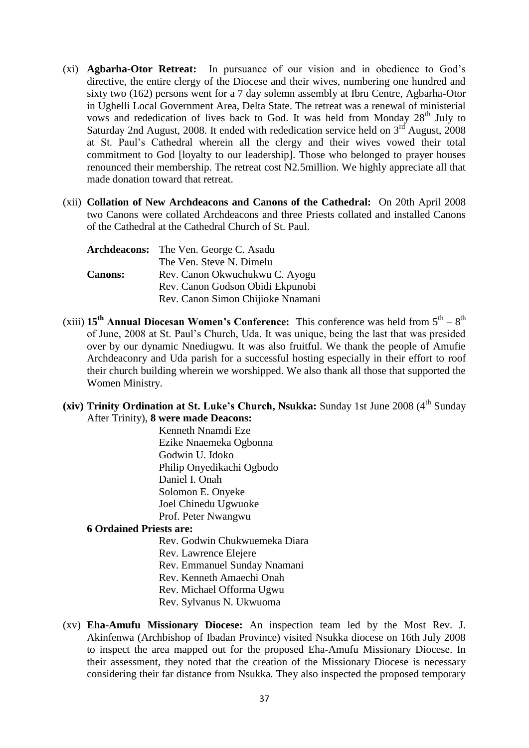- (xi) **Agbarha-Otor Retreat:** In pursuance of our vision and in obedience to God"s directive, the entire clergy of the Diocese and their wives, numbering one hundred and sixty two (162) persons went for a 7 day solemn assembly at Ibru Centre, Agbarha-Otor in Ughelli Local Government Area, Delta State. The retreat was a renewal of ministerial vows and rededication of lives back to God. It was held from Monday 28<sup>th</sup> July to Saturday 2nd August, 2008. It ended with rededication service held on  $3^{rd}$  August, 2008 at St. Paul"s Cathedral wherein all the clergy and their wives vowed their total commitment to God [loyalty to our leadership]. Those who belonged to prayer houses renounced their membership. The retreat cost N2.5million. We highly appreciate all that made donation toward that retreat.
- (xii) **Collation of New Archdeacons and Canons of the Cathedral:** On 20th April 2008 two Canons were collated Archdeacons and three Priests collated and installed Canons of the Cathedral at the Cathedral Church of St. Paul.

| <b>Archdeacons:</b> The Ven. George C. Asadu |
|----------------------------------------------|
| The Ven. Steve N. Dimelu                     |
| Rev. Canon Okwuchukwu C. Ayogu               |
| Rev. Canon Godson Obidi Ekpunobi             |
| Rev. Canon Simon Chijioke Nnamani            |
|                                              |

- (xiii)  $15<sup>th</sup>$  **Annual Diocesan Women's Conference:** This conference was held from  $5<sup>th</sup> 8<sup>th</sup>$ of June, 2008 at St. Paul"s Church, Uda. It was unique, being the last that was presided over by our dynamic Nnediugwu. It was also fruitful. We thank the people of Amufie Archdeaconry and Uda parish for a successful hosting especially in their effort to roof their church building wherein we worshipped. We also thank all those that supported the Women Ministry.
- **(xiv) Trinity Ordination at St. Luke's Church, Nsukka:** Sunday 1st June 2008 (4<sup>th</sup> Sunday After Trinity), **8 were made Deacons:**

Kenneth Nnamdi Eze Ezike Nnaemeka Ogbonna Godwin U. Idoko Philip Onyedikachi Ogbodo Daniel I. Onah Solomon E. Onyeke Joel Chinedu Ugwuoke Prof. Peter Nwangwu

# **6 Ordained Priests are:**

Rev. Godwin Chukwuemeka Diara Rev. Lawrence Elejere Rev. Emmanuel Sunday Nnamani Rev. Kenneth Amaechi Onah Rev. Michael Offorma Ugwu Rev. Sylvanus N. Ukwuoma

(xv) **Eha-Amufu Missionary Diocese:** An inspection team led by the Most Rev. J. Akinfenwa (Archbishop of Ibadan Province) visited Nsukka diocese on 16th July 2008 to inspect the area mapped out for the proposed Eha-Amufu Missionary Diocese. In their assessment, they noted that the creation of the Missionary Diocese is necessary considering their far distance from Nsukka. They also inspected the proposed temporary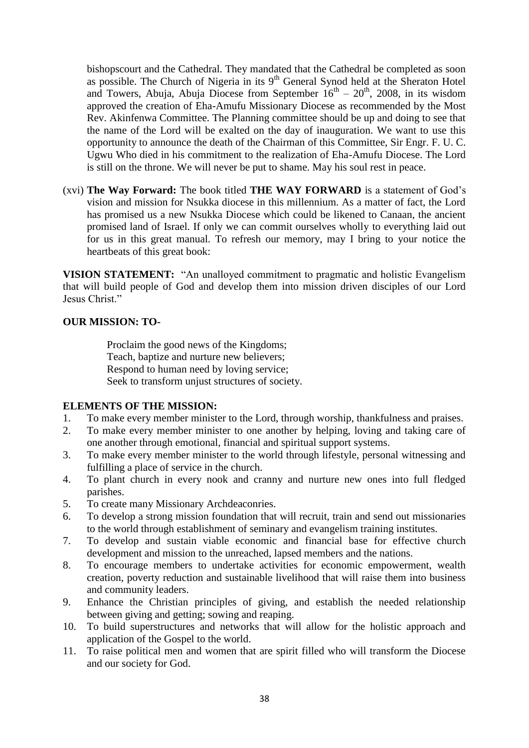bishopscourt and the Cathedral. They mandated that the Cathedral be completed as soon as possible. The Church of Nigeria in its  $9<sup>th</sup>$  General Synod held at the Sheraton Hotel and Towers, Abuja, Abuja Diocese from September  $16^{th} - 20^{th}$ , 2008, in its wisdom approved the creation of Eha-Amufu Missionary Diocese as recommended by the Most Rev. Akinfenwa Committee. The Planning committee should be up and doing to see that the name of the Lord will be exalted on the day of inauguration. We want to use this opportunity to announce the death of the Chairman of this Committee, Sir Engr. F. U. C. Ugwu Who died in his commitment to the realization of Eha-Amufu Diocese. The Lord is still on the throne. We will never be put to shame. May his soul rest in peace.

(xvi) **The Way Forward:** The book titled **THE WAY FORWARD** is a statement of God"s vision and mission for Nsukka diocese in this millennium. As a matter of fact, the Lord has promised us a new Nsukka Diocese which could be likened to Canaan, the ancient promised land of Israel. If only we can commit ourselves wholly to everything laid out for us in this great manual. To refresh our memory, may I bring to your notice the heartbeats of this great book:

**VISION STATEMENT:** "An unalloyed commitment to pragmatic and holistic Evangelism that will build people of God and develop them into mission driven disciples of our Lord Jesus Christ."

# **OUR MISSION: TO-**

Proclaim the good news of the Kingdoms; Teach, baptize and nurture new believers; Respond to human need by loving service; Seek to transform unjust structures of society.

# **ELEMENTS OF THE MISSION:**

- 1. To make every member minister to the Lord, through worship, thankfulness and praises.
- 2. To make every member minister to one another by helping, loving and taking care of one another through emotional, financial and spiritual support systems.
- 3. To make every member minister to the world through lifestyle, personal witnessing and fulfilling a place of service in the church.
- 4. To plant church in every nook and cranny and nurture new ones into full fledged parishes.
- 5. To create many Missionary Archdeaconries.
- 6. To develop a strong mission foundation that will recruit, train and send out missionaries to the world through establishment of seminary and evangelism training institutes.
- 7. To develop and sustain viable economic and financial base for effective church development and mission to the unreached, lapsed members and the nations.
- 8. To encourage members to undertake activities for economic empowerment, wealth creation, poverty reduction and sustainable livelihood that will raise them into business and community leaders.
- 9. Enhance the Christian principles of giving, and establish the needed relationship between giving and getting; sowing and reaping.
- 10. To build superstructures and networks that will allow for the holistic approach and application of the Gospel to the world.
- 11. To raise political men and women that are spirit filled who will transform the Diocese and our society for God.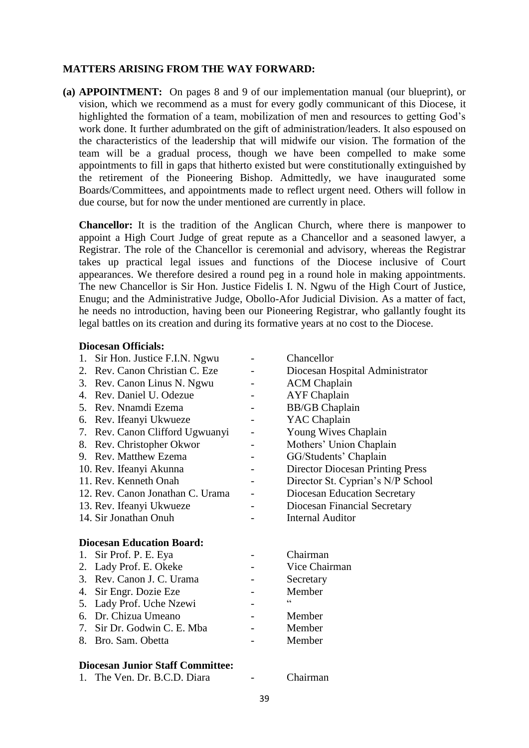# **MATTERS ARISING FROM THE WAY FORWARD:**

**(a) APPOINTMENT:** On pages 8 and 9 of our implementation manual (our blueprint), or vision, which we recommend as a must for every godly communicant of this Diocese, it highlighted the formation of a team, mobilization of men and resources to getting God's work done. It further adumbrated on the gift of administration/leaders. It also espoused on the characteristics of the leadership that will midwife our vision. The formation of the team will be a gradual process, though we have been compelled to make some appointments to fill in gaps that hitherto existed but were constitutionally extinguished by the retirement of the Pioneering Bishop. Admittedly, we have inaugurated some Boards/Committees, and appointments made to reflect urgent need. Others will follow in due course, but for now the under mentioned are currently in place.

**Chancellor:** It is the tradition of the Anglican Church, where there is manpower to appoint a High Court Judge of great repute as a Chancellor and a seasoned lawyer, a Registrar. The role of the Chancellor is ceremonial and advisory, whereas the Registrar takes up practical legal issues and functions of the Diocese inclusive of Court appearances. We therefore desired a round peg in a round hole in making appointments. The new Chancellor is Sir Hon. Justice Fidelis I. N. Ngwu of the High Court of Justice, Enugu; and the Administrative Judge, Obollo-Afor Judicial Division. As a matter of fact, he needs no introduction, having been our Pioneering Registrar, who gallantly fought its legal battles on its creation and during its formative years at no cost to the Diocese.

### **Diocesan Officials:**

| 1. Sir Hon. Justice F.I.N. Ngwu  |                   | Chancellor                              |
|----------------------------------|-------------------|-----------------------------------------|
| 2. Rev. Canon Christian C. Eze   |                   | Diocesan Hospital Administrator         |
| 3. Rev. Canon Linus N. Ngwu      |                   | <b>ACM</b> Chaplain                     |
| 4. Rev. Daniel U. Odezue         |                   | <b>AYF</b> Chaplain                     |
| 5. Rev. Nnamdi Ezema             |                   | <b>BB/GB</b> Chaplain                   |
| 6. Rev. Ifeanyi Ukwueze          |                   | YAC Chaplain                            |
| 7. Rev. Canon Clifford Ugwuanyi  |                   | Young Wives Chaplain                    |
| 8. Rev. Christopher Okwor        |                   | Mothers' Union Chaplain                 |
| 9. Rev. Matthew Ezema            | $\qquad \qquad -$ | GG/Students' Chaplain                   |
| 10. Rev. Ifeanyi Akunna          |                   | <b>Director Diocesan Printing Press</b> |
| 11. Rev. Kenneth Onah            |                   | Director St. Cyprian's N/P School       |
| 12. Rev. Canon Jonathan C. Urama |                   | Diocesan Education Secretary            |
| 13. Rev. Ifeanyi Ukwueze         |                   | Diocesan Financial Secretary            |
| 14. Sir Jonathan Onuh            |                   | <b>Internal Auditor</b>                 |
| <b>Diocesan Education Board:</b> |                   |                                         |

| 1. Sir Prof. P. E. Eya      | Chairman      |
|-----------------------------|---------------|
| 2. Lady Prof. E. Okeke      | Vice Chairman |
| 3. Rev. Canon J. C. Urama   | Secretary     |
| 4. Sir Engr. Dozie Eze      | Member        |
| 5. Lady Prof. Uche Nzewi    | $\epsilon$    |
| 6. Dr. Chizua Umeano        | Member        |
| 7. Sir Dr. Godwin C. E. Mba | Member        |
| 8. Bro. Sam. Obetta         | Member        |

# **Diocesan Junior Staff Committee:**

|  |  | 1. The Ven. Dr. B.C.D. Diara |  | Chairman |
|--|--|------------------------------|--|----------|
|--|--|------------------------------|--|----------|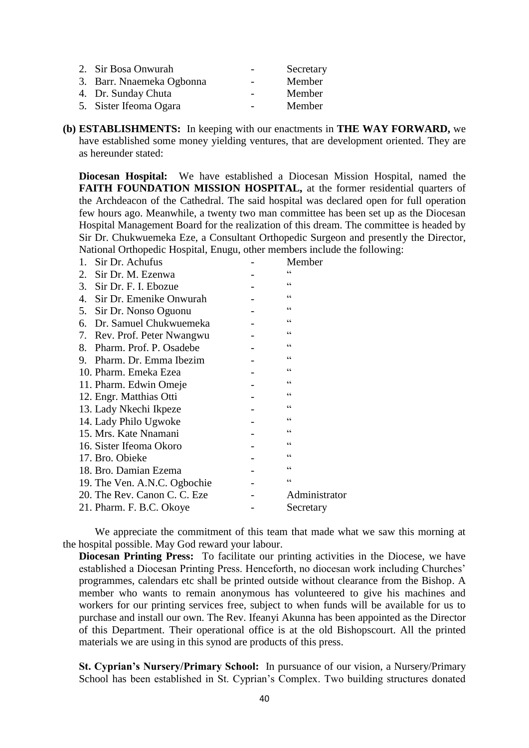| 2. Sir Bosa Onwurah       |                          | Secretary |
|---------------------------|--------------------------|-----------|
| 3. Barr. Nnaemeka Ogbonna | $\overline{\phantom{0}}$ | Member    |
| 4. Dr. Sunday Chuta       |                          | Member    |
| 5. Sister Ifeoma Ogara    |                          | Member    |

**(b) ESTABLISHMENTS:** In keeping with our enactments in **THE WAY FORWARD,** we have established some money yielding ventures, that are development oriented. They are as hereunder stated:

**Diocesan Hospital:** We have established a Diocesan Mission Hospital, named the **FAITH FOUNDATION MISSION HOSPITAL,** at the former residential quarters of the Archdeacon of the Cathedral. The said hospital was declared open for full operation few hours ago. Meanwhile, a twenty two man committee has been set up as the Diocesan Hospital Management Board for the realization of this dream. The committee is headed by Sir Dr. Chukwuemeka Eze, a Consultant Orthopedic Surgeon and presently the Director, National Orthopedic Hospital, Enugu, other members include the following:

| 1. | Sir Dr. Achufus              | Member        |
|----|------------------------------|---------------|
| 2. | Sir Dr. M. Ezenwa            | ۷C            |
|    | 3. Sir Dr. F. I. Ebozue      | C C           |
|    | 4. Sir Dr. Emenike Onwurah   | $\epsilon$    |
|    | 5. Sir Dr. Nonso Oguonu      | C C           |
|    | 6. Dr. Samuel Chukwuemeka    | C C           |
|    | 7. Rev. Prof. Peter Nwangwu  | $\epsilon$    |
|    | 8. Pharm. Prof. P. Osadebe   | $\epsilon$    |
|    | 9. Pharm. Dr. Emma Ibezim    | $\epsilon$    |
|    | 10. Pharm. Emeka Ezea        | $\epsilon$    |
|    | 11. Pharm. Edwin Omeje       | $\epsilon$    |
|    | 12. Engr. Matthias Otti      | C C           |
|    | 13. Lady Nkechi Ikpeze       | $\epsilon$    |
|    | 14. Lady Philo Ugwoke        | C C           |
|    | 15. Mrs. Kate Nnamani        | $\epsilon$    |
|    | 16. Sister Ifeoma Okoro      | $\epsilon$    |
|    | 17. Bro. Obieke              | $\epsilon$    |
|    | 18. Bro. Damian Ezema        | C C           |
|    | 19. The Ven. A.N.C. Ogbochie | $\epsilon$    |
|    | 20. The Rev. Canon C. C. Eze | Administrator |
|    | 21. Pharm. F. B.C. Okoye     | Secretary     |

We appreciate the commitment of this team that made what we saw this morning at the hospital possible. May God reward your labour.

**Diocesan Printing Press:** To facilitate our printing activities in the Diocese, we have established a Diocesan Printing Press. Henceforth, no diocesan work including Churches" programmes, calendars etc shall be printed outside without clearance from the Bishop. A member who wants to remain anonymous has volunteered to give his machines and workers for our printing services free, subject to when funds will be available for us to purchase and install our own. The Rev. Ifeanyi Akunna has been appointed as the Director of this Department. Their operational office is at the old Bishopscourt. All the printed materials we are using in this synod are products of this press.

**St. Cyprian"s Nursery/Primary School:** In pursuance of our vision, a Nursery/Primary School has been established in St. Cyprian's Complex. Two building structures donated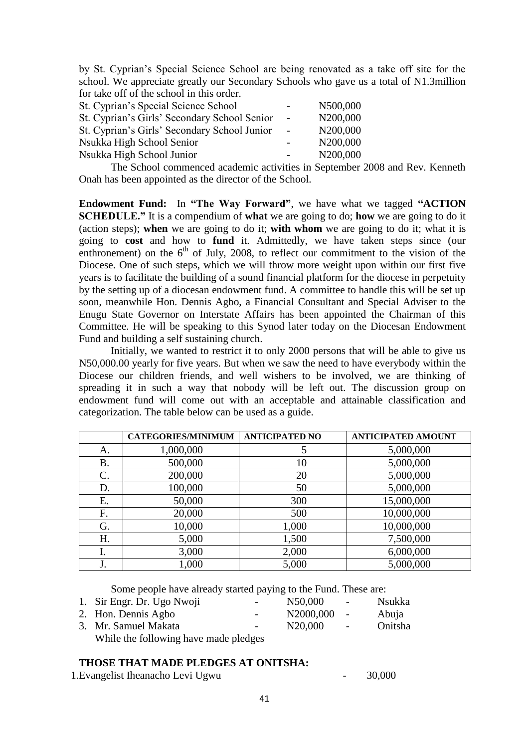by St. Cyprian"s Special Science School are being renovated as a take off site for the school. We appreciate greatly our Secondary Schools who gave us a total of N1.3million for take off of the school in this order.

| St. Cyprian's Special Science School         | $\overline{\phantom{0}}$ | N500,000 |
|----------------------------------------------|--------------------------|----------|
| St. Cyprian's Girls' Secondary School Senior | $-$                      | N200,000 |
| St. Cyprian's Girls' Secondary School Junior | $\overline{\phantom{0}}$ | N200,000 |
| Nsukka High School Senior                    |                          | N200,000 |
| Nsukka High School Junior                    | $\overline{\phantom{0}}$ | N200,000 |
|                                              |                          |          |

The School commenced academic activities in September 2008 and Rev. Kenneth Onah has been appointed as the director of the School.

**Endowment Fund:** In **"The Way Forward"**, we have what we tagged **"ACTION SCHEDULE."** It is a compendium of **what** we are going to do; **how** we are going to do it (action steps); **when** we are going to do it; **with whom** we are going to do it; what it is going to **cost** and how to **fund** it. Admittedly, we have taken steps since (our enthronement) on the  $6<sup>th</sup>$  of July, 2008, to reflect our commitment to the vision of the Diocese. One of such steps, which we will throw more weight upon within our first five years is to facilitate the building of a sound financial platform for the diocese in perpetuity by the setting up of a diocesan endowment fund. A committee to handle this will be set up soon, meanwhile Hon. Dennis Agbo, a Financial Consultant and Special Adviser to the Enugu State Governor on Interstate Affairs has been appointed the Chairman of this Committee. He will be speaking to this Synod later today on the Diocesan Endowment Fund and building a self sustaining church.

Initially, we wanted to restrict it to only 2000 persons that will be able to give us N50,000.00 yearly for five years. But when we saw the need to have everybody within the Diocese our children friends, and well wishers to be involved, we are thinking of spreading it in such a way that nobody will be left out. The discussion group on endowment fund will come out with an acceptable and attainable classification and categorization. The table below can be used as a guide.

|           | <b>CATEGORIES/MINIMUM</b> | <b>ANTICIPATED NO</b> | <b>ANTICIPATED AMOUNT</b> |
|-----------|---------------------------|-----------------------|---------------------------|
| А.        | 1,000,000                 |                       | 5,000,000                 |
| <b>B.</b> | 500,000                   | 10                    | 5,000,000                 |
| C.        | 200,000                   | 20                    | 5,000,000                 |
| D.        | 100,000                   | 50                    | 5,000,000                 |
| Ε.        | 50,000                    | 300                   | 15,000,000                |
| F.        | 20,000                    | 500                   | 10,000,000                |
| G.        | 10,000                    | 1,000                 | 10,000,000                |
| Η.        | 5,000                     | 1,500                 | 7,500,000                 |
| I.        | 3,000                     | 2,000                 | 6,000,000                 |
| J.        | 1,000                     | 5,000                 | 5,000,000                 |

Some people have already started paying to the Fund. These are:

| 1. Sir Engr. Dr. Ugo Nwoji            | $\sim$ 100 $\mu$ | N50,000              | <b>Contract Contract</b> | Nsukka  |
|---------------------------------------|------------------|----------------------|--------------------------|---------|
| 2. Hon. Dennis Agbo                   | $\sim$           | N2000,000 -          |                          | Abuja   |
| 3. Mr. Samuel Makata                  | $\sim$ 100 $\mu$ | N <sub>20</sub> ,000 | $\sim$ $-$               | Onitsha |
| While the following have made pledges |                  |                      |                          |         |

# **THOSE THAT MADE PLEDGES AT ONITSHA:**

1.Evangelist Iheanacho Levi Ugwu - 30,000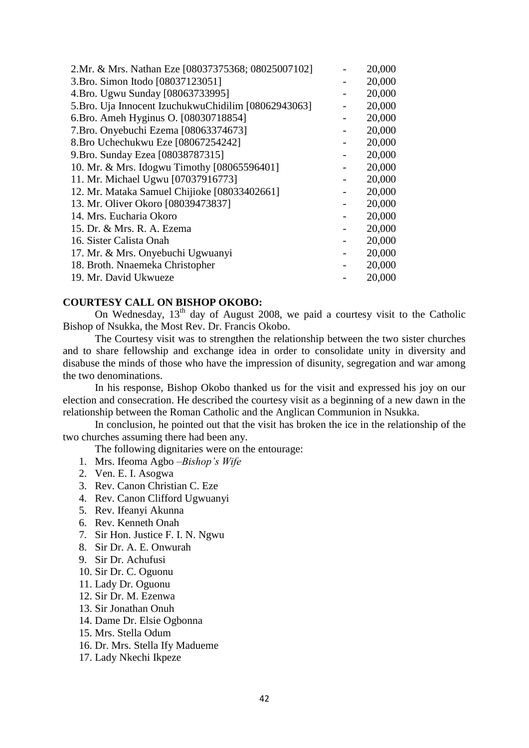| 2. Mr. & Mrs. Nathan Eze [08037375368; 08025007102]  | 20,000 |
|------------------------------------------------------|--------|
| 3. Bro. Simon Itodo [08037123051]                    | 20,000 |
| 4. Bro. Ugwu Sunday [08063733995]                    | 20,000 |
| 5. Bro. Uja Innocent IzuchukwuChidilim [08062943063] | 20,000 |
| 6.Bro. Ameh Hyginus O. [08030718854]                 | 20,000 |
| 7. Bro. Onyebuchi Ezema [08063374673]                | 20,000 |
| 8. Bro Uchechukwu Eze [08067254242]                  | 20,000 |
| 9. Bro. Sunday Ezea [08038787315]                    | 20,000 |
| 10. Mr. & Mrs. Idogwu Timothy [08065596401]          | 20,000 |
| 11. Mr. Michael Ugwu [07037916773]                   | 20,000 |
| 12. Mr. Mataka Samuel Chijioke [08033402661]         | 20,000 |
| 13. Mr. Oliver Okoro [08039473837]                   | 20,000 |
| 14. Mrs. Eucharia Okoro                              | 20,000 |
| 15. Dr. & Mrs. R. A. Ezema                           | 20,000 |
| 16. Sister Calista Onah                              | 20,000 |
| 17. Mr. & Mrs. Onyebuchi Ugwuanyi                    | 20,000 |
| 18. Broth. Nnaemeka Christopher                      | 20,000 |
| 19. Mr. David Ukwueze                                | 20,000 |
|                                                      |        |

#### **COURTESY CALL ON BISHOP OKOBO:**

On Wednesday, 13<sup>th</sup> day of August 2008, we paid a courtesy visit to the Catholic Bishop of Nsukka, the Most Rev. Dr. Francis Okobo.

The Courtesy visit was to strengthen the relationship between the two sister churches and to share fellowship and exchange idea in order to consolidate unity in diversity and disabuse the minds of those who have the impression of disunity, segregation and war among the two denominations.

In his response, Bishop Okobo thanked us for the visit and expressed his joy on our election and consecration. He described the courtesy visit as a beginning of a new dawn in the relationship between the Roman Catholic and the Anglican Communion in Nsukka.

In conclusion, he pointed out that the visit has broken the ice in the relationship of the two churches assuming there had been any.

- The following dignitaries were on the entourage:
- 1. Mrs. Ifeoma Agbo –*Bishop's Wife*
- 2. Ven. E. I. Asogwa
- 3. Rev. Canon Christian C. Eze
- 4. Rev. Canon Clifford Ugwuanyi
- 5. Rev. Ifeanyi Akunna
- 6. Rev. Kenneth Onah
- 7. Sir Hon. Justice F. I. N. Ngwu
- 8. Sir Dr. A. E. Onwurah
- 9. Sir Dr. Achufusi
- 10. Sir Dr. C. Oguonu
- 11. Lady Dr. Oguonu
- 12. Sir Dr. M. Ezenwa
- 13. Sir Jonathan Onuh
- 14. Dame Dr. Elsie Ogbonna
- 15. Mrs. Stella Odum
- 16. Dr. Mrs. Stella Ify Madueme
- 17. Lady Nkechi Ikpeze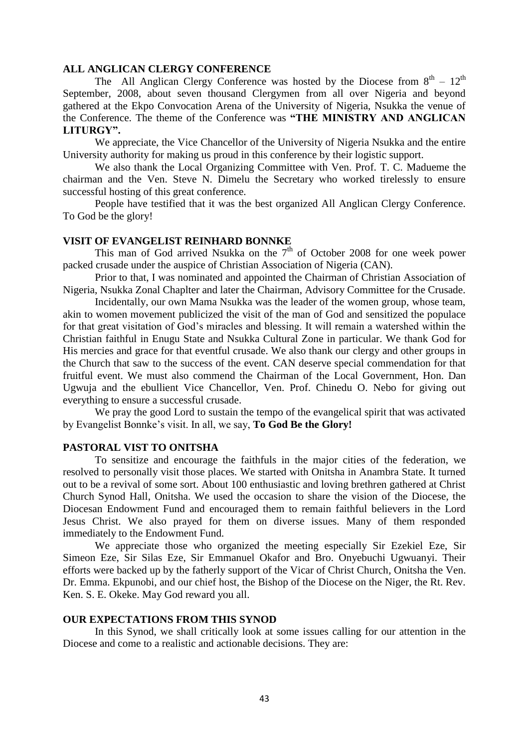### **ALL ANGLICAN CLERGY CONFERENCE**

The All Anglican Clergy Conference was hosted by the Diocese from  $8<sup>th</sup> - 12<sup>th</sup>$ September, 2008, about seven thousand Clergymen from all over Nigeria and beyond gathered at the Ekpo Convocation Arena of the University of Nigeria, Nsukka the venue of the Conference. The theme of the Conference was **"THE MINISTRY AND ANGLICAN LITURGY".**

We appreciate, the Vice Chancellor of the University of Nigeria Nsukka and the entire University authority for making us proud in this conference by their logistic support.

We also thank the Local Organizing Committee with Ven. Prof. T. C. Madueme the chairman and the Ven. Steve N. Dimelu the Secretary who worked tirelessly to ensure successful hosting of this great conference.

People have testified that it was the best organized All Anglican Clergy Conference. To God be the glory!

# **VISIT OF EVANGELIST REINHARD BONNKE**

This man of God arrived Nsukka on the  $7<sup>th</sup>$  of October 2008 for one week power packed crusade under the auspice of Christian Association of Nigeria (CAN).

Prior to that, I was nominated and appointed the Chairman of Christian Association of Nigeria, Nsukka Zonal Chaplter and later the Chairman, Advisory Committee for the Crusade.

Incidentally, our own Mama Nsukka was the leader of the women group, whose team, akin to women movement publicized the visit of the man of God and sensitized the populace for that great visitation of God"s miracles and blessing. It will remain a watershed within the Christian faithful in Enugu State and Nsukka Cultural Zone in particular. We thank God for His mercies and grace for that eventful crusade. We also thank our clergy and other groups in the Church that saw to the success of the event. CAN deserve special commendation for that fruitful event. We must also commend the Chairman of the Local Government, Hon. Dan Ugwuja and the ebullient Vice Chancellor, Ven. Prof. Chinedu O. Nebo for giving out everything to ensure a successful crusade.

We pray the good Lord to sustain the tempo of the evangelical spirit that was activated by Evangelist Bonnke"s visit. In all, we say, **To God Be the Glory!**

### **PASTORAL VIST TO ONITSHA**

To sensitize and encourage the faithfuls in the major cities of the federation, we resolved to personally visit those places. We started with Onitsha in Anambra State. It turned out to be a revival of some sort. About 100 enthusiastic and loving brethren gathered at Christ Church Synod Hall, Onitsha. We used the occasion to share the vision of the Diocese, the Diocesan Endowment Fund and encouraged them to remain faithful believers in the Lord Jesus Christ. We also prayed for them on diverse issues. Many of them responded immediately to the Endowment Fund.

We appreciate those who organized the meeting especially Sir Ezekiel Eze, Sir Simeon Eze, Sir Silas Eze, Sir Emmanuel Okafor and Bro. Onyebuchi Ugwuanyi. Their efforts were backed up by the fatherly support of the Vicar of Christ Church, Onitsha the Ven. Dr. Emma. Ekpunobi, and our chief host, the Bishop of the Diocese on the Niger, the Rt. Rev. Ken. S. E. Okeke. May God reward you all.

### **OUR EXPECTATIONS FROM THIS SYNOD**

In this Synod, we shall critically look at some issues calling for our attention in the Diocese and come to a realistic and actionable decisions. They are: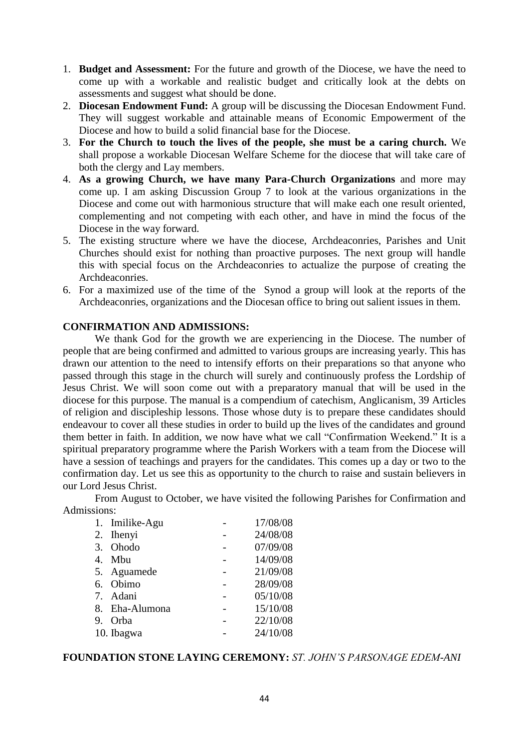- 1. **Budget and Assessment:** For the future and growth of the Diocese, we have the need to come up with a workable and realistic budget and critically look at the debts on assessments and suggest what should be done.
- 2. **Diocesan Endowment Fund:** A group will be discussing the Diocesan Endowment Fund. They will suggest workable and attainable means of Economic Empowerment of the Diocese and how to build a solid financial base for the Diocese.
- 3. **For the Church to touch the lives of the people, she must be a caring church.** We shall propose a workable Diocesan Welfare Scheme for the diocese that will take care of both the clergy and Lay members.
- 4. **As a growing Church, we have many Para-Church Organizations** and more may come up. I am asking Discussion Group 7 to look at the various organizations in the Diocese and come out with harmonious structure that will make each one result oriented, complementing and not competing with each other, and have in mind the focus of the Diocese in the way forward.
- 5. The existing structure where we have the diocese, Archdeaconries, Parishes and Unit Churches should exist for nothing than proactive purposes. The next group will handle this with special focus on the Archdeaconries to actualize the purpose of creating the Archdeaconries.
- 6. For a maximized use of the time of the Synod a group will look at the reports of the Archdeaconries, organizations and the Diocesan office to bring out salient issues in them.

# **CONFIRMATION AND ADMISSIONS:**

We thank God for the growth we are experiencing in the Diocese. The number of people that are being confirmed and admitted to various groups are increasing yearly. This has drawn our attention to the need to intensify efforts on their preparations so that anyone who passed through this stage in the church will surely and continuously profess the Lordship of Jesus Christ. We will soon come out with a preparatory manual that will be used in the diocese for this purpose. The manual is a compendium of catechism, Anglicanism, 39 Articles of religion and discipleship lessons. Those whose duty is to prepare these candidates should endeavour to cover all these studies in order to build up the lives of the candidates and ground them better in faith. In addition, we now have what we call "Confirmation Weekend." It is a spiritual preparatory programme where the Parish Workers with a team from the Diocese will have a session of teachings and prayers for the candidates. This comes up a day or two to the confirmation day. Let us see this as opportunity to the church to raise and sustain believers in our Lord Jesus Christ.

From August to October, we have visited the following Parishes for Confirmation and Admissions:

| 1. Imilike-Agu | 17/08/08 |
|----------------|----------|
| 2. Ihenyi      | 24/08/08 |
| 3. Ohodo       | 07/09/08 |
| 4. Mbu         | 14/09/08 |
| 5. Aguamede    | 21/09/08 |
| 6. Obimo       | 28/09/08 |
| 7. Adani       | 05/10/08 |
| 8. Eha-Alumona | 15/10/08 |
| 9. Orba        | 22/10/08 |
| 10. Ibagwa     | 24/10/08 |

# **FOUNDATION STONE LAYING CEREMONY:** *ST. JOHN'S PARSONAGE EDEM-ANI*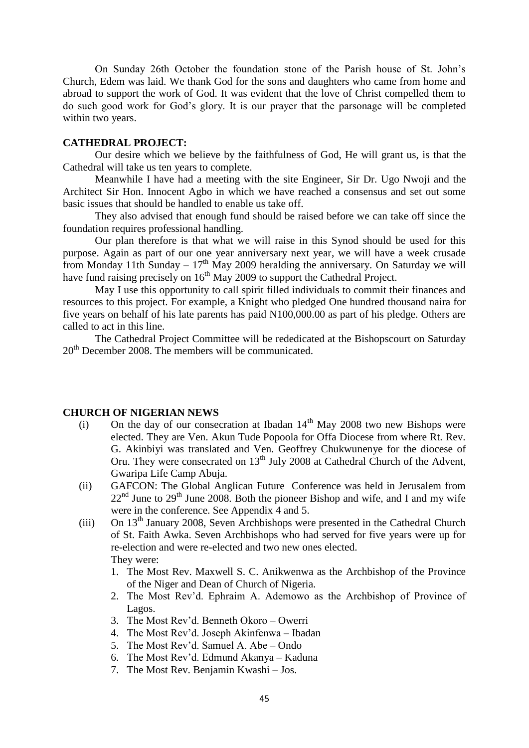On Sunday 26th October the foundation stone of the Parish house of St. John"s Church, Edem was laid. We thank God for the sons and daughters who came from home and abroad to support the work of God. It was evident that the love of Christ compelled them to do such good work for God"s glory. It is our prayer that the parsonage will be completed within two years.

### **CATHEDRAL PROJECT:**

Our desire which we believe by the faithfulness of God, He will grant us, is that the Cathedral will take us ten years to complete.

Meanwhile I have had a meeting with the site Engineer, Sir Dr. Ugo Nwoji and the Architect Sir Hon. Innocent Agbo in which we have reached a consensus and set out some basic issues that should be handled to enable us take off.

They also advised that enough fund should be raised before we can take off since the foundation requires professional handling.

Our plan therefore is that what we will raise in this Synod should be used for this purpose. Again as part of our one year anniversary next year, we will have a week crusade from Monday 11th Sunday –  $17<sup>th</sup>$  May 2009 heralding the anniversary. On Saturday we will have fund raising precisely on  $16<sup>th</sup>$  May 2009 to support the Cathedral Project.

May I use this opportunity to call spirit filled individuals to commit their finances and resources to this project. For example, a Knight who pledged One hundred thousand naira for five years on behalf of his late parents has paid N100,000.00 as part of his pledge. Others are called to act in this line.

The Cathedral Project Committee will be rededicated at the Bishopscourt on Saturday  $20<sup>th</sup>$  December 2008. The members will be communicated.

#### **CHURCH OF NIGERIAN NEWS**

- (i) On the day of our consecration at Ibadan  $14<sup>th</sup>$  May 2008 two new Bishops were elected. They are Ven. Akun Tude Popoola for Offa Diocese from where Rt. Rev. G. Akinbiyi was translated and Ven. Geoffrey Chukwunenye for the diocese of Oru. They were consecrated on 13<sup>th</sup> July 2008 at Cathedral Church of the Advent, Gwaripa Life Camp Abuja.
- (ii) GAFCON: The Global Anglican Future Conference was held in Jerusalem from  $22<sup>nd</sup>$  June to  $29<sup>th</sup>$  June 2008. Both the pioneer Bishop and wife, and I and my wife were in the conference. See Appendix 4 and 5.
- (iii) On 13th January 2008, Seven Archbishops were presented in the Cathedral Church of St. Faith Awka. Seven Archbishops who had served for five years were up for re-election and were re-elected and two new ones elected. They were:
	- 1. The Most Rev. Maxwell S. C. Anikwenwa as the Archbishop of the Province of the Niger and Dean of Church of Nigeria.
	- 2. The Most Rev"d. Ephraim A. Ademowo as the Archbishop of Province of Lagos.
	- 3. The Most Rev"d. Benneth Okoro Owerri
	- 4. The Most Rev"d. Joseph Akinfenwa Ibadan
	- 5. The Most Rev"d. Samuel A. Abe Ondo
	- 6. The Most Rev"d. Edmund Akanya Kaduna
	- 7. The Most Rev. Benjamin Kwashi Jos.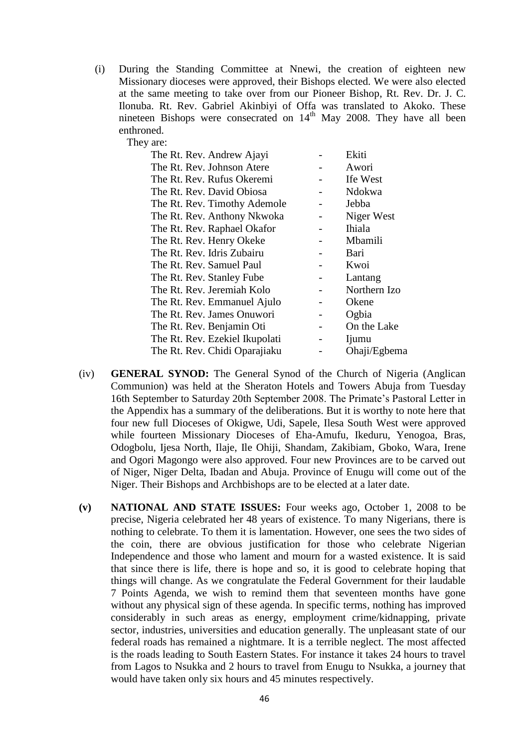- (i) During the Standing Committee at Nnewi, the creation of eighteen new Missionary dioceses were approved, their Bishops elected. We were also elected at the same meeting to take over from our Pioneer Bishop, Rt. Rev. Dr. J. C. Ilonuba. Rt. Rev. Gabriel Akinbiyi of Offa was translated to Akoko. These nineteen Bishops were consecrated on 14<sup>th</sup> May 2008. They have all been enthroned.
	- They are:

| The Rt. Rev. Andrew Ajayi      | Ekiti         |
|--------------------------------|---------------|
| The Rt. Rev. Johnson Atere     | Awori         |
| The Rt. Rev. Rufus Okeremi     | Ife West      |
| The Rt. Rev. David Obiosa      | Ndokwa        |
| The Rt. Rev. Timothy Ademole   | Jebba         |
| The Rt. Rev. Anthony Nkwoka    | Niger West    |
| The Rt. Rev. Raphael Okafor    | <i>Ihiala</i> |
| The Rt. Rev. Henry Okeke       | Mbamili       |
| The Rt. Rev. Idris Zubairu     | Bari          |
| The Rt. Rev. Samuel Paul       | Kwoi          |
| The Rt. Rev. Stanley Fube      | Lantang       |
| The Rt. Rev. Jeremiah Kolo     | Northern Izo  |
| The Rt. Rev. Emmanuel Ajulo    | Okene         |
| The Rt. Rev. James Onuwori     | Ogbia         |
| The Rt. Rev. Benjamin Oti      | On the Lake   |
| The Rt. Rev. Ezekiel Ikupolati | Ijumu         |
| The Rt. Rev. Chidi Oparajiaku  | Ohaji/Egbema  |
|                                |               |

- (iv) **GENERAL SYNOD:** The General Synod of the Church of Nigeria (Anglican Communion) was held at the Sheraton Hotels and Towers Abuja from Tuesday 16th September to Saturday 20th September 2008. The Primate"s Pastoral Letter in the Appendix has a summary of the deliberations. But it is worthy to note here that four new full Dioceses of Okigwe, Udi, Sapele, Ilesa South West were approved while fourteen Missionary Dioceses of Eha-Amufu, Ikeduru, Yenogoa, Bras, Odogbolu, Ijesa North, Ilaje, Ile Ohiji, Shandam, Zakibiam, Gboko, Wara, Irene and Ogori Magongo were also approved. Four new Provinces are to be carved out of Niger, Niger Delta, Ibadan and Abuja. Province of Enugu will come out of the Niger. Their Bishops and Archbishops are to be elected at a later date.
- **(v) NATIONAL AND STATE ISSUES:** Four weeks ago, October 1, 2008 to be precise, Nigeria celebrated her 48 years of existence. To many Nigerians, there is nothing to celebrate. To them it is lamentation. However, one sees the two sides of the coin, there are obvious justification for those who celebrate Nigerian Independence and those who lament and mourn for a wasted existence. It is said that since there is life, there is hope and so, it is good to celebrate hoping that things will change. As we congratulate the Federal Government for their laudable 7 Points Agenda, we wish to remind them that seventeen months have gone without any physical sign of these agenda. In specific terms, nothing has improved considerably in such areas as energy, employment crime/kidnapping, private sector, industries, universities and education generally. The unpleasant state of our federal roads has remained a nightmare. It is a terrible neglect. The most affected is the roads leading to South Eastern States. For instance it takes 24 hours to travel from Lagos to Nsukka and 2 hours to travel from Enugu to Nsukka, a journey that would have taken only six hours and 45 minutes respectively.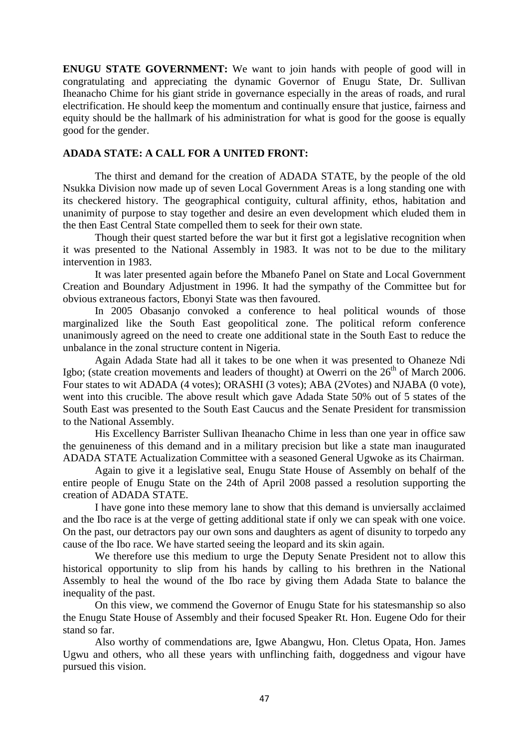**ENUGU STATE GOVERNMENT:** We want to join hands with people of good will in congratulating and appreciating the dynamic Governor of Enugu State, Dr. Sullivan Iheanacho Chime for his giant stride in governance especially in the areas of roads, and rural electrification. He should keep the momentum and continually ensure that justice, fairness and equity should be the hallmark of his administration for what is good for the goose is equally good for the gender.

# **ADADA STATE: A CALL FOR A UNITED FRONT:**

The thirst and demand for the creation of ADADA STATE, by the people of the old Nsukka Division now made up of seven Local Government Areas is a long standing one with its checkered history. The geographical contiguity, cultural affinity, ethos, habitation and unanimity of purpose to stay together and desire an even development which eluded them in the then East Central State compelled them to seek for their own state.

Though their quest started before the war but it first got a legislative recognition when it was presented to the National Assembly in 1983. It was not to be due to the military intervention in 1983.

It was later presented again before the Mbanefo Panel on State and Local Government Creation and Boundary Adjustment in 1996. It had the sympathy of the Committee but for obvious extraneous factors, Ebonyi State was then favoured.

In 2005 Obasanjo convoked a conference to heal political wounds of those marginalized like the South East geopolitical zone. The political reform conference unanimously agreed on the need to create one additional state in the South East to reduce the unbalance in the zonal structure content in Nigeria.

Again Adada State had all it takes to be one when it was presented to Ohaneze Ndi Igbo; (state creation movements and leaders of thought) at Owerri on the  $26<sup>th</sup>$  of March 2006. Four states to wit ADADA (4 votes); ORASHI (3 votes); ABA (2Votes) and NJABA (0 vote), went into this crucible. The above result which gave Adada State 50% out of 5 states of the South East was presented to the South East Caucus and the Senate President for transmission to the National Assembly.

His Excellency Barrister Sullivan Iheanacho Chime in less than one year in office saw the genuineness of this demand and in a military precision but like a state man inaugurated ADADA STATE Actualization Committee with a seasoned General Ugwoke as its Chairman.

Again to give it a legislative seal, Enugu State House of Assembly on behalf of the entire people of Enugu State on the 24th of April 2008 passed a resolution supporting the creation of ADADA STATE.

I have gone into these memory lane to show that this demand is unviersally acclaimed and the Ibo race is at the verge of getting additional state if only we can speak with one voice. On the past, our detractors pay our own sons and daughters as agent of disunity to torpedo any cause of the Ibo race. We have started seeing the leopard and its skin again.

We therefore use this medium to urge the Deputy Senate President not to allow this historical opportunity to slip from his hands by calling to his brethren in the National Assembly to heal the wound of the Ibo race by giving them Adada State to balance the inequality of the past.

On this view, we commend the Governor of Enugu State for his statesmanship so also the Enugu State House of Assembly and their focused Speaker Rt. Hon. Eugene Odo for their stand so far.

Also worthy of commendations are, Igwe Abangwu, Hon. Cletus Opata, Hon. James Ugwu and others, who all these years with unflinching faith, doggedness and vigour have pursued this vision.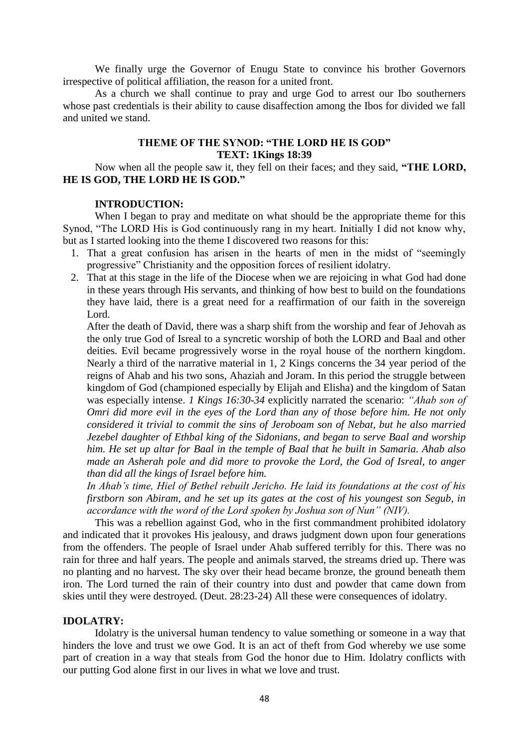We finally urge the Governor of Enugu State to convince his brother Governors irrespective of political affiliation, the reason for a united front.

As a church we shall continue to pray and urge God to arrest our Ibo southerners whose past credentials is their ability to cause disaffection among the Ibos for divided we fall and united we stand.

### **THEME OF THE SYNOD: "THE LORD HE IS GOD" TEXT: 1Kings 18:39**

Now when all the people saw it, they fell on their faces; and they said, **"THE LORD, HE IS GOD, THE LORD HE IS GOD."**

#### **INTRODUCTION:**

When I began to pray and meditate on what should be the appropriate theme for this Synod, "The LORD His is God continuously rang in my heart. Initially I did not know why, but as I started looking into the theme I discovered two reasons for this:

- 1. That a great confusion has arisen in the hearts of men in the midst of "seemingly progressive" Christianity and the opposition forces of resilient idolatry.
- 2. That at this stage in the life of the Diocese when we are rejoicing in what God had done in these years through His servants, and thinking of how best to build on the foundations they have laid, there is a great need for a reaffirmation of our faith in the sovereign Lord.

After the death of David, there was a sharp shift from the worship and fear of Jehovah as the only true God of Isreal to a syncretic worship of both the LORD and Baal and other deities. Evil became progressively worse in the royal house of the northern kingdom. Nearly a third of the narrative material in 1, 2 Kings concerns the 34 year period of the reigns of Ahab and his two sons, Ahaziah and Joram. In this period the struggle between kingdom of God (championed especially by Elijah and Elisha) and the kingdom of Satan was especially intense. *1 Kings 16:30-34* explicitly narrated the scenario: *"Ahab son of Omri did more evil in the eyes of the Lord than any of those before him. He not only considered it trivial to commit the sins of Jeroboam son of Nebat, but he also married Jezebel daughter of Ethbal king of the Sidonians, and began to serve Baal and worship him. He set up altar for Baal in the temple of Baal that he built in Samaria. Ahab also made an Asherah pole and did more to provoke the Lord, the God of Isreal, to anger than did all the kings of Israel before him.*

*In Ahab's time, Hiel of Bethel rebuilt Jericho. He laid its foundations at the cost of his firstborn son Abiram, and he set up its gates at the cost of his youngest son Segub, in accordance with the word of the Lord spoken by Joshua son of Nun" (NIV).*

This was a rebellion against God, who in the first commandment prohibited idolatory and indicated that it provokes His jealousy, and draws judgment down upon four generations from the offenders. The people of Israel under Ahab suffered terribly for this. There was no rain for three and half years. The people and animals starved, the streams dried up. There was no planting and no harvest. The sky over their head became bronze, the ground beneath them iron. The Lord turned the rain of their country into dust and powder that came down from skies until they were destroyed. (Deut. 28:23-24) All these were consequences of idolatry.

#### **IDOLATRY:**

Idolatry is the universal human tendency to value something or someone in a way that hinders the love and trust we owe God. It is an act of theft from God whereby we use some part of creation in a way that steals from God the honor due to Him. Idolatry conflicts with our putting God alone first in our lives in what we love and trust.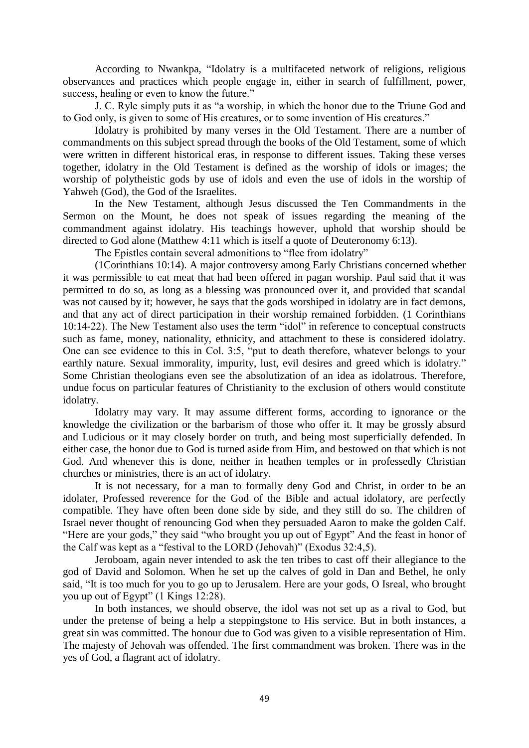According to Nwankpa, "Idolatry is a multifaceted network of religions, religious observances and practices which people engage in, either in search of fulfillment, power, success, healing or even to know the future."

J. C. Ryle simply puts it as "a worship, in which the honor due to the Triune God and to God only, is given to some of His creatures, or to some invention of His creatures."

Idolatry is prohibited by many verses in the Old Testament. There are a number of commandments on this subject spread through the books of the Old Testament, some of which were written in different historical eras, in response to different issues. Taking these verses together, idolatry in the Old Testament is defined as the worship of idols or images; the worship of polytheistic gods by use of idols and even the use of idols in the worship of Yahweh (God), the God of the Israelites.

In the New Testament, although Jesus discussed the Ten Commandments in the Sermon on the Mount, he does not speak of issues regarding the meaning of the commandment against idolatry. His teachings however, uphold that worship should be directed to God alone (Matthew 4:11 which is itself a quote of Deuteronomy 6:13).

The Epistles contain several admonitions to "flee from idolatry"

(1Corinthians 10:14). A major controversy among Early Christians concerned whether it was permissible to eat meat that had been offered in pagan worship. Paul said that it was permitted to do so, as long as a blessing was pronounced over it, and provided that scandal was not caused by it; however, he says that the gods worshiped in idolatry are in fact demons, and that any act of direct participation in their worship remained forbidden. (1 Corinthians 10:14-22). The New Testament also uses the term "idol" in reference to conceptual constructs such as fame, money, nationality, ethnicity, and attachment to these is considered idolatry. One can see evidence to this in Col. 3:5, "put to death therefore, whatever belongs to your earthly nature. Sexual immorality, impurity, lust, evil desires and greed which is idolatry." Some Christian theologians even see the absolutization of an idea as idolatrous. Therefore, undue focus on particular features of Christianity to the exclusion of others would constitute idolatry.

Idolatry may vary. It may assume different forms, according to ignorance or the knowledge the civilization or the barbarism of those who offer it. It may be grossly absurd and Ludicious or it may closely border on truth, and being most superficially defended. In either case, the honor due to God is turned aside from Him, and bestowed on that which is not God. And whenever this is done, neither in heathen temples or in professedly Christian churches or ministries, there is an act of idolatry.

It is not necessary, for a man to formally deny God and Christ, in order to be an idolater, Professed reverence for the God of the Bible and actual idolatory, are perfectly compatible. They have often been done side by side, and they still do so. The children of Israel never thought of renouncing God when they persuaded Aaron to make the golden Calf. "Here are your gods," they said "who brought you up out of Egypt" And the feast in honor of the Calf was kept as a "festival to the LORD (Jehovah)" (Exodus 32:4,5).

Jeroboam, again never intended to ask the ten tribes to cast off their allegiance to the god of David and Solomon. When he set up the calves of gold in Dan and Bethel, he only said, "It is too much for you to go up to Jerusalem. Here are your gods, O Isreal, who brought you up out of Egypt" (1 Kings 12:28).

In both instances, we should observe, the idol was not set up as a rival to God, but under the pretense of being a help a steppingstone to His service. But in both instances, a great sin was committed. The honour due to God was given to a visible representation of Him. The majesty of Jehovah was offended. The first commandment was broken. There was in the yes of God, a flagrant act of idolatry.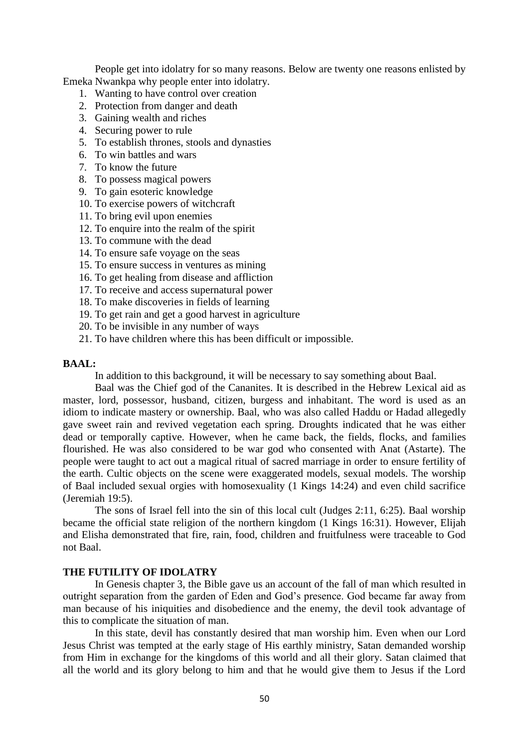People get into idolatry for so many reasons. Below are twenty one reasons enlisted by Emeka Nwankpa why people enter into idolatry.

- 1. Wanting to have control over creation
- 2. Protection from danger and death
- 3. Gaining wealth and riches
- 4. Securing power to rule
- 5. To establish thrones, stools and dynasties
- 6. To win battles and wars
- 7. To know the future
- 8. To possess magical powers
- 9. To gain esoteric knowledge
- 10. To exercise powers of witchcraft
- 11. To bring evil upon enemies
- 12. To enquire into the realm of the spirit
- 13. To commune with the dead
- 14. To ensure safe voyage on the seas
- 15. To ensure success in ventures as mining
- 16. To get healing from disease and affliction
- 17. To receive and access supernatural power
- 18. To make discoveries in fields of learning
- 19. To get rain and get a good harvest in agriculture
- 20. To be invisible in any number of ways
- 21. To have children where this has been difficult or impossible.

#### **BAAL:**

In addition to this background, it will be necessary to say something about Baal.

Baal was the Chief god of the Cananites. It is described in the Hebrew Lexical aid as master, lord, possessor, husband, citizen, burgess and inhabitant. The word is used as an idiom to indicate mastery or ownership. Baal, who was also called Haddu or Hadad allegedly gave sweet rain and revived vegetation each spring. Droughts indicated that he was either dead or temporally captive. However, when he came back, the fields, flocks, and families flourished. He was also considered to be war god who consented with Anat (Astarte). The people were taught to act out a magical ritual of sacred marriage in order to ensure fertility of the earth. Cultic objects on the scene were exaggerated models, sexual models. The worship of Baal included sexual orgies with homosexuality (1 Kings 14:24) and even child sacrifice (Jeremiah 19:5).

The sons of Israel fell into the sin of this local cult (Judges 2:11, 6:25). Baal worship became the official state religion of the northern kingdom (1 Kings 16:31). However, Elijah and Elisha demonstrated that fire, rain, food, children and fruitfulness were traceable to God not Baal.

### **THE FUTILITY OF IDOLATRY**

In Genesis chapter 3, the Bible gave us an account of the fall of man which resulted in outright separation from the garden of Eden and God"s presence. God became far away from man because of his iniquities and disobedience and the enemy, the devil took advantage of this to complicate the situation of man.

In this state, devil has constantly desired that man worship him. Even when our Lord Jesus Christ was tempted at the early stage of His earthly ministry, Satan demanded worship from Him in exchange for the kingdoms of this world and all their glory. Satan claimed that all the world and its glory belong to him and that he would give them to Jesus if the Lord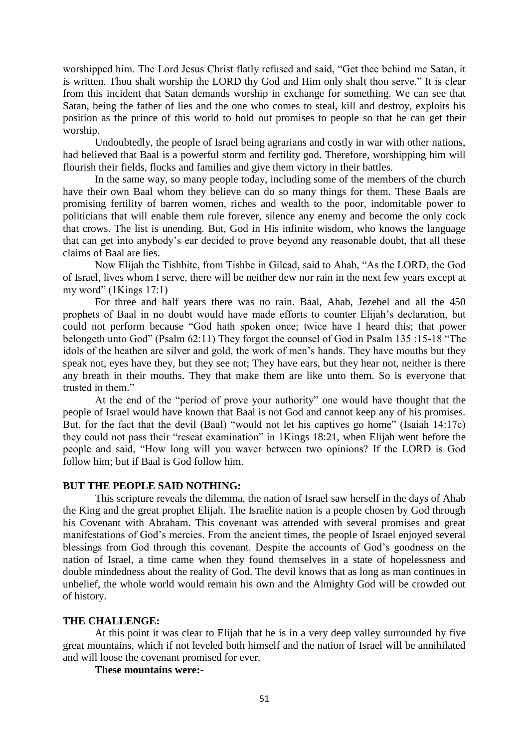worshipped him. The Lord Jesus Christ flatly refused and said, "Get thee behind me Satan, it is written. Thou shalt worship the LORD thy God and Him only shalt thou serve." It is clear from this incident that Satan demands worship in exchange for something. We can see that Satan, being the father of lies and the one who comes to steal, kill and destroy, exploits his position as the prince of this world to hold out promises to people so that he can get their worship.

Undoubtedly, the people of Israel being agrarians and costly in war with other nations, had believed that Baal is a powerful storm and fertility god. Therefore, worshipping him will flourish their fields, flocks and families and give them victory in their battles.

In the same way, so many people today, including some of the members of the church have their own Baal whom they believe can do so many things for them. These Baals are promising fertility of barren women, riches and wealth to the poor, indomitable power to politicians that will enable them rule forever, silence any enemy and become the only cock that crows. The list is unending. But, God in His infinite wisdom, who knows the language that can get into anybody"s ear decided to prove beyond any reasonable doubt, that all these claims of Baal are lies.

Now Elijah the Tishbite, from Tishbe in Gilead, said to Ahab, "As the LORD, the God of Israel, lives whom I serve, there will be neither dew nor rain in the next few years except at my word" (1Kings 17:1)

For three and half years there was no rain. Baal, Ahab, Jezebel and all the 450 prophets of Baal in no doubt would have made efforts to counter Elijah"s declaration, but could not perform because "God hath spoken once; twice have I heard this; that power belongeth unto God" (Psalm 62:11) They forgot the counsel of God in Psalm 135 :15-18 "The idols of the heathen are silver and gold, the work of men"s hands. They have mouths but they speak not, eyes have they, but they see not; They have ears, but they hear not, neither is there any breath in their mouths. They that make them are like unto them. So is everyone that trusted in them."

At the end of the "period of prove your authority" one would have thought that the people of Israel would have known that Baal is not God and cannot keep any of his promises. But, for the fact that the devil (Baal) "would not let his captives go home" (Isaiah 14:17c) they could not pass their "reseat examination" in 1Kings 18:21, when Elijah went before the people and said, "How long will you waver between two opinions? If the LORD is God follow him; but if Baal is God follow him.

### **BUT THE PEOPLE SAID NOTHING:**

This scripture reveals the dilemma, the nation of Israel saw herself in the days of Ahab the King and the great prophet Elijah. The Israelite nation is a people chosen by God through his Covenant with Abraham. This covenant was attended with several promises and great manifestations of God"s mercies. From the ancient times, the people of Israel enjoyed several blessings from God through this covenant. Despite the accounts of God"s goodness on the nation of Israel, a time came when they found themselves in a state of hopelessness and double mindedness about the reality of God. The devil knows that as long as man continues in unbelief, the whole world would remain his own and the Almighty God will be crowded out of history.

#### **THE CHALLENGE:**

At this point it was clear to Elijah that he is in a very deep valley surrounded by five great mountains, which if not leveled both himself and the nation of Israel will be annihilated and will loose the covenant promised for ever.

**These mountains were:-**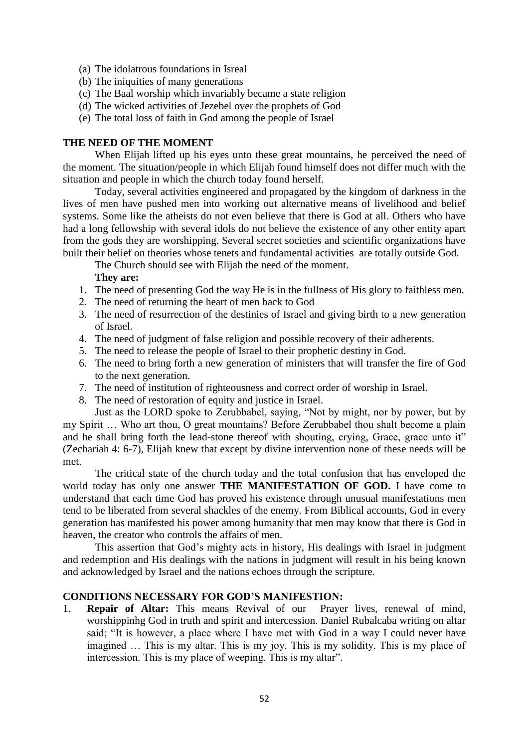- (a) The idolatrous foundations in Isreal
- (b) The iniquities of many generations
- (c) The Baal worship which invariably became a state religion
- (d) The wicked activities of Jezebel over the prophets of God
- (e) The total loss of faith in God among the people of Israel

## **THE NEED OF THE MOMENT**

When Elijah lifted up his eyes unto these great mountains, he perceived the need of the moment. The situation/people in which Elijah found himself does not differ much with the situation and people in which the church today found herself.

Today, several activities engineered and propagated by the kingdom of darkness in the lives of men have pushed men into working out alternative means of livelihood and belief systems. Some like the atheists do not even believe that there is God at all. Others who have had a long fellowship with several idols do not believe the existence of any other entity apart from the gods they are worshipping. Several secret societies and scientific organizations have built their belief on theories whose tenets and fundamental activities are totally outside God.

The Church should see with Elijah the need of the moment.

### **They are:**

- 1. The need of presenting God the way He is in the fullness of His glory to faithless men.
- 2. The need of returning the heart of men back to God
- 3. The need of resurrection of the destinies of Israel and giving birth to a new generation of Israel.
- 4. The need of judgment of false religion and possible recovery of their adherents.
- 5. The need to release the people of Israel to their prophetic destiny in God.
- 6. The need to bring forth a new generation of ministers that will transfer the fire of God to the next generation.
- 7. The need of institution of righteousness and correct order of worship in Israel.
- 8. The need of restoration of equity and justice in Israel.

Just as the LORD spoke to Zerubbabel, saying, "Not by might, nor by power, but by my Spirit … Who art thou, O great mountains? Before Zerubbabel thou shalt become a plain and he shall bring forth the lead-stone thereof with shouting, crying, Grace, grace unto it" (Zechariah 4: 6-7), Elijah knew that except by divine intervention none of these needs will be met.

The critical state of the church today and the total confusion that has enveloped the world today has only one answer **THE MANIFESTATION OF GOD.** I have come to understand that each time God has proved his existence through unusual manifestations men tend to be liberated from several shackles of the enemy. From Biblical accounts, God in every generation has manifested his power among humanity that men may know that there is God in heaven, the creator who controls the affairs of men.

This assertion that God"s mighty acts in history, His dealings with Israel in judgment and redemption and His dealings with the nations in judgment will result in his being known and acknowledged by Israel and the nations echoes through the scripture.

# **CONDITIONS NECESSARY FOR GOD"S MANIFESTION:**

1. **Repair of Altar:** This means Revival of our Prayer lives, renewal of mind, worshippinhg God in truth and spirit and intercession. Daniel Rubalcaba writing on altar said; "It is however, a place where I have met with God in a way I could never have imagined … This is my altar. This is my joy. This is my solidity. This is my place of intercession. This is my place of weeping. This is my altar".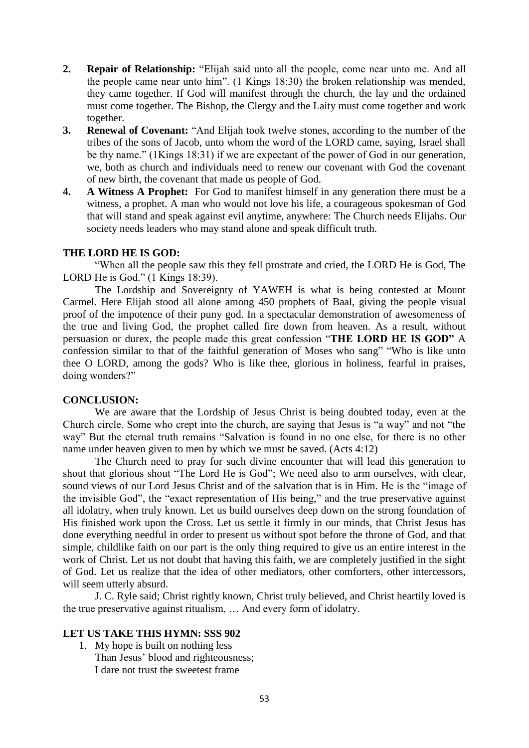- **2. Repair of Relationship:** "Elijah said unto all the people, come near unto me. And all the people came near unto him". (1 Kings 18:30) the broken relationship was mended, they came together. If God will manifest through the church, the lay and the ordained must come together. The Bishop, the Clergy and the Laity must come together and work together.
- **3. Renewal of Covenant:** "And Elijah took twelve stones, according to the number of the tribes of the sons of Jacob, unto whom the word of the LORD came, saying, Israel shall be thy name." (1Kings 18:31) if we are expectant of the power of God in our generation, we, both as church and individuals need to renew our covenant with God the covenant of new birth, the covenant that made us people of God.
- **4. A Witness A Prophet:** For God to manifest himself in any generation there must be a witness, a prophet. A man who would not love his life, a courageous spokesman of God that will stand and speak against evil anytime, anywhere: The Church needs Elijahs. Our society needs leaders who may stand alone and speak difficult truth.

### **THE LORD HE IS GOD:**

"When all the people saw this they fell prostrate and cried, the LORD He is God, The LORD He is God." (1 Kings 18:39).

The Lordship and Sovereignty of YAWEH is what is being contested at Mount Carmel. Here Elijah stood all alone among 450 prophets of Baal, giving the people visual proof of the impotence of their puny god. In a spectacular demonstration of awesomeness of the true and living God, the prophet called fire down from heaven. As a result, without persuasion or durex, the people made this great confession "**THE LORD HE IS GOD"** A confession similar to that of the faithful generation of Moses who sang" "Who is like unto thee O LORD, among the gods? Who is like thee, glorious in holiness, fearful in praises, doing wonders?"

# **CONCLUSION:**

We are aware that the Lordship of Jesus Christ is being doubted today, even at the Church circle. Some who crept into the church, are saying that Jesus is "a way" and not "the way" But the eternal truth remains "Salvation is found in no one else, for there is no other name under heaven given to men by which we must be saved. (Acts 4:12)

The Church need to pray for such divine encounter that will lead this generation to shout that glorious shout "The Lord He is God"; We need also to arm ourselves, with clear, sound views of our Lord Jesus Christ and of the salvation that is in Him. He is the "image of the invisible God", the "exact representation of His being," and the true preservative against all idolatry, when truly known. Let us build ourselves deep down on the strong foundation of His finished work upon the Cross. Let us settle it firmly in our minds, that Christ Jesus has done everything needful in order to present us without spot before the throne of God, and that simple, childlike faith on our part is the only thing required to give us an entire interest in the work of Christ. Let us not doubt that having this faith, we are completely justified in the sight of God. Let us realize that the idea of other mediators, other comforters, other intercessors, will seem utterly absurd.

J. C. Ryle said; Christ rightly known, Christ truly believed, and Christ heartily loved is the true preservative against ritualism, … And every form of idolatry.

# **LET US TAKE THIS HYMN: SSS 902**

1. My hope is built on nothing less Than Jesus' blood and righteousness: I dare not trust the sweetest frame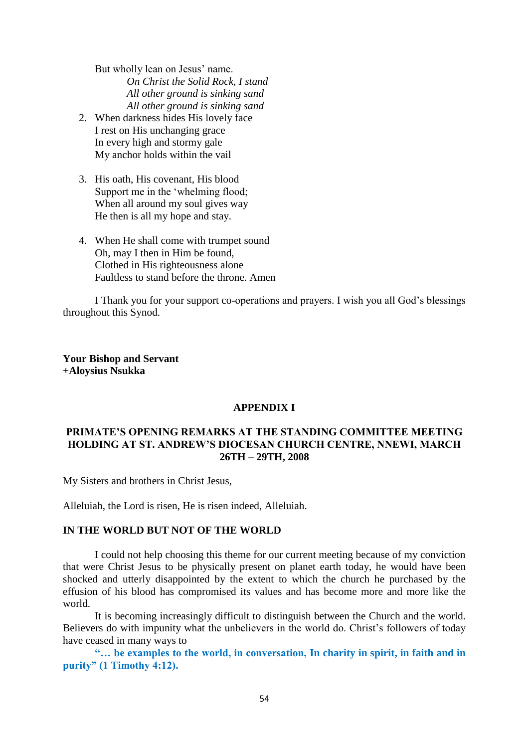But wholly lean on Jesus' name. *On Christ the Solid Rock, I stand All other ground is sinking sand All other ground is sinking sand*

- 2. When darkness hides His lovely face I rest on His unchanging grace In every high and stormy gale My anchor holds within the vail
- 3. His oath, His covenant, His blood Support me in the 'whelming flood: When all around my soul gives way He then is all my hope and stay.
- 4. When He shall come with trumpet sound Oh, may I then in Him be found, Clothed in His righteousness alone Faultless to stand before the throne. Amen

I Thank you for your support co-operations and prayers. I wish you all God"s blessings throughout this Synod.

**Your Bishop and Servant +Aloysius Nsukka**

# **APPENDIX I**

# **PRIMATE"S OPENING REMARKS AT THE STANDING COMMITTEE MEETING HOLDING AT ST. ANDREW"S DIOCESAN CHURCH CENTRE, NNEWI, MARCH 26TH – 29TH, 2008**

My Sisters and brothers in Christ Jesus,

Alleluiah, the Lord is risen, He is risen indeed, Alleluiah.

# **IN THE WORLD BUT NOT OF THE WORLD**

I could not help choosing this theme for our current meeting because of my conviction that were Christ Jesus to be physically present on planet earth today, he would have been shocked and utterly disappointed by the extent to which the church he purchased by the effusion of his blood has compromised its values and has become more and more like the world.

It is becoming increasingly difficult to distinguish between the Church and the world. Believers do with impunity what the unbelievers in the world do. Christ"s followers of today have ceased in many ways to

**"… be examples to the world, in conversation, In charity in spirit, in faith and in purity" (1 Timothy 4:12).**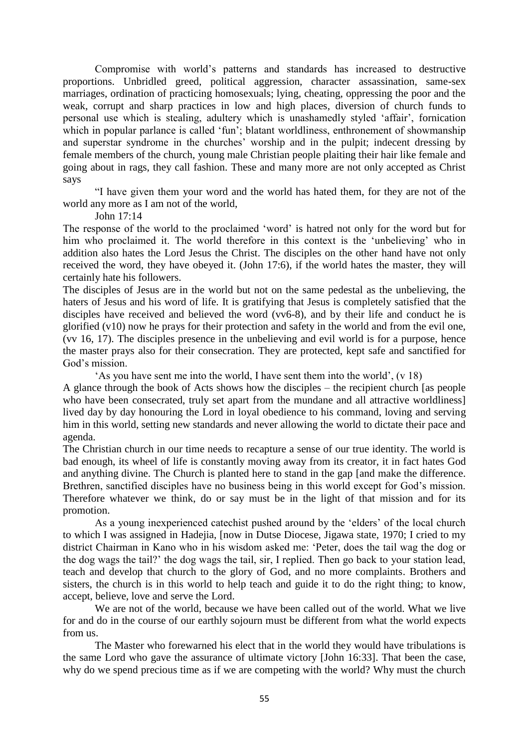Compromise with world"s patterns and standards has increased to destructive proportions. Unbridled greed, political aggression, character assassination, same-sex marriages, ordination of practicing homosexuals; lying, cheating, oppressing the poor and the weak, corrupt and sharp practices in low and high places, diversion of church funds to personal use which is stealing, adultery which is unashamedly styled "affair", fornication which in popular parlance is called 'fun'; blatant worldliness, enthronement of showmanship and superstar syndrome in the churches' worship and in the pulpit; indecent dressing by female members of the church, young male Christian people plaiting their hair like female and going about in rags, they call fashion. These and many more are not only accepted as Christ says

"I have given them your word and the world has hated them, for they are not of the world any more as I am not of the world,

John 17:14

The response of the world to the proclaimed "word" is hatred not only for the word but for him who proclaimed it. The world therefore in this context is the "unbelieving" who in addition also hates the Lord Jesus the Christ. The disciples on the other hand have not only received the word, they have obeyed it. (John 17:6), if the world hates the master, they will certainly hate his followers.

The disciples of Jesus are in the world but not on the same pedestal as the unbelieving, the haters of Jesus and his word of life. It is gratifying that Jesus is completely satisfied that the disciples have received and believed the word (vv6-8), and by their life and conduct he is glorified (v10) now he prays for their protection and safety in the world and from the evil one, (vv 16, 17). The disciples presence in the unbelieving and evil world is for a purpose, hence the master prays also for their consecration. They are protected, kept safe and sanctified for God's mission.

"As you have sent me into the world, I have sent them into the world", (v 18)

A glance through the book of Acts shows how the disciples – the recipient church [as people who have been consecrated, truly set apart from the mundane and all attractive worldliness] lived day by day honouring the Lord in loyal obedience to his command, loving and serving him in this world, setting new standards and never allowing the world to dictate their pace and agenda.

The Christian church in our time needs to recapture a sense of our true identity. The world is bad enough, its wheel of life is constantly moving away from its creator, it in fact hates God and anything divine. The Church is planted here to stand in the gap [and make the difference. Brethren, sanctified disciples have no business being in this world except for God's mission. Therefore whatever we think, do or say must be in the light of that mission and for its promotion.

As a young inexperienced catechist pushed around by the "elders" of the local church to which I was assigned in Hadejia, [now in Dutse Diocese, Jigawa state, 1970; I cried to my district Chairman in Kano who in his wisdom asked me: "Peter, does the tail wag the dog or the dog wags the tail?" the dog wags the tail, sir, I replied. Then go back to your station lead, teach and develop that church to the glory of God, and no more complaints. Brothers and sisters, the church is in this world to help teach and guide it to do the right thing; to know, accept, believe, love and serve the Lord.

We are not of the world, because we have been called out of the world. What we live for and do in the course of our earthly sojourn must be different from what the world expects from us.

The Master who forewarned his elect that in the world they would have tribulations is the same Lord who gave the assurance of ultimate victory [John 16:33]. That been the case, why do we spend precious time as if we are competing with the world? Why must the church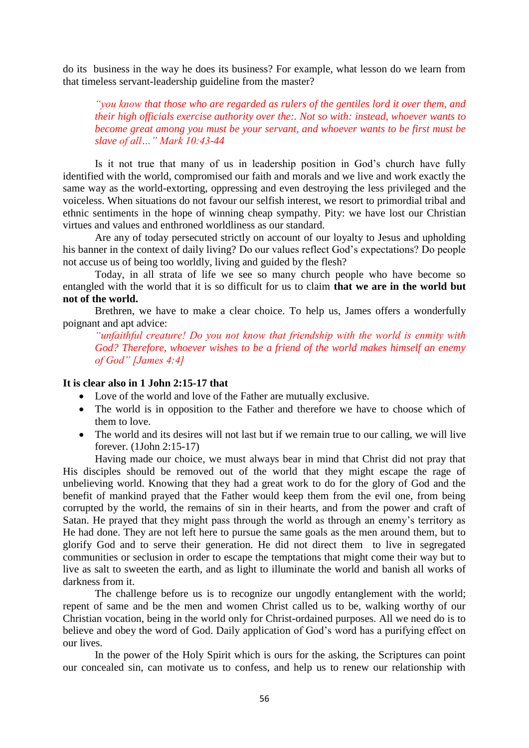do its business in the way he does its business? For example, what lesson do we learn from that timeless servant-leadership guideline from the master?

*"you know that those who are regarded as rulers of the gentiles lord it over them, and their high officials exercise authority over the:. Not so with: instead, whoever wants to become great among you must be your servant, and whoever wants to be first must be slave of all…" Mark 10:43-44*

Is it not true that many of us in leadership position in God"s church have fully identified with the world, compromised our faith and morals and we live and work exactly the same way as the world-extorting, oppressing and even destroying the less privileged and the voiceless. When situations do not favour our selfish interest, we resort to primordial tribal and ethnic sentiments in the hope of winning cheap sympathy. Pity: we have lost our Christian virtues and values and enthroned worldliness as our standard.

Are any of today persecuted strictly on account of our loyalty to Jesus and upholding his banner in the context of daily living? Do our values reflect God's expectations? Do people not accuse us of being too worldly, living and guided by the flesh?

Today, in all strata of life we see so many church people who have become so entangled with the world that it is so difficult for us to claim **that we are in the world but not of the world.**

Brethren, we have to make a clear choice. To help us, James offers a wonderfully poignant and apt advice:

*"unfaithful creature! Do you not know that friendship with the world is enmity with God? Therefore, whoever wishes to be a friend of the world makes himself an enemy of God" [James 4:4]* 

#### **It is clear also in 1 John 2:15-17 that**

- Love of the world and love of the Father are mutually exclusive.
- The world is in opposition to the Father and therefore we have to choose which of them to love.
- The world and its desires will not last but if we remain true to our calling, we will live forever. (1John 2:15-17)

Having made our choice, we must always bear in mind that Christ did not pray that His disciples should be removed out of the world that they might escape the rage of unbelieving world. Knowing that they had a great work to do for the glory of God and the benefit of mankind prayed that the Father would keep them from the evil one, from being corrupted by the world, the remains of sin in their hearts, and from the power and craft of Satan. He prayed that they might pass through the world as through an enemy"s territory as He had done. They are not left here to pursue the same goals as the men around them, but to glorify God and to serve their generation. He did not direct them to live in segregated communities or seclusion in order to escape the temptations that might come their way but to live as salt to sweeten the earth, and as light to illuminate the world and banish all works of darkness from it.

The challenge before us is to recognize our ungodly entanglement with the world; repent of same and be the men and women Christ called us to be, walking worthy of our Christian vocation, being in the world only for Christ-ordained purposes. All we need do is to believe and obey the word of God. Daily application of God's word has a purifying effect on our lives.

In the power of the Holy Spirit which is ours for the asking, the Scriptures can point our concealed sin, can motivate us to confess, and help us to renew our relationship with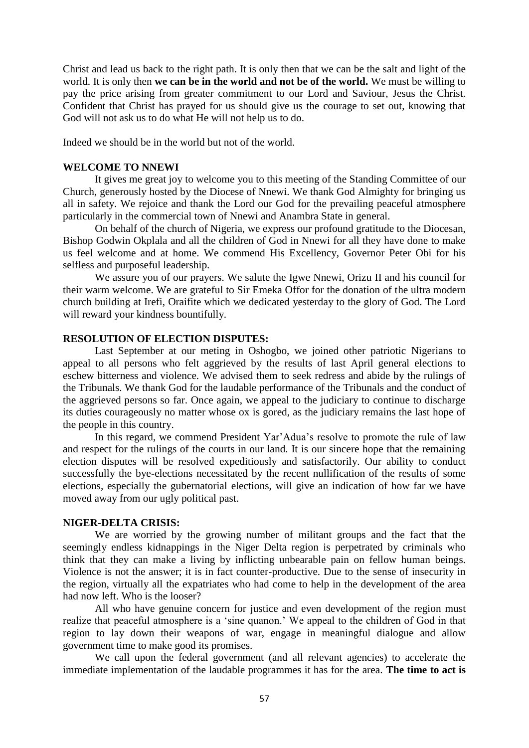Christ and lead us back to the right path. It is only then that we can be the salt and light of the world. It is only then **we can be in the world and not be of the world.** We must be willing to pay the price arising from greater commitment to our Lord and Saviour, Jesus the Christ. Confident that Christ has prayed for us should give us the courage to set out, knowing that God will not ask us to do what He will not help us to do.

Indeed we should be in the world but not of the world.

#### **WELCOME TO NNEWI**

It gives me great joy to welcome you to this meeting of the Standing Committee of our Church, generously hosted by the Diocese of Nnewi. We thank God Almighty for bringing us all in safety. We rejoice and thank the Lord our God for the prevailing peaceful atmosphere particularly in the commercial town of Nnewi and Anambra State in general.

On behalf of the church of Nigeria, we express our profound gratitude to the Diocesan, Bishop Godwin Okplala and all the children of God in Nnewi for all they have done to make us feel welcome and at home. We commend His Excellency, Governor Peter Obi for his selfless and purposeful leadership.

We assure you of our prayers. We salute the Igwe Nnewi, Orizu II and his council for their warm welcome. We are grateful to Sir Emeka Offor for the donation of the ultra modern church building at Irefi, Oraifite which we dedicated yesterday to the glory of God. The Lord will reward your kindness bountifully.

## **RESOLUTION OF ELECTION DISPUTES:**

Last September at our meting in Oshogbo, we joined other patriotic Nigerians to appeal to all persons who felt aggrieved by the results of last April general elections to eschew bitterness and violence. We advised them to seek redress and abide by the rulings of the Tribunals. We thank God for the laudable performance of the Tribunals and the conduct of the aggrieved persons so far. Once again, we appeal to the judiciary to continue to discharge its duties courageously no matter whose ox is gored, as the judiciary remains the last hope of the people in this country.

In this regard, we commend President Yar'Adua's resolve to promote the rule of law and respect for the rulings of the courts in our land. It is our sincere hope that the remaining election disputes will be resolved expeditiously and satisfactorily. Our ability to conduct successfully the bye-elections necessitated by the recent nullification of the results of some elections, especially the gubernatorial elections, will give an indication of how far we have moved away from our ugly political past.

#### **NIGER-DELTA CRISIS:**

We are worried by the growing number of militant groups and the fact that the seemingly endless kidnappings in the Niger Delta region is perpetrated by criminals who think that they can make a living by inflicting unbearable pain on fellow human beings. Violence is not the answer; it is in fact counter-productive. Due to the sense of insecurity in the region, virtually all the expatriates who had come to help in the development of the area had now left. Who is the looser?

All who have genuine concern for justice and even development of the region must realize that peaceful atmosphere is a "sine quanon." We appeal to the children of God in that region to lay down their weapons of war, engage in meaningful dialogue and allow government time to make good its promises.

We call upon the federal government (and all relevant agencies) to accelerate the immediate implementation of the laudable programmes it has for the area. **The time to act is**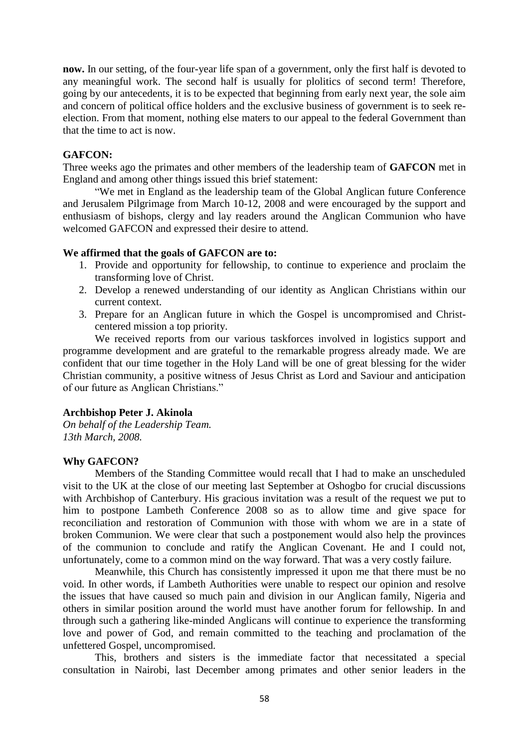**now.** In our setting, of the four-year life span of a government, only the first half is devoted to any meaningful work. The second half is usually for plolitics of second term! Therefore, going by our antecedents, it is to be expected that beginning from early next year, the sole aim and concern of political office holders and the exclusive business of government is to seek reelection. From that moment, nothing else maters to our appeal to the federal Government than that the time to act is now.

# **GAFCON:**

Three weeks ago the primates and other members of the leadership team of **GAFCON** met in England and among other things issued this brief statement:

"We met in England as the leadership team of the Global Anglican future Conference and Jerusalem Pilgrimage from March 10-12, 2008 and were encouraged by the support and enthusiasm of bishops, clergy and lay readers around the Anglican Communion who have welcomed GAFCON and expressed their desire to attend.

### **We affirmed that the goals of GAFCON are to:**

- 1. Provide and opportunity for fellowship, to continue to experience and proclaim the transforming love of Christ.
- 2. Develop a renewed understanding of our identity as Anglican Christians within our current context.
- 3. Prepare for an Anglican future in which the Gospel is uncompromised and Christcentered mission a top priority.

We received reports from our various taskforces involved in logistics support and programme development and are grateful to the remarkable progress already made. We are confident that our time together in the Holy Land will be one of great blessing for the wider Christian community, a positive witness of Jesus Christ as Lord and Saviour and anticipation of our future as Anglican Christians."

# **Archbishop Peter J. Akinola**

*On behalf of the Leadership Team. 13th March, 2008.*

#### **Why GAFCON?**

Members of the Standing Committee would recall that I had to make an unscheduled visit to the UK at the close of our meeting last September at Oshogbo for crucial discussions with Archbishop of Canterbury. His gracious invitation was a result of the request we put to him to postpone Lambeth Conference 2008 so as to allow time and give space for reconciliation and restoration of Communion with those with whom we are in a state of broken Communion. We were clear that such a postponement would also help the provinces of the communion to conclude and ratify the Anglican Covenant. He and I could not, unfortunately, come to a common mind on the way forward. That was a very costly failure.

Meanwhile, this Church has consistently impressed it upon me that there must be no void. In other words, if Lambeth Authorities were unable to respect our opinion and resolve the issues that have caused so much pain and division in our Anglican family, Nigeria and others in similar position around the world must have another forum for fellowship. In and through such a gathering like-minded Anglicans will continue to experience the transforming love and power of God, and remain committed to the teaching and proclamation of the unfettered Gospel, uncompromised.

This, brothers and sisters is the immediate factor that necessitated a special consultation in Nairobi, last December among primates and other senior leaders in the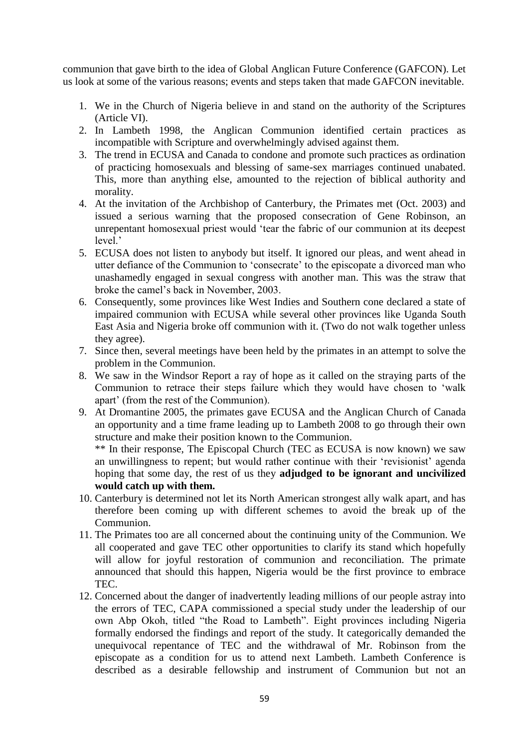communion that gave birth to the idea of Global Anglican Future Conference (GAFCON). Let us look at some of the various reasons; events and steps taken that made GAFCON inevitable.

- 1. We in the Church of Nigeria believe in and stand on the authority of the Scriptures (Article VI).
- 2. In Lambeth 1998, the Anglican Communion identified certain practices as incompatible with Scripture and overwhelmingly advised against them.
- 3. The trend in ECUSA and Canada to condone and promote such practices as ordination of practicing homosexuals and blessing of same-sex marriages continued unabated. This, more than anything else, amounted to the rejection of biblical authority and morality.
- 4. At the invitation of the Archbishop of Canterbury, the Primates met (Oct. 2003) and issued a serious warning that the proposed consecration of Gene Robinson, an unrepentant homosexual priest would "tear the fabric of our communion at its deepest level<sup>'</sup>
- 5. ECUSA does not listen to anybody but itself. It ignored our pleas, and went ahead in utter defiance of the Communion to "consecrate" to the episcopate a divorced man who unashamedly engaged in sexual congress with another man. This was the straw that broke the camel"s back in November, 2003.
- 6. Consequently, some provinces like West Indies and Southern cone declared a state of impaired communion with ECUSA while several other provinces like Uganda South East Asia and Nigeria broke off communion with it. (Two do not walk together unless they agree).
- 7. Since then, several meetings have been held by the primates in an attempt to solve the problem in the Communion.
- 8. We saw in the Windsor Report a ray of hope as it called on the straying parts of the Communion to retrace their steps failure which they would have chosen to "walk apart" (from the rest of the Communion).
- 9. At Dromantine 2005, the primates gave ECUSA and the Anglican Church of Canada an opportunity and a time frame leading up to Lambeth 2008 to go through their own structure and make their position known to the Communion.

\*\* In their response, The Episcopal Church (TEC as ECUSA is now known) we saw an unwillingness to repent; but would rather continue with their "revisionist" agenda hoping that some day, the rest of us they **adjudged to be ignorant and uncivilized would catch up with them.**

- 10. Canterbury is determined not let its North American strongest ally walk apart, and has therefore been coming up with different schemes to avoid the break up of the Communion.
- 11. The Primates too are all concerned about the continuing unity of the Communion. We all cooperated and gave TEC other opportunities to clarify its stand which hopefully will allow for joyful restoration of communion and reconciliation. The primate announced that should this happen, Nigeria would be the first province to embrace TEC.
- 12. Concerned about the danger of inadvertently leading millions of our people astray into the errors of TEC, CAPA commissioned a special study under the leadership of our own Abp Okoh, titled "the Road to Lambeth". Eight provinces including Nigeria formally endorsed the findings and report of the study. It categorically demanded the unequivocal repentance of TEC and the withdrawal of Mr. Robinson from the episcopate as a condition for us to attend next Lambeth. Lambeth Conference is described as a desirable fellowship and instrument of Communion but not an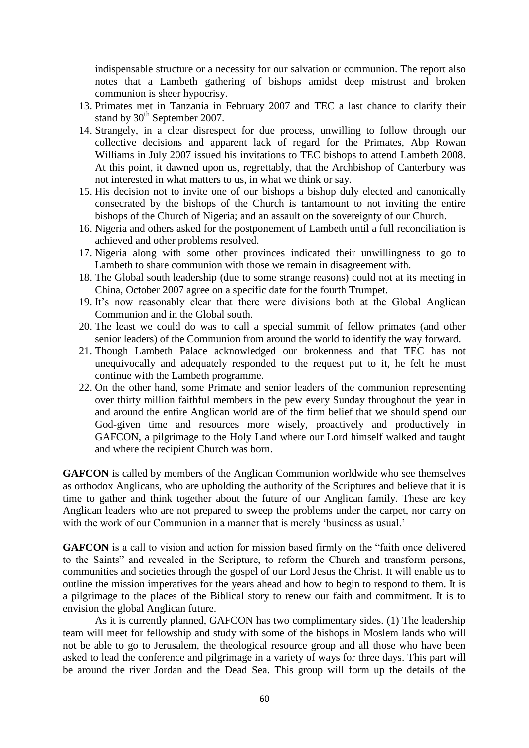indispensable structure or a necessity for our salvation or communion. The report also notes that a Lambeth gathering of bishops amidst deep mistrust and broken communion is sheer hypocrisy.

- 13. Primates met in Tanzania in February 2007 and TEC a last chance to clarify their stand by 30<sup>th</sup> September 2007.
- 14. Strangely, in a clear disrespect for due process, unwilling to follow through our collective decisions and apparent lack of regard for the Primates, Abp Rowan Williams in July 2007 issued his invitations to TEC bishops to attend Lambeth 2008. At this point, it dawned upon us, regrettably, that the Archbishop of Canterbury was not interested in what matters to us, in what we think or say.
- 15. His decision not to invite one of our bishops a bishop duly elected and canonically consecrated by the bishops of the Church is tantamount to not inviting the entire bishops of the Church of Nigeria; and an assault on the sovereignty of our Church.
- 16. Nigeria and others asked for the postponement of Lambeth until a full reconciliation is achieved and other problems resolved.
- 17. Nigeria along with some other provinces indicated their unwillingness to go to Lambeth to share communion with those we remain in disagreement with.
- 18. The Global south leadership (due to some strange reasons) could not at its meeting in China, October 2007 agree on a specific date for the fourth Trumpet.
- 19. It"s now reasonably clear that there were divisions both at the Global Anglican Communion and in the Global south.
- 20. The least we could do was to call a special summit of fellow primates (and other senior leaders) of the Communion from around the world to identify the way forward.
- 21. Though Lambeth Palace acknowledged our brokenness and that TEC has not unequivocally and adequately responded to the request put to it, he felt he must continue with the Lambeth programme.
- 22. On the other hand, some Primate and senior leaders of the communion representing over thirty million faithful members in the pew every Sunday throughout the year in and around the entire Anglican world are of the firm belief that we should spend our God-given time and resources more wisely, proactively and productively in GAFCON, a pilgrimage to the Holy Land where our Lord himself walked and taught and where the recipient Church was born.

**GAFCON** is called by members of the Anglican Communion worldwide who see themselves as orthodox Anglicans, who are upholding the authority of the Scriptures and believe that it is time to gather and think together about the future of our Anglican family. These are key Anglican leaders who are not prepared to sweep the problems under the carpet, nor carry on with the work of our Communion in a manner that is merely 'business as usual.'

GAFCON is a call to vision and action for mission based firmly on the "faith once delivered to the Saints" and revealed in the Scripture, to reform the Church and transform persons, communities and societies through the gospel of our Lord Jesus the Christ. It will enable us to outline the mission imperatives for the years ahead and how to begin to respond to them. It is a pilgrimage to the places of the Biblical story to renew our faith and commitment. It is to envision the global Anglican future.

As it is currently planned, GAFCON has two complimentary sides. (1) The leadership team will meet for fellowship and study with some of the bishops in Moslem lands who will not be able to go to Jerusalem, the theological resource group and all those who have been asked to lead the conference and pilgrimage in a variety of ways for three days. This part will be around the river Jordan and the Dead Sea. This group will form up the details of the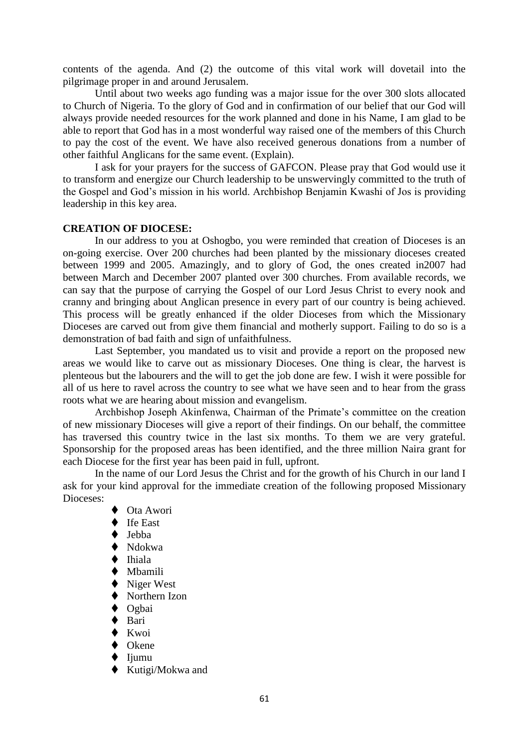contents of the agenda. And (2) the outcome of this vital work will dovetail into the pilgrimage proper in and around Jerusalem.

Until about two weeks ago funding was a major issue for the over 300 slots allocated to Church of Nigeria. To the glory of God and in confirmation of our belief that our God will always provide needed resources for the work planned and done in his Name, I am glad to be able to report that God has in a most wonderful way raised one of the members of this Church to pay the cost of the event. We have also received generous donations from a number of other faithful Anglicans for the same event. (Explain).

I ask for your prayers for the success of GAFCON. Please pray that God would use it to transform and energize our Church leadership to be unswervingly committed to the truth of the Gospel and God"s mission in his world. Archbishop Benjamin Kwashi of Jos is providing leadership in this key area.

## **CREATION OF DIOCESE:**

In our address to you at Oshogbo, you were reminded that creation of Dioceses is an on-going exercise. Over 200 churches had been planted by the missionary dioceses created between 1999 and 2005. Amazingly, and to glory of God, the ones created in2007 had between March and December 2007 planted over 300 churches. From available records, we can say that the purpose of carrying the Gospel of our Lord Jesus Christ to every nook and cranny and bringing about Anglican presence in every part of our country is being achieved. This process will be greatly enhanced if the older Dioceses from which the Missionary Dioceses are carved out from give them financial and motherly support. Failing to do so is a demonstration of bad faith and sign of unfaithfulness.

Last September, you mandated us to visit and provide a report on the proposed new areas we would like to carve out as missionary Dioceses. One thing is clear, the harvest is plenteous but the labourers and the will to get the job done are few. I wish it were possible for all of us here to ravel across the country to see what we have seen and to hear from the grass roots what we are hearing about mission and evangelism.

Archbishop Joseph Akinfenwa, Chairman of the Primate"s committee on the creation of new missionary Dioceses will give a report of their findings. On our behalf, the committee has traversed this country twice in the last six months. To them we are very grateful. Sponsorship for the proposed areas has been identified, and the three million Naira grant for each Diocese for the first year has been paid in full, upfront.

In the name of our Lord Jesus the Christ and for the growth of his Church in our land I ask for your kind approval for the immediate creation of the following proposed Missionary Dioceses:

- ◆ Ota Awori
- $\blacklozenge$  Ife East
- ◆ Jebba
- ◆ Ndokwa
- $\bullet$  Ihiala
- ◆ Mbamili
- ◆ Niger West
- ◆ Northern Izon
- ◆ Ogbai
- $\bullet$  Bari
- $\blacklozenge$  Kwoi
- ◆ Okene
- $\bullet$  Ijumu
- ◆ Kutigi/Mokwa and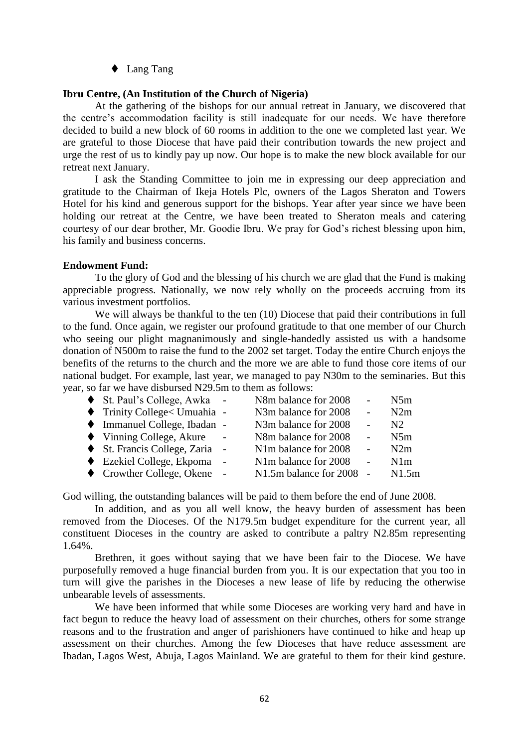◆ Lang Tang

### **Ibru Centre, (An Institution of the Church of Nigeria)**

At the gathering of the bishops for our annual retreat in January, we discovered that the centre"s accommodation facility is still inadequate for our needs. We have therefore decided to build a new block of 60 rooms in addition to the one we completed last year. We are grateful to those Diocese that have paid their contribution towards the new project and urge the rest of us to kindly pay up now. Our hope is to make the new block available for our retreat next January.

I ask the Standing Committee to join me in expressing our deep appreciation and gratitude to the Chairman of Ikeja Hotels Plc, owners of the Lagos Sheraton and Towers Hotel for his kind and generous support for the bishops. Year after year since we have been holding our retreat at the Centre, we have been treated to Sheraton meals and catering courtesy of our dear brother, Mr. Goodie Ibru. We pray for God's richest blessing upon him, his family and business concerns.

#### **Endowment Fund:**

To the glory of God and the blessing of his church we are glad that the Fund is making appreciable progress. Nationally, we now rely wholly on the proceeds accruing from its various investment portfolios.

We will always be thankful to the ten (10) Diocese that paid their contributions in full to the fund. Once again, we register our profound gratitude to that one member of our Church who seeing our plight magnanimously and single-handedly assisted us with a handsome donation of N500m to raise the fund to the 2002 set target. Today the entire Church enjoys the benefits of the returns to the church and the more we are able to fund those core items of our national budget. For example, last year, we managed to pay N30m to the seminaries. But this year, so far we have disbursed N29.5m to them as follows:

| $\blacklozenge$ St. Paul's College, Awka - |        | N8m balance for 2008   | $\blacksquare$           | N5m   |
|--------------------------------------------|--------|------------------------|--------------------------|-------|
| ♦ Trinity College< Umuahia -               |        | N3m balance for 2008   | $\overline{\phantom{a}}$ | N2m   |
| ♦ Immanuel College, Ibadan -               |        | N3m balance for 2008   | $\blacksquare$           | N2.   |
| $\blacklozenge$ Vinning College, Akure     | $\sim$ | N8m balance for 2008   | $\blacksquare$           | N5m   |
| $\blacklozenge$ St. Francis College, Zaria | $\sim$ | N1m balance for 2008   | $\overline{\phantom{a}}$ | N2m   |
| ♦ Ezekiel College, Ekpoma                  |        | N1m balance for 2008   | $\overline{\phantom{a}}$ | N1m   |
| $\blacklozenge$ Crowther College, Okene -  |        | N1.5m balance for 2008 |                          | N1.5m |
|                                            |        |                        |                          |       |

God willing, the outstanding balances will be paid to them before the end of June 2008.

In addition, and as you all well know, the heavy burden of assessment has been removed from the Dioceses. Of the N179.5m budget expenditure for the current year, all constituent Dioceses in the country are asked to contribute a paltry N2.85m representing 1.64%.

Brethren, it goes without saying that we have been fair to the Diocese. We have purposefully removed a huge financial burden from you. It is our expectation that you too in turn will give the parishes in the Dioceses a new lease of life by reducing the otherwise unbearable levels of assessments.

We have been informed that while some Dioceses are working very hard and have in fact begun to reduce the heavy load of assessment on their churches, others for some strange reasons and to the frustration and anger of parishioners have continued to hike and heap up assessment on their churches. Among the few Dioceses that have reduce assessment are Ibadan, Lagos West, Abuja, Lagos Mainland. We are grateful to them for their kind gesture.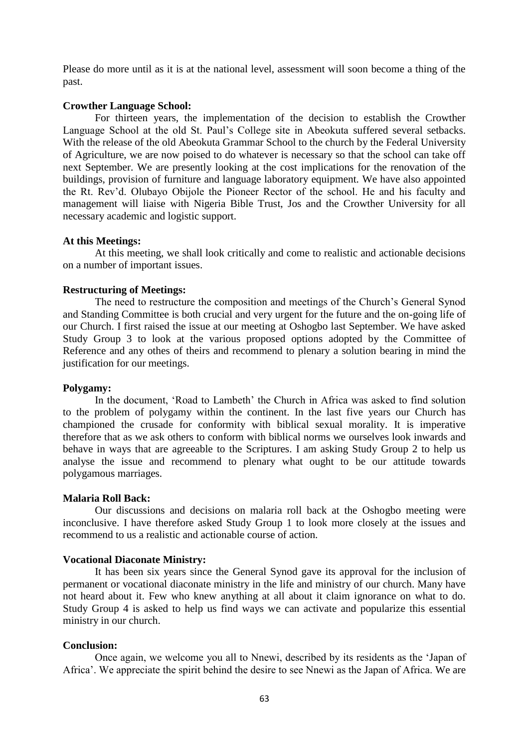Please do more until as it is at the national level, assessment will soon become a thing of the past.

#### **Crowther Language School:**

For thirteen years, the implementation of the decision to establish the Crowther Language School at the old St. Paul"s College site in Abeokuta suffered several setbacks. With the release of the old Abeokuta Grammar School to the church by the Federal University of Agriculture, we are now poised to do whatever is necessary so that the school can take off next September. We are presently looking at the cost implications for the renovation of the buildings, provision of furniture and language laboratory equipment. We have also appointed the Rt. Rev"d. Olubayo Obijole the Pioneer Rector of the school. He and his faculty and management will liaise with Nigeria Bible Trust, Jos and the Crowther University for all necessary academic and logistic support.

#### **At this Meetings:**

At this meeting, we shall look critically and come to realistic and actionable decisions on a number of important issues.

#### **Restructuring of Meetings:**

The need to restructure the composition and meetings of the Church"s General Synod and Standing Committee is both crucial and very urgent for the future and the on-going life of our Church. I first raised the issue at our meeting at Oshogbo last September. We have asked Study Group 3 to look at the various proposed options adopted by the Committee of Reference and any othes of theirs and recommend to plenary a solution bearing in mind the justification for our meetings.

#### **Polygamy:**

In the document, 'Road to Lambeth' the Church in Africa was asked to find solution to the problem of polygamy within the continent. In the last five years our Church has championed the crusade for conformity with biblical sexual morality. It is imperative therefore that as we ask others to conform with biblical norms we ourselves look inwards and behave in ways that are agreeable to the Scriptures. I am asking Study Group 2 to help us analyse the issue and recommend to plenary what ought to be our attitude towards polygamous marriages.

#### **Malaria Roll Back:**

Our discussions and decisions on malaria roll back at the Oshogbo meeting were inconclusive. I have therefore asked Study Group 1 to look more closely at the issues and recommend to us a realistic and actionable course of action.

#### **Vocational Diaconate Ministry:**

It has been six years since the General Synod gave its approval for the inclusion of permanent or vocational diaconate ministry in the life and ministry of our church. Many have not heard about it. Few who knew anything at all about it claim ignorance on what to do. Study Group 4 is asked to help us find ways we can activate and popularize this essential ministry in our church.

#### **Conclusion:**

Once again, we welcome you all to Nnewi, described by its residents as the "Japan of Africa". We appreciate the spirit behind the desire to see Nnewi as the Japan of Africa. We are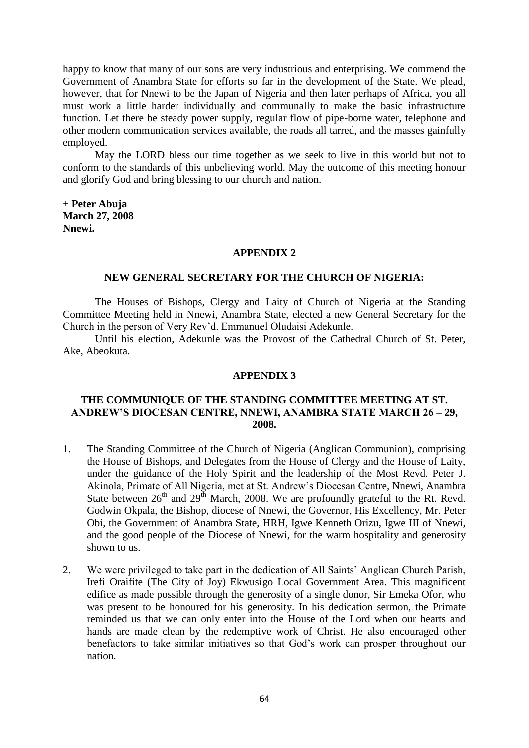happy to know that many of our sons are very industrious and enterprising. We commend the Government of Anambra State for efforts so far in the development of the State. We plead, however, that for Nnewi to be the Japan of Nigeria and then later perhaps of Africa, you all must work a little harder individually and communally to make the basic infrastructure function. Let there be steady power supply, regular flow of pipe-borne water, telephone and other modern communication services available, the roads all tarred, and the masses gainfully employed.

May the LORD bless our time together as we seek to live in this world but not to conform to the standards of this unbelieving world. May the outcome of this meeting honour and glorify God and bring blessing to our church and nation.

**+ Peter Abuja March 27, 2008 Nnewi.**

#### **APPENDIX 2**

### **NEW GENERAL SECRETARY FOR THE CHURCH OF NIGERIA:**

The Houses of Bishops, Clergy and Laity of Church of Nigeria at the Standing Committee Meeting held in Nnewi, Anambra State, elected a new General Secretary for the Church in the person of Very Rev"d. Emmanuel Oludaisi Adekunle.

Until his election, Adekunle was the Provost of the Cathedral Church of St. Peter, Ake, Abeokuta.

#### **APPENDIX 3**

# **THE COMMUNIQUE OF THE STANDING COMMITTEE MEETING AT ST. ANDREW"S DIOCESAN CENTRE, NNEWI, ANAMBRA STATE MARCH 26 – 29, 2008.**

- 1. The Standing Committee of the Church of Nigeria (Anglican Communion), comprising the House of Bishops, and Delegates from the House of Clergy and the House of Laity, under the guidance of the Holy Spirit and the leadership of the Most Revd. Peter J. Akinola, Primate of All Nigeria, met at St. Andrew"s Diocesan Centre, Nnewi, Anambra State between  $26<sup>th</sup>$  and  $29<sup>th</sup>$  March, 2008. We are profoundly grateful to the Rt. Revd. Godwin Okpala, the Bishop, diocese of Nnewi, the Governor, His Excellency, Mr. Peter Obi, the Government of Anambra State, HRH, Igwe Kenneth Orizu, Igwe III of Nnewi, and the good people of the Diocese of Nnewi, for the warm hospitality and generosity shown to us.
- 2. We were privileged to take part in the dedication of All Saints" Anglican Church Parish, Irefi Oraifite (The City of Joy) Ekwusigo Local Government Area. This magnificent edifice as made possible through the generosity of a single donor, Sir Emeka Ofor, who was present to be honoured for his generosity. In his dedication sermon, the Primate reminded us that we can only enter into the House of the Lord when our hearts and hands are made clean by the redemptive work of Christ. He also encouraged other benefactors to take similar initiatives so that God"s work can prosper throughout our nation.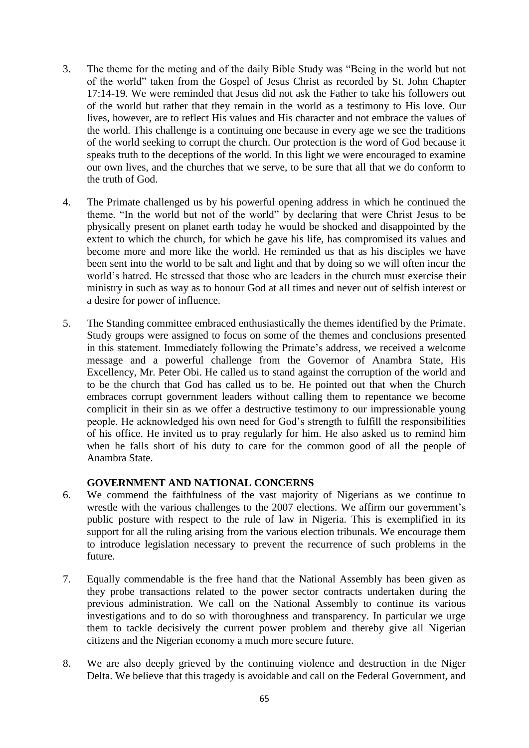- 3. The theme for the meting and of the daily Bible Study was "Being in the world but not of the world" taken from the Gospel of Jesus Christ as recorded by St. John Chapter 17:14-19. We were reminded that Jesus did not ask the Father to take his followers out of the world but rather that they remain in the world as a testimony to His love. Our lives, however, are to reflect His values and His character and not embrace the values of the world. This challenge is a continuing one because in every age we see the traditions of the world seeking to corrupt the church. Our protection is the word of God because it speaks truth to the deceptions of the world. In this light we were encouraged to examine our own lives, and the churches that we serve, to be sure that all that we do conform to the truth of God.
- 4. The Primate challenged us by his powerful opening address in which he continued the theme. "In the world but not of the world" by declaring that were Christ Jesus to be physically present on planet earth today he would be shocked and disappointed by the extent to which the church, for which he gave his life, has compromised its values and become more and more like the world. He reminded us that as his disciples we have been sent into the world to be salt and light and that by doing so we will often incur the world"s hatred. He stressed that those who are leaders in the church must exercise their ministry in such as way as to honour God at all times and never out of selfish interest or a desire for power of influence.
- 5. The Standing committee embraced enthusiastically the themes identified by the Primate. Study groups were assigned to focus on some of the themes and conclusions presented in this statement. Immediately following the Primate's address, we received a welcome message and a powerful challenge from the Governor of Anambra State, His Excellency, Mr. Peter Obi. He called us to stand against the corruption of the world and to be the church that God has called us to be. He pointed out that when the Church embraces corrupt government leaders without calling them to repentance we become complicit in their sin as we offer a destructive testimony to our impressionable young people. He acknowledged his own need for God"s strength to fulfill the responsibilities of his office. He invited us to pray regularly for him. He also asked us to remind him when he falls short of his duty to care for the common good of all the people of Anambra State.

# **GOVERNMENT AND NATIONAL CONCERNS**

- 6. We commend the faithfulness of the vast majority of Nigerians as we continue to wrestle with the various challenges to the 2007 elections. We affirm our government's public posture with respect to the rule of law in Nigeria. This is exemplified in its support for all the ruling arising from the various election tribunals. We encourage them to introduce legislation necessary to prevent the recurrence of such problems in the future.
- 7. Equally commendable is the free hand that the National Assembly has been given as they probe transactions related to the power sector contracts undertaken during the previous administration. We call on the National Assembly to continue its various investigations and to do so with thoroughness and transparency. In particular we urge them to tackle decisively the current power problem and thereby give all Nigerian citizens and the Nigerian economy a much more secure future.
- 8. We are also deeply grieved by the continuing violence and destruction in the Niger Delta. We believe that this tragedy is avoidable and call on the Federal Government, and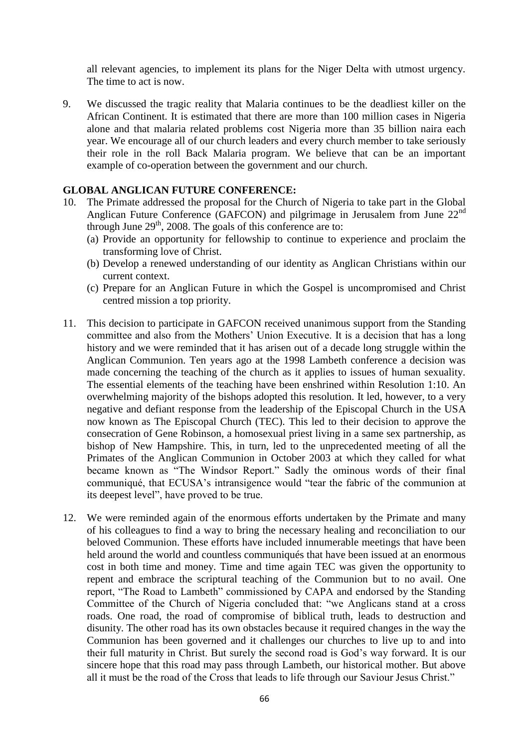all relevant agencies, to implement its plans for the Niger Delta with utmost urgency. The time to act is now.

9. We discussed the tragic reality that Malaria continues to be the deadliest killer on the African Continent. It is estimated that there are more than 100 million cases in Nigeria alone and that malaria related problems cost Nigeria more than 35 billion naira each year. We encourage all of our church leaders and every church member to take seriously their role in the roll Back Malaria program. We believe that can be an important example of co-operation between the government and our church.

### **GLOBAL ANGLICAN FUTURE CONFERENCE:**

- 10. The Primate addressed the proposal for the Church of Nigeria to take part in the Global Anglican Future Conference (GAFCON) and pilgrimage in Jerusalem from June 22<sup>nd</sup> through June  $29<sup>th</sup>$ , 2008. The goals of this conference are to:
	- (a) Provide an opportunity for fellowship to continue to experience and proclaim the transforming love of Christ.
	- (b) Develop a renewed understanding of our identity as Anglican Christians within our current context.
	- (c) Prepare for an Anglican Future in which the Gospel is uncompromised and Christ centred mission a top priority.
- 11. This decision to participate in GAFCON received unanimous support from the Standing committee and also from the Mothers' Union Executive. It is a decision that has a long history and we were reminded that it has arisen out of a decade long struggle within the Anglican Communion. Ten years ago at the 1998 Lambeth conference a decision was made concerning the teaching of the church as it applies to issues of human sexuality. The essential elements of the teaching have been enshrined within Resolution 1:10. An overwhelming majority of the bishops adopted this resolution. It led, however, to a very negative and defiant response from the leadership of the Episcopal Church in the USA now known as The Episcopal Church (TEC). This led to their decision to approve the consecration of Gene Robinson, a homosexual priest living in a same sex partnership, as bishop of New Hampshire. This, in turn, led to the unprecedented meeting of all the Primates of the Anglican Communion in October 2003 at which they called for what became known as "The Windsor Report." Sadly the ominous words of their final communiqué, that ECUSA"s intransigence would "tear the fabric of the communion at its deepest level", have proved to be true.
- 12. We were reminded again of the enormous efforts undertaken by the Primate and many of his colleagues to find a way to bring the necessary healing and reconciliation to our beloved Communion. These efforts have included innumerable meetings that have been held around the world and countless communiqués that have been issued at an enormous cost in both time and money. Time and time again TEC was given the opportunity to repent and embrace the scriptural teaching of the Communion but to no avail. One report, "The Road to Lambeth" commissioned by CAPA and endorsed by the Standing Committee of the Church of Nigeria concluded that: "we Anglicans stand at a cross roads. One road, the road of compromise of biblical truth, leads to destruction and disunity. The other road has its own obstacles because it required changes in the way the Communion has been governed and it challenges our churches to live up to and into their full maturity in Christ. But surely the second road is God"s way forward. It is our sincere hope that this road may pass through Lambeth, our historical mother. But above all it must be the road of the Cross that leads to life through our Saviour Jesus Christ."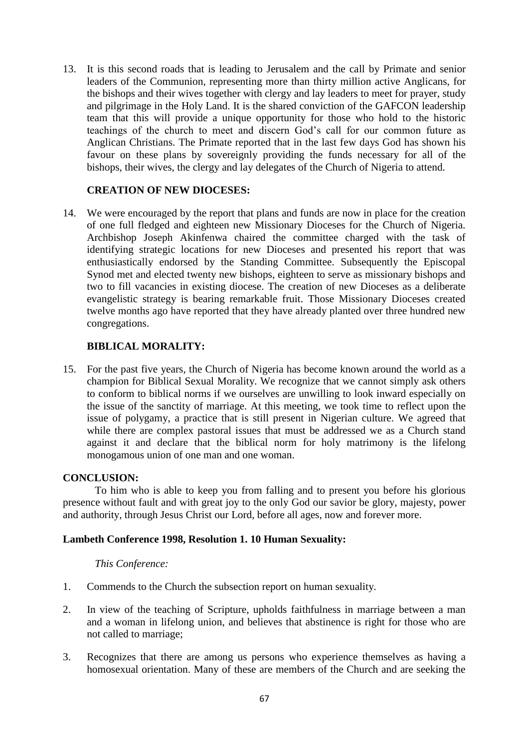13. It is this second roads that is leading to Jerusalem and the call by Primate and senior leaders of the Communion, representing more than thirty million active Anglicans, for the bishops and their wives together with clergy and lay leaders to meet for prayer, study and pilgrimage in the Holy Land. It is the shared conviction of the GAFCON leadership team that this will provide a unique opportunity for those who hold to the historic teachings of the church to meet and discern God"s call for our common future as Anglican Christians. The Primate reported that in the last few days God has shown his favour on these plans by sovereignly providing the funds necessary for all of the bishops, their wives, the clergy and lay delegates of the Church of Nigeria to attend.

# **CREATION OF NEW DIOCESES:**

14. We were encouraged by the report that plans and funds are now in place for the creation of one full fledged and eighteen new Missionary Dioceses for the Church of Nigeria. Archbishop Joseph Akinfenwa chaired the committee charged with the task of identifying strategic locations for new Dioceses and presented his report that was enthusiastically endorsed by the Standing Committee. Subsequently the Episcopal Synod met and elected twenty new bishops, eighteen to serve as missionary bishops and two to fill vacancies in existing diocese. The creation of new Dioceses as a deliberate evangelistic strategy is bearing remarkable fruit. Those Missionary Dioceses created twelve months ago have reported that they have already planted over three hundred new congregations.

# **BIBLICAL MORALITY:**

15. For the past five years, the Church of Nigeria has become known around the world as a champion for Biblical Sexual Morality. We recognize that we cannot simply ask others to conform to biblical norms if we ourselves are unwilling to look inward especially on the issue of the sanctity of marriage. At this meeting, we took time to reflect upon the issue of polygamy, a practice that is still present in Nigerian culture. We agreed that while there are complex pastoral issues that must be addressed we as a Church stand against it and declare that the biblical norm for holy matrimony is the lifelong monogamous union of one man and one woman.

# **CONCLUSION:**

To him who is able to keep you from falling and to present you before his glorious presence without fault and with great joy to the only God our savior be glory, majesty, power and authority, through Jesus Christ our Lord, before all ages, now and forever more.

# **Lambeth Conference 1998, Resolution 1. 10 Human Sexuality:**

# *This Conference:*

- 1. Commends to the Church the subsection report on human sexuality.
- 2. In view of the teaching of Scripture, upholds faithfulness in marriage between a man and a woman in lifelong union, and believes that abstinence is right for those who are not called to marriage;
- 3. Recognizes that there are among us persons who experience themselves as having a homosexual orientation. Many of these are members of the Church and are seeking the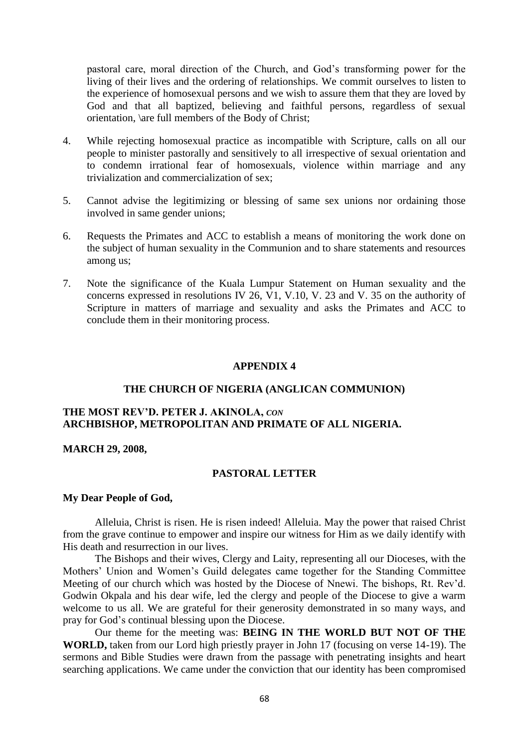pastoral care, moral direction of the Church, and God"s transforming power for the living of their lives and the ordering of relationships. We commit ourselves to listen to the experience of homosexual persons and we wish to assure them that they are loved by God and that all baptized, believing and faithful persons, regardless of sexual orientation, \are full members of the Body of Christ;

- 4. While rejecting homosexual practice as incompatible with Scripture, calls on all our people to minister pastorally and sensitively to all irrespective of sexual orientation and to condemn irrational fear of homosexuals, violence within marriage and any trivialization and commercialization of sex;
- 5. Cannot advise the legitimizing or blessing of same sex unions nor ordaining those involved in same gender unions;
- 6. Requests the Primates and ACC to establish a means of monitoring the work done on the subject of human sexuality in the Communion and to share statements and resources among us;
- 7. Note the significance of the Kuala Lumpur Statement on Human sexuality and the concerns expressed in resolutions IV 26, V1, V.10, V. 23 and V. 35 on the authority of Scripture in matters of marriage and sexuality and asks the Primates and ACC to conclude them in their monitoring process.

### **APPENDIX 4**

#### **THE CHURCH OF NIGERIA (ANGLICAN COMMUNION)**

### **THE MOST REV"D. PETER J. AKINOLA,** *CON* **ARCHBISHOP, METROPOLITAN AND PRIMATE OF ALL NIGERIA.**

**MARCH 29, 2008,**

### **PASTORAL LETTER**

#### **My Dear People of God,**

Alleluia, Christ is risen. He is risen indeed! Alleluia. May the power that raised Christ from the grave continue to empower and inspire our witness for Him as we daily identify with His death and resurrection in our lives.

The Bishops and their wives, Clergy and Laity, representing all our Dioceses, with the Mothers" Union and Women"s Guild delegates came together for the Standing Committee Meeting of our church which was hosted by the Diocese of Nnewi. The bishops, Rt. Rev'd. Godwin Okpala and his dear wife, led the clergy and people of the Diocese to give a warm welcome to us all. We are grateful for their generosity demonstrated in so many ways, and pray for God"s continual blessing upon the Diocese.

Our theme for the meeting was: **BEING IN THE WORLD BUT NOT OF THE WORLD,** taken from our Lord high priestly prayer in John 17 (focusing on verse 14-19). The sermons and Bible Studies were drawn from the passage with penetrating insights and heart searching applications. We came under the conviction that our identity has been compromised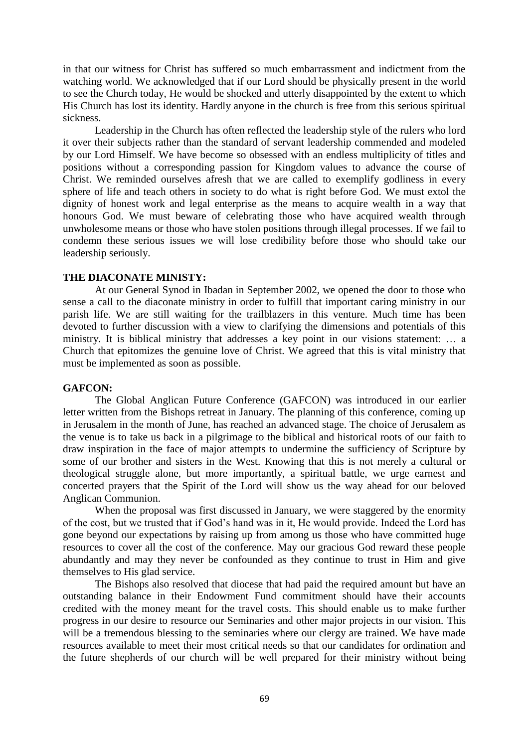in that our witness for Christ has suffered so much embarrassment and indictment from the watching world. We acknowledged that if our Lord should be physically present in the world to see the Church today, He would be shocked and utterly disappointed by the extent to which His Church has lost its identity. Hardly anyone in the church is free from this serious spiritual sickness.

Leadership in the Church has often reflected the leadership style of the rulers who lord it over their subjects rather than the standard of servant leadership commended and modeled by our Lord Himself. We have become so obsessed with an endless multiplicity of titles and positions without a corresponding passion for Kingdom values to advance the course of Christ. We reminded ourselves afresh that we are called to exemplify godliness in every sphere of life and teach others in society to do what is right before God. We must extol the dignity of honest work and legal enterprise as the means to acquire wealth in a way that honours God. We must beware of celebrating those who have acquired wealth through unwholesome means or those who have stolen positions through illegal processes. If we fail to condemn these serious issues we will lose credibility before those who should take our leadership seriously.

# **THE DIACONATE MINISTY:**

At our General Synod in Ibadan in September 2002, we opened the door to those who sense a call to the diaconate ministry in order to fulfill that important caring ministry in our parish life. We are still waiting for the trailblazers in this venture. Much time has been devoted to further discussion with a view to clarifying the dimensions and potentials of this ministry. It is biblical ministry that addresses a key point in our visions statement: … a Church that epitomizes the genuine love of Christ. We agreed that this is vital ministry that must be implemented as soon as possible.

#### **GAFCON:**

The Global Anglican Future Conference (GAFCON) was introduced in our earlier letter written from the Bishops retreat in January. The planning of this conference, coming up in Jerusalem in the month of June, has reached an advanced stage. The choice of Jerusalem as the venue is to take us back in a pilgrimage to the biblical and historical roots of our faith to draw inspiration in the face of major attempts to undermine the sufficiency of Scripture by some of our brother and sisters in the West. Knowing that this is not merely a cultural or theological struggle alone, but more importantly, a spiritual battle, we urge earnest and concerted prayers that the Spirit of the Lord will show us the way ahead for our beloved Anglican Communion.

When the proposal was first discussed in January, we were staggered by the enormity of the cost, but we trusted that if God"s hand was in it, He would provide. Indeed the Lord has gone beyond our expectations by raising up from among us those who have committed huge resources to cover all the cost of the conference. May our gracious God reward these people abundantly and may they never be confounded as they continue to trust in Him and give themselves to His glad service.

The Bishops also resolved that diocese that had paid the required amount but have an outstanding balance in their Endowment Fund commitment should have their accounts credited with the money meant for the travel costs. This should enable us to make further progress in our desire to resource our Seminaries and other major projects in our vision. This will be a tremendous blessing to the seminaries where our clergy are trained. We have made resources available to meet their most critical needs so that our candidates for ordination and the future shepherds of our church will be well prepared for their ministry without being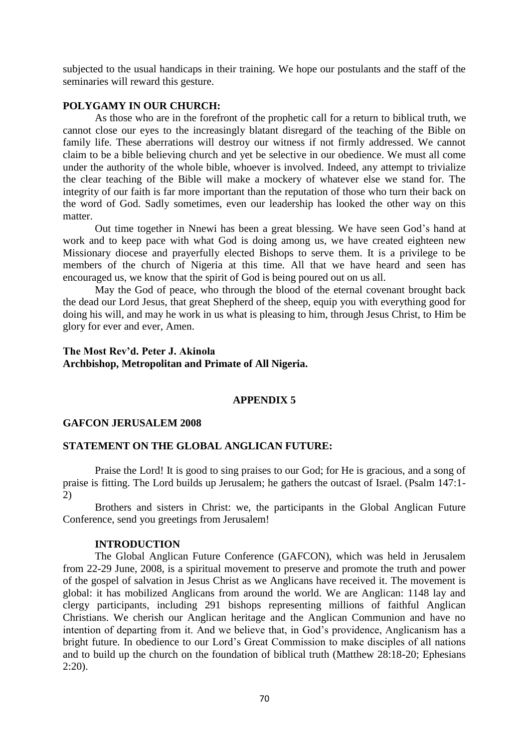subjected to the usual handicaps in their training. We hope our postulants and the staff of the seminaries will reward this gesture.

### **POLYGAMY IN OUR CHURCH:**

As those who are in the forefront of the prophetic call for a return to biblical truth, we cannot close our eyes to the increasingly blatant disregard of the teaching of the Bible on family life. These aberrations will destroy our witness if not firmly addressed. We cannot claim to be a bible believing church and yet be selective in our obedience. We must all come under the authority of the whole bible, whoever is involved. Indeed, any attempt to trivialize the clear teaching of the Bible will make a mockery of whatever else we stand for. The integrity of our faith is far more important than the reputation of those who turn their back on the word of God. Sadly sometimes, even our leadership has looked the other way on this matter.

Out time together in Nnewi has been a great blessing. We have seen God"s hand at work and to keep pace with what God is doing among us, we have created eighteen new Missionary diocese and prayerfully elected Bishops to serve them. It is a privilege to be members of the church of Nigeria at this time. All that we have heard and seen has encouraged us, we know that the spirit of God is being poured out on us all.

May the God of peace, who through the blood of the eternal covenant brought back the dead our Lord Jesus, that great Shepherd of the sheep, equip you with everything good for doing his will, and may he work in us what is pleasing to him, through Jesus Christ, to Him be glory for ever and ever, Amen.

## **The Most Rev"d. Peter J. Akinola Archbishop, Metropolitan and Primate of All Nigeria.**

#### **APPENDIX 5**

#### **GAFCON JERUSALEM 2008**

## **STATEMENT ON THE GLOBAL ANGLICAN FUTURE:**

Praise the Lord! It is good to sing praises to our God; for He is gracious, and a song of praise is fitting. The Lord builds up Jerusalem; he gathers the outcast of Israel. (Psalm 147:1- 2)

Brothers and sisters in Christ: we, the participants in the Global Anglican Future Conference, send you greetings from Jerusalem!

#### **INTRODUCTION**

The Global Anglican Future Conference (GAFCON), which was held in Jerusalem from 22-29 June, 2008, is a spiritual movement to preserve and promote the truth and power of the gospel of salvation in Jesus Christ as we Anglicans have received it. The movement is global: it has mobilized Anglicans from around the world. We are Anglican: 1148 lay and clergy participants, including 291 bishops representing millions of faithful Anglican Christians. We cherish our Anglican heritage and the Anglican Communion and have no intention of departing from it. And we believe that, in God"s providence, Anglicanism has a bright future. In obedience to our Lord"s Great Commission to make disciples of all nations and to build up the church on the foundation of biblical truth (Matthew 28:18-20; Ephesians 2:20).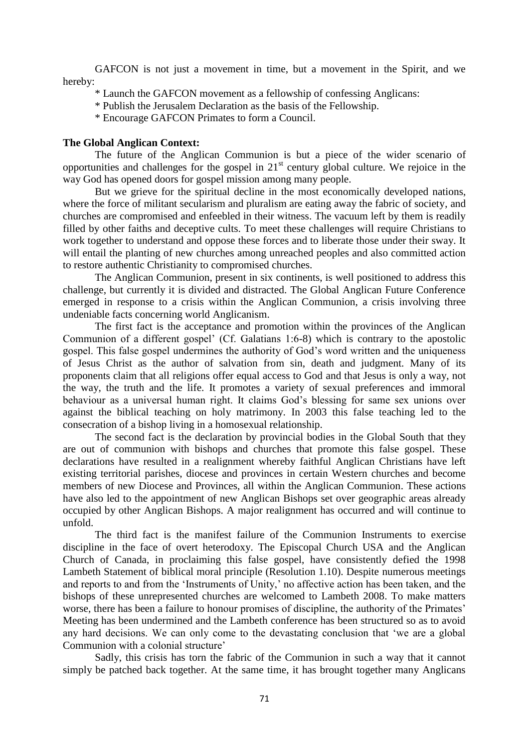GAFCON is not just a movement in time, but a movement in the Spirit, and we hereby:

\* Launch the GAFCON movement as a fellowship of confessing Anglicans:

\* Publish the Jerusalem Declaration as the basis of the Fellowship.

\* Encourage GAFCON Primates to form a Council.

### **The Global Anglican Context:**

The future of the Anglican Communion is but a piece of the wider scenario of opportunities and challenges for the gospel in  $21<sup>st</sup>$  century global culture. We rejoice in the way God has opened doors for gospel mission among many people.

But we grieve for the spiritual decline in the most economically developed nations, where the force of militant secularism and pluralism are eating away the fabric of society, and churches are compromised and enfeebled in their witness. The vacuum left by them is readily filled by other faiths and deceptive cults. To meet these challenges will require Christians to work together to understand and oppose these forces and to liberate those under their sway. It will entail the planting of new churches among unreached peoples and also committed action to restore authentic Christianity to compromised churches.

The Anglican Communion, present in six continents, is well positioned to address this challenge, but currently it is divided and distracted. The Global Anglican Future Conference emerged in response to a crisis within the Anglican Communion, a crisis involving three undeniable facts concerning world Anglicanism.

The first fact is the acceptance and promotion within the provinces of the Anglican Communion of a different gospel" (Cf. Galatians 1:6-8) which is contrary to the apostolic gospel. This false gospel undermines the authority of God"s word written and the uniqueness of Jesus Christ as the author of salvation from sin, death and judgment. Many of its proponents claim that all religions offer equal access to God and that Jesus is only a way, not the way, the truth and the life. It promotes a variety of sexual preferences and immoral behaviour as a universal human right. It claims God's blessing for same sex unions over against the biblical teaching on holy matrimony. In 2003 this false teaching led to the consecration of a bishop living in a homosexual relationship.

The second fact is the declaration by provincial bodies in the Global South that they are out of communion with bishops and churches that promote this false gospel. These declarations have resulted in a realignment whereby faithful Anglican Christians have left existing territorial parishes, diocese and provinces in certain Western churches and become members of new Diocese and Provinces, all within the Anglican Communion. These actions have also led to the appointment of new Anglican Bishops set over geographic areas already occupied by other Anglican Bishops. A major realignment has occurred and will continue to unfold.

The third fact is the manifest failure of the Communion Instruments to exercise discipline in the face of overt heterodoxy. The Episcopal Church USA and the Anglican Church of Canada, in proclaiming this false gospel, have consistently defied the 1998 Lambeth Statement of biblical moral principle (Resolution 1.10). Despite numerous meetings and reports to and from the 'Instruments of Unity,' no affective action has been taken, and the bishops of these unrepresented churches are welcomed to Lambeth 2008. To make matters worse, there has been a failure to honour promises of discipline, the authority of the Primates' Meeting has been undermined and the Lambeth conference has been structured so as to avoid any hard decisions. We can only come to the devastating conclusion that "we are a global Communion with a colonial structure'

Sadly, this crisis has torn the fabric of the Communion in such a way that it cannot simply be patched back together. At the same time, it has brought together many Anglicans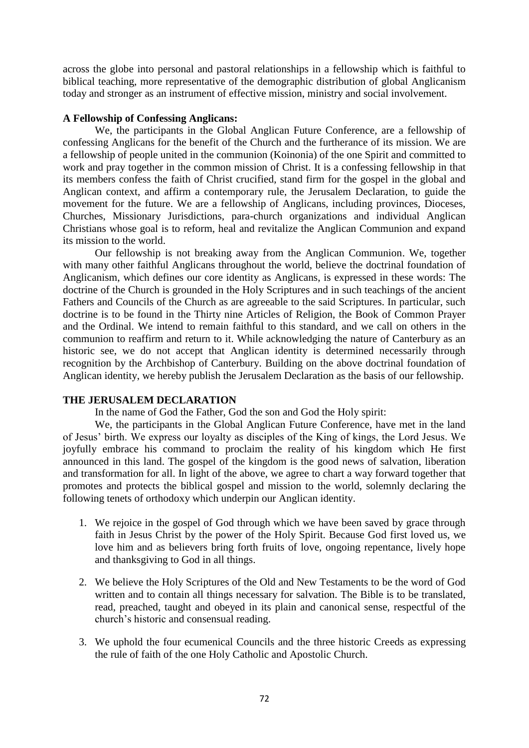across the globe into personal and pastoral relationships in a fellowship which is faithful to biblical teaching, more representative of the demographic distribution of global Anglicanism today and stronger as an instrument of effective mission, ministry and social involvement.

# **A Fellowship of Confessing Anglicans:**

We, the participants in the Global Anglican Future Conference, are a fellowship of confessing Anglicans for the benefit of the Church and the furtherance of its mission. We are a fellowship of people united in the communion (Koinonia) of the one Spirit and committed to work and pray together in the common mission of Christ. It is a confessing fellowship in that its members confess the faith of Christ crucified, stand firm for the gospel in the global and Anglican context, and affirm a contemporary rule, the Jerusalem Declaration, to guide the movement for the future. We are a fellowship of Anglicans, including provinces, Dioceses, Churches, Missionary Jurisdictions, para-church organizations and individual Anglican Christians whose goal is to reform, heal and revitalize the Anglican Communion and expand its mission to the world.

Our fellowship is not breaking away from the Anglican Communion. We, together with many other faithful Anglicans throughout the world, believe the doctrinal foundation of Anglicanism, which defines our core identity as Anglicans, is expressed in these words: The doctrine of the Church is grounded in the Holy Scriptures and in such teachings of the ancient Fathers and Councils of the Church as are agreeable to the said Scriptures. In particular, such doctrine is to be found in the Thirty nine Articles of Religion, the Book of Common Prayer and the Ordinal. We intend to remain faithful to this standard, and we call on others in the communion to reaffirm and return to it. While acknowledging the nature of Canterbury as an historic see, we do not accept that Anglican identity is determined necessarily through recognition by the Archbishop of Canterbury. Building on the above doctrinal foundation of Anglican identity, we hereby publish the Jerusalem Declaration as the basis of our fellowship.

# **THE JERUSALEM DECLARATION**

In the name of God the Father, God the son and God the Holy spirit:

We, the participants in the Global Anglican Future Conference, have met in the land of Jesus" birth. We express our loyalty as disciples of the King of kings, the Lord Jesus. We joyfully embrace his command to proclaim the reality of his kingdom which He first announced in this land. The gospel of the kingdom is the good news of salvation, liberation and transformation for all. In light of the above, we agree to chart a way forward together that promotes and protects the biblical gospel and mission to the world, solemnly declaring the following tenets of orthodoxy which underpin our Anglican identity.

- 1. We rejoice in the gospel of God through which we have been saved by grace through faith in Jesus Christ by the power of the Holy Spirit. Because God first loved us, we love him and as believers bring forth fruits of love, ongoing repentance, lively hope and thanksgiving to God in all things.
- 2. We believe the Holy Scriptures of the Old and New Testaments to be the word of God written and to contain all things necessary for salvation. The Bible is to be translated, read, preached, taught and obeyed in its plain and canonical sense, respectful of the church"s historic and consensual reading.
- 3. We uphold the four ecumenical Councils and the three historic Creeds as expressing the rule of faith of the one Holy Catholic and Apostolic Church.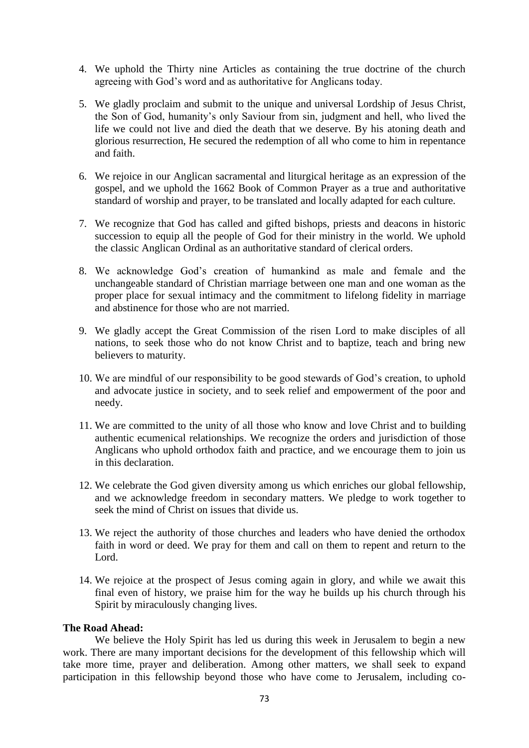- 4. We uphold the Thirty nine Articles as containing the true doctrine of the church agreeing with God"s word and as authoritative for Anglicans today.
- 5. We gladly proclaim and submit to the unique and universal Lordship of Jesus Christ, the Son of God, humanity"s only Saviour from sin, judgment and hell, who lived the life we could not live and died the death that we deserve. By his atoning death and glorious resurrection, He secured the redemption of all who come to him in repentance and faith.
- 6. We rejoice in our Anglican sacramental and liturgical heritage as an expression of the gospel, and we uphold the 1662 Book of Common Prayer as a true and authoritative standard of worship and prayer, to be translated and locally adapted for each culture.
- 7. We recognize that God has called and gifted bishops, priests and deacons in historic succession to equip all the people of God for their ministry in the world. We uphold the classic Anglican Ordinal as an authoritative standard of clerical orders.
- 8. We acknowledge God"s creation of humankind as male and female and the unchangeable standard of Christian marriage between one man and one woman as the proper place for sexual intimacy and the commitment to lifelong fidelity in marriage and abstinence for those who are not married.
- 9. We gladly accept the Great Commission of the risen Lord to make disciples of all nations, to seek those who do not know Christ and to baptize, teach and bring new believers to maturity.
- 10. We are mindful of our responsibility to be good stewards of God"s creation, to uphold and advocate justice in society, and to seek relief and empowerment of the poor and needy.
- 11. We are committed to the unity of all those who know and love Christ and to building authentic ecumenical relationships. We recognize the orders and jurisdiction of those Anglicans who uphold orthodox faith and practice, and we encourage them to join us in this declaration.
- 12. We celebrate the God given diversity among us which enriches our global fellowship, and we acknowledge freedom in secondary matters. We pledge to work together to seek the mind of Christ on issues that divide us.
- 13. We reject the authority of those churches and leaders who have denied the orthodox faith in word or deed. We pray for them and call on them to repent and return to the Lord.
- 14. We rejoice at the prospect of Jesus coming again in glory, and while we await this final even of history, we praise him for the way he builds up his church through his Spirit by miraculously changing lives.

## **The Road Ahead:**

We believe the Holy Spirit has led us during this week in Jerusalem to begin a new work. There are many important decisions for the development of this fellowship which will take more time, prayer and deliberation. Among other matters, we shall seek to expand participation in this fellowship beyond those who have come to Jerusalem, including co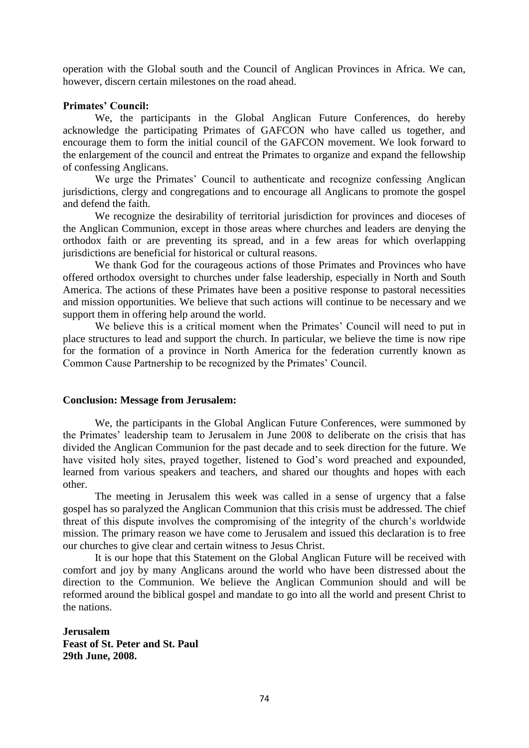operation with the Global south and the Council of Anglican Provinces in Africa. We can, however, discern certain milestones on the road ahead.

## **Primates" Council:**

We, the participants in the Global Anglican Future Conferences, do hereby acknowledge the participating Primates of GAFCON who have called us together, and encourage them to form the initial council of the GAFCON movement. We look forward to the enlargement of the council and entreat the Primates to organize and expand the fellowship of confessing Anglicans.

We urge the Primates' Council to authenticate and recognize confessing Anglican jurisdictions, clergy and congregations and to encourage all Anglicans to promote the gospel and defend the faith.

We recognize the desirability of territorial jurisdiction for provinces and dioceses of the Anglican Communion, except in those areas where churches and leaders are denying the orthodox faith or are preventing its spread, and in a few areas for which overlapping jurisdictions are beneficial for historical or cultural reasons.

We thank God for the courageous actions of those Primates and Provinces who have offered orthodox oversight to churches under false leadership, especially in North and South America. The actions of these Primates have been a positive response to pastoral necessities and mission opportunities. We believe that such actions will continue to be necessary and we support them in offering help around the world.

We believe this is a critical moment when the Primates' Council will need to put in place structures to lead and support the church. In particular, we believe the time is now ripe for the formation of a province in North America for the federation currently known as Common Cause Partnership to be recognized by the Primates' Council.

#### **Conclusion: Message from Jerusalem:**

We, the participants in the Global Anglican Future Conferences, were summoned by the Primates" leadership team to Jerusalem in June 2008 to deliberate on the crisis that has divided the Anglican Communion for the past decade and to seek direction for the future. We have visited holy sites, prayed together, listened to God's word preached and expounded, learned from various speakers and teachers, and shared our thoughts and hopes with each other.

The meeting in Jerusalem this week was called in a sense of urgency that a false gospel has so paralyzed the Anglican Communion that this crisis must be addressed. The chief threat of this dispute involves the compromising of the integrity of the church"s worldwide mission. The primary reason we have come to Jerusalem and issued this declaration is to free our churches to give clear and certain witness to Jesus Christ.

It is our hope that this Statement on the Global Anglican Future will be received with comfort and joy by many Anglicans around the world who have been distressed about the direction to the Communion. We believe the Anglican Communion should and will be reformed around the biblical gospel and mandate to go into all the world and present Christ to the nations.

**Jerusalem Feast of St. Peter and St. Paul 29th June, 2008.**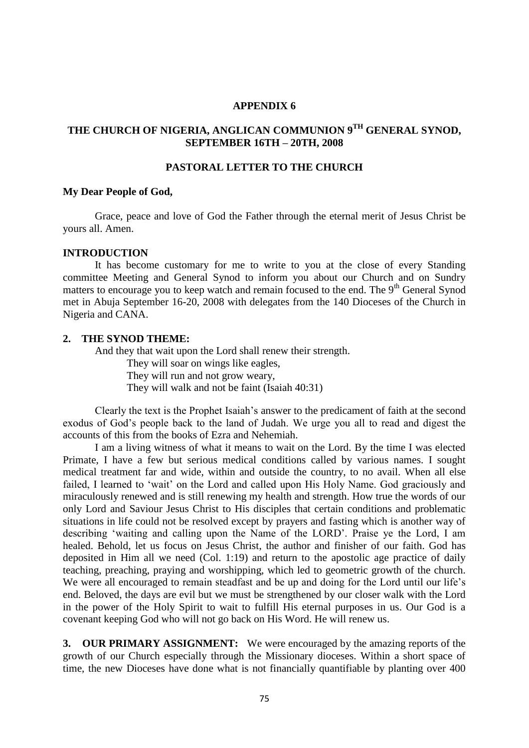#### **APPENDIX 6**

# **THE CHURCH OF NIGERIA, ANGLICAN COMMUNION 9TH GENERAL SYNOD, SEPTEMBER 16TH – 20TH, 2008**

#### **PASTORAL LETTER TO THE CHURCH**

#### **My Dear People of God,**

Grace, peace and love of God the Father through the eternal merit of Jesus Christ be yours all. Amen.

## **INTRODUCTION**

It has become customary for me to write to you at the close of every Standing committee Meeting and General Synod to inform you about our Church and on Sundry matters to encourage you to keep watch and remain focused to the end. The 9<sup>th</sup> General Synod met in Abuja September 16-20, 2008 with delegates from the 140 Dioceses of the Church in Nigeria and CANA.

## **2. THE SYNOD THEME:**

And they that wait upon the Lord shall renew their strength.

They will soar on wings like eagles,

They will run and not grow weary,

They will walk and not be faint (Isaiah 40:31)

Clearly the text is the Prophet Isaiah"s answer to the predicament of faith at the second exodus of God"s people back to the land of Judah. We urge you all to read and digest the accounts of this from the books of Ezra and Nehemiah.

I am a living witness of what it means to wait on the Lord. By the time I was elected Primate, I have a few but serious medical conditions called by various names. I sought medical treatment far and wide, within and outside the country, to no avail. When all else failed, I learned to 'wait' on the Lord and called upon His Holy Name. God graciously and miraculously renewed and is still renewing my health and strength. How true the words of our only Lord and Saviour Jesus Christ to His disciples that certain conditions and problematic situations in life could not be resolved except by prayers and fasting which is another way of describing "waiting and calling upon the Name of the LORD". Praise ye the Lord, I am healed. Behold, let us focus on Jesus Christ, the author and finisher of our faith. God has deposited in Him all we need (Col. 1:19) and return to the apostolic age practice of daily teaching, preaching, praying and worshipping, which led to geometric growth of the church. We were all encouraged to remain steadfast and be up and doing for the Lord until our life's end. Beloved, the days are evil but we must be strengthened by our closer walk with the Lord in the power of the Holy Spirit to wait to fulfill His eternal purposes in us. Our God is a covenant keeping God who will not go back on His Word. He will renew us.

**3. OUR PRIMARY ASSIGNMENT:** We were encouraged by the amazing reports of the growth of our Church especially through the Missionary dioceses. Within a short space of time, the new Dioceses have done what is not financially quantifiable by planting over 400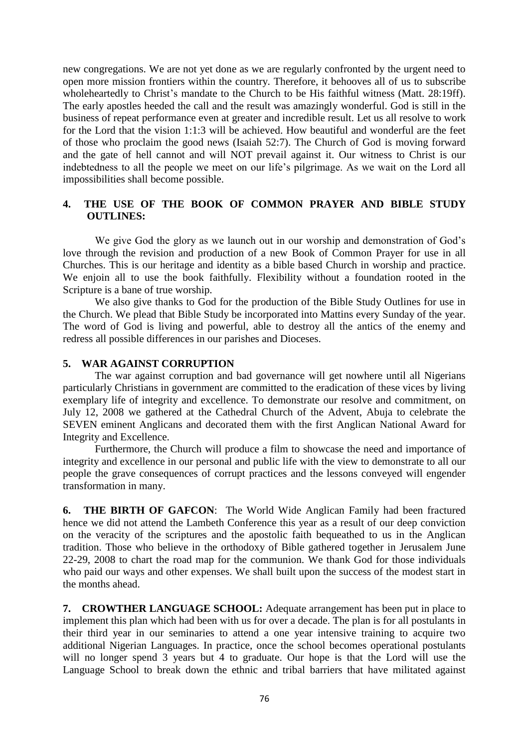new congregations. We are not yet done as we are regularly confronted by the urgent need to open more mission frontiers within the country. Therefore, it behooves all of us to subscribe wholeheartedly to Christ's mandate to the Church to be His faithful witness (Matt. 28:19ff). The early apostles heeded the call and the result was amazingly wonderful. God is still in the business of repeat performance even at greater and incredible result. Let us all resolve to work for the Lord that the vision 1:1:3 will be achieved. How beautiful and wonderful are the feet of those who proclaim the good news (Isaiah 52:7). The Church of God is moving forward and the gate of hell cannot and will NOT prevail against it. Our witness to Christ is our indebtedness to all the people we meet on our life"s pilgrimage. As we wait on the Lord all impossibilities shall become possible.

# **4. THE USE OF THE BOOK OF COMMON PRAYER AND BIBLE STUDY OUTLINES:**

We give God the glory as we launch out in our worship and demonstration of God's love through the revision and production of a new Book of Common Prayer for use in all Churches. This is our heritage and identity as a bible based Church in worship and practice. We enjoin all to use the book faithfully. Flexibility without a foundation rooted in the Scripture is a bane of true worship.

We also give thanks to God for the production of the Bible Study Outlines for use in the Church. We plead that Bible Study be incorporated into Mattins every Sunday of the year. The word of God is living and powerful, able to destroy all the antics of the enemy and redress all possible differences in our parishes and Dioceses.

## **5. WAR AGAINST CORRUPTION**

The war against corruption and bad governance will get nowhere until all Nigerians particularly Christians in government are committed to the eradication of these vices by living exemplary life of integrity and excellence. To demonstrate our resolve and commitment, on July 12, 2008 we gathered at the Cathedral Church of the Advent, Abuja to celebrate the SEVEN eminent Anglicans and decorated them with the first Anglican National Award for Integrity and Excellence.

Furthermore, the Church will produce a film to showcase the need and importance of integrity and excellence in our personal and public life with the view to demonstrate to all our people the grave consequences of corrupt practices and the lessons conveyed will engender transformation in many.

**6. THE BIRTH OF GAFCON**: The World Wide Anglican Family had been fractured hence we did not attend the Lambeth Conference this year as a result of our deep conviction on the veracity of the scriptures and the apostolic faith bequeathed to us in the Anglican tradition. Those who believe in the orthodoxy of Bible gathered together in Jerusalem June 22-29, 2008 to chart the road map for the communion. We thank God for those individuals who paid our ways and other expenses. We shall built upon the success of the modest start in the months ahead.

**7. CROWTHER LANGUAGE SCHOOL:** Adequate arrangement has been put in place to implement this plan which had been with us for over a decade. The plan is for all postulants in their third year in our seminaries to attend a one year intensive training to acquire two additional Nigerian Languages. In practice, once the school becomes operational postulants will no longer spend 3 years but 4 to graduate. Our hope is that the Lord will use the Language School to break down the ethnic and tribal barriers that have militated against